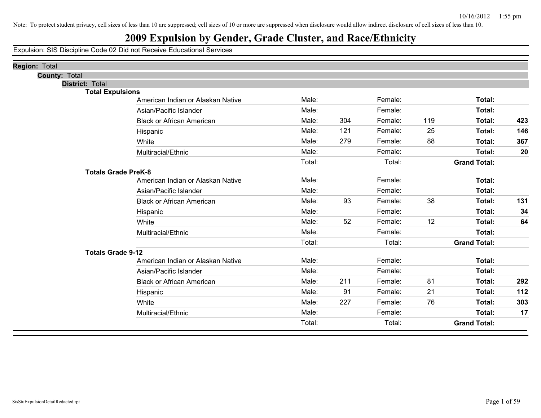## **2009 Expulsion by Gender, Grade Cluster, and Race/Ethnicity**

| <b>County: Total</b><br>District: Total<br><b>Total Expulsions</b><br>Male:<br>Female:<br>Total:<br>American Indian or Alaskan Native<br>Total:<br>Male:<br>Female:<br>Asian/Pacific Islander<br>304<br>119<br>Male:<br>Female:<br>Total:<br>423<br><b>Black or African American</b><br>Male:<br>121<br>Female:<br>Total:<br>146<br>25<br>Hispanic<br>88<br>367<br>Male:<br>279<br>Total:<br>Female:<br>White<br>Male:<br>Female:<br>Total:<br>20<br>Multiracial/Ethnic<br>Total:<br>Total:<br><b>Grand Total:</b><br><b>Totals Grade PreK-8</b><br>Male:<br>Female:<br>Total:<br>American Indian or Alaskan Native<br>Male:<br>Female:<br>Total:<br>Asian/Pacific Islander<br>93<br>38<br>Male:<br>Female:<br>Total:<br>131<br><b>Black or African American</b><br>Male:<br>Female:<br>Total:<br>34<br>Hispanic<br>52<br>12<br>Male:<br>Female:<br>Total:<br>64<br>White<br>Male:<br>Female:<br>Total:<br>Multiracial/Ethnic<br>Total:<br>Total:<br><b>Grand Total:</b><br><b>Totals Grade 9-12</b><br>Male:<br>Total:<br>Female:<br>American Indian or Alaskan Native<br>Male:<br>Female:<br>Total:<br>Asian/Pacific Islander<br>211<br>81<br>Total:<br>292<br>Male:<br>Female:<br><b>Black or African American</b><br>Male:<br>21<br>112<br>91<br>Female:<br>Total:<br>Hispanic<br>Male:<br>227<br>76<br>303<br>Female:<br>Total:<br>White<br>Male:<br>Total:<br>17<br>Female:<br>Multiracial/Ethnic<br><b>Grand Total:</b><br>Total:<br>Total: | Region: Total |  |  |  |  |
|----------------------------------------------------------------------------------------------------------------------------------------------------------------------------------------------------------------------------------------------------------------------------------------------------------------------------------------------------------------------------------------------------------------------------------------------------------------------------------------------------------------------------------------------------------------------------------------------------------------------------------------------------------------------------------------------------------------------------------------------------------------------------------------------------------------------------------------------------------------------------------------------------------------------------------------------------------------------------------------------------------------------------------------------------------------------------------------------------------------------------------------------------------------------------------------------------------------------------------------------------------------------------------------------------------------------------------------------------------------------------------------------------------------------------------------------------|---------------|--|--|--|--|
|                                                                                                                                                                                                                                                                                                                                                                                                                                                                                                                                                                                                                                                                                                                                                                                                                                                                                                                                                                                                                                                                                                                                                                                                                                                                                                                                                                                                                                                    |               |  |  |  |  |
|                                                                                                                                                                                                                                                                                                                                                                                                                                                                                                                                                                                                                                                                                                                                                                                                                                                                                                                                                                                                                                                                                                                                                                                                                                                                                                                                                                                                                                                    |               |  |  |  |  |
|                                                                                                                                                                                                                                                                                                                                                                                                                                                                                                                                                                                                                                                                                                                                                                                                                                                                                                                                                                                                                                                                                                                                                                                                                                                                                                                                                                                                                                                    |               |  |  |  |  |
|                                                                                                                                                                                                                                                                                                                                                                                                                                                                                                                                                                                                                                                                                                                                                                                                                                                                                                                                                                                                                                                                                                                                                                                                                                                                                                                                                                                                                                                    |               |  |  |  |  |
|                                                                                                                                                                                                                                                                                                                                                                                                                                                                                                                                                                                                                                                                                                                                                                                                                                                                                                                                                                                                                                                                                                                                                                                                                                                                                                                                                                                                                                                    |               |  |  |  |  |
|                                                                                                                                                                                                                                                                                                                                                                                                                                                                                                                                                                                                                                                                                                                                                                                                                                                                                                                                                                                                                                                                                                                                                                                                                                                                                                                                                                                                                                                    |               |  |  |  |  |
|                                                                                                                                                                                                                                                                                                                                                                                                                                                                                                                                                                                                                                                                                                                                                                                                                                                                                                                                                                                                                                                                                                                                                                                                                                                                                                                                                                                                                                                    |               |  |  |  |  |
|                                                                                                                                                                                                                                                                                                                                                                                                                                                                                                                                                                                                                                                                                                                                                                                                                                                                                                                                                                                                                                                                                                                                                                                                                                                                                                                                                                                                                                                    |               |  |  |  |  |
|                                                                                                                                                                                                                                                                                                                                                                                                                                                                                                                                                                                                                                                                                                                                                                                                                                                                                                                                                                                                                                                                                                                                                                                                                                                                                                                                                                                                                                                    |               |  |  |  |  |
|                                                                                                                                                                                                                                                                                                                                                                                                                                                                                                                                                                                                                                                                                                                                                                                                                                                                                                                                                                                                                                                                                                                                                                                                                                                                                                                                                                                                                                                    |               |  |  |  |  |
|                                                                                                                                                                                                                                                                                                                                                                                                                                                                                                                                                                                                                                                                                                                                                                                                                                                                                                                                                                                                                                                                                                                                                                                                                                                                                                                                                                                                                                                    |               |  |  |  |  |
|                                                                                                                                                                                                                                                                                                                                                                                                                                                                                                                                                                                                                                                                                                                                                                                                                                                                                                                                                                                                                                                                                                                                                                                                                                                                                                                                                                                                                                                    |               |  |  |  |  |
|                                                                                                                                                                                                                                                                                                                                                                                                                                                                                                                                                                                                                                                                                                                                                                                                                                                                                                                                                                                                                                                                                                                                                                                                                                                                                                                                                                                                                                                    |               |  |  |  |  |
|                                                                                                                                                                                                                                                                                                                                                                                                                                                                                                                                                                                                                                                                                                                                                                                                                                                                                                                                                                                                                                                                                                                                                                                                                                                                                                                                                                                                                                                    |               |  |  |  |  |
|                                                                                                                                                                                                                                                                                                                                                                                                                                                                                                                                                                                                                                                                                                                                                                                                                                                                                                                                                                                                                                                                                                                                                                                                                                                                                                                                                                                                                                                    |               |  |  |  |  |
|                                                                                                                                                                                                                                                                                                                                                                                                                                                                                                                                                                                                                                                                                                                                                                                                                                                                                                                                                                                                                                                                                                                                                                                                                                                                                                                                                                                                                                                    |               |  |  |  |  |
|                                                                                                                                                                                                                                                                                                                                                                                                                                                                                                                                                                                                                                                                                                                                                                                                                                                                                                                                                                                                                                                                                                                                                                                                                                                                                                                                                                                                                                                    |               |  |  |  |  |
|                                                                                                                                                                                                                                                                                                                                                                                                                                                                                                                                                                                                                                                                                                                                                                                                                                                                                                                                                                                                                                                                                                                                                                                                                                                                                                                                                                                                                                                    |               |  |  |  |  |
|                                                                                                                                                                                                                                                                                                                                                                                                                                                                                                                                                                                                                                                                                                                                                                                                                                                                                                                                                                                                                                                                                                                                                                                                                                                                                                                                                                                                                                                    |               |  |  |  |  |
|                                                                                                                                                                                                                                                                                                                                                                                                                                                                                                                                                                                                                                                                                                                                                                                                                                                                                                                                                                                                                                                                                                                                                                                                                                                                                                                                                                                                                                                    |               |  |  |  |  |
|                                                                                                                                                                                                                                                                                                                                                                                                                                                                                                                                                                                                                                                                                                                                                                                                                                                                                                                                                                                                                                                                                                                                                                                                                                                                                                                                                                                                                                                    |               |  |  |  |  |
|                                                                                                                                                                                                                                                                                                                                                                                                                                                                                                                                                                                                                                                                                                                                                                                                                                                                                                                                                                                                                                                                                                                                                                                                                                                                                                                                                                                                                                                    |               |  |  |  |  |
|                                                                                                                                                                                                                                                                                                                                                                                                                                                                                                                                                                                                                                                                                                                                                                                                                                                                                                                                                                                                                                                                                                                                                                                                                                                                                                                                                                                                                                                    |               |  |  |  |  |
|                                                                                                                                                                                                                                                                                                                                                                                                                                                                                                                                                                                                                                                                                                                                                                                                                                                                                                                                                                                                                                                                                                                                                                                                                                                                                                                                                                                                                                                    |               |  |  |  |  |
|                                                                                                                                                                                                                                                                                                                                                                                                                                                                                                                                                                                                                                                                                                                                                                                                                                                                                                                                                                                                                                                                                                                                                                                                                                                                                                                                                                                                                                                    |               |  |  |  |  |
|                                                                                                                                                                                                                                                                                                                                                                                                                                                                                                                                                                                                                                                                                                                                                                                                                                                                                                                                                                                                                                                                                                                                                                                                                                                                                                                                                                                                                                                    |               |  |  |  |  |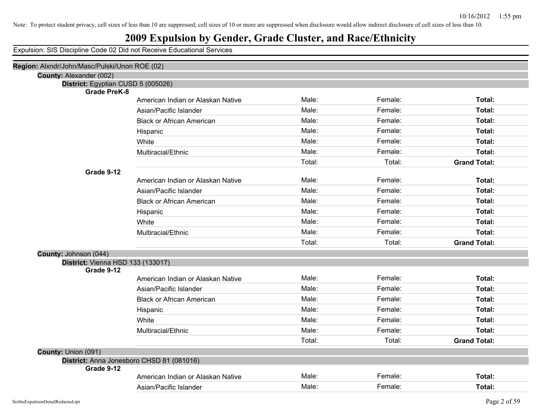## **2009 Expulsion by Gender, Grade Cluster, and Race/Ethnicity**

| Region: Alxndr/John/Masc/Pulski/Unon ROE (02) |                                           |        |         |                     |
|-----------------------------------------------|-------------------------------------------|--------|---------|---------------------|
| County: Alexander (002)                       |                                           |        |         |                     |
| District: Egyptian CUSD 5 (005026)            |                                           |        |         |                     |
| <b>Grade PreK-8</b>                           | American Indian or Alaskan Native         | Male:  | Female: | Total:              |
|                                               |                                           | Male:  | Female: | Total:              |
|                                               | Asian/Pacific Islander                    |        |         |                     |
|                                               | <b>Black or African American</b>          | Male:  | Female: | Total:              |
|                                               | Hispanic                                  | Male:  | Female: | Total:              |
|                                               | White                                     | Male:  | Female: | Total:              |
|                                               | Multiracial/Ethnic                        | Male:  | Female: | Total:              |
|                                               |                                           | Total: | Total:  | <b>Grand Total:</b> |
| Grade 9-12                                    |                                           |        |         |                     |
|                                               | American Indian or Alaskan Native         | Male:  | Female: | Total:              |
|                                               | Asian/Pacific Islander                    | Male:  | Female: | Total:              |
|                                               | <b>Black or African American</b>          | Male:  | Female: | Total:              |
|                                               | Hispanic                                  | Male:  | Female: | Total:              |
|                                               | White                                     | Male:  | Female: | Total:              |
|                                               | Multiracial/Ethnic                        | Male:  | Female: | Total:              |
|                                               |                                           | Total: | Total:  | <b>Grand Total:</b> |
| County: Johnson (044)                         |                                           |        |         |                     |
| <b>District: Vienna HSD 133 (133017)</b>      |                                           |        |         |                     |
| Grade 9-12                                    |                                           |        |         |                     |
|                                               | American Indian or Alaskan Native         | Male:  | Female: | Total:              |
|                                               | Asian/Pacific Islander                    | Male:  | Female: | Total:              |
|                                               | <b>Black or African American</b>          | Male:  | Female: | Total:              |
|                                               | Hispanic                                  | Male:  | Female: | Total:              |
|                                               | White                                     | Male:  | Female: | Total:              |
|                                               | Multiracial/Ethnic                        | Male:  | Female: | Total:              |
|                                               |                                           | Total: | Total:  | <b>Grand Total:</b> |
| County: Union (091)                           |                                           |        |         |                     |
|                                               | District: Anna Jonesboro CHSD 81 (081016) |        |         |                     |
| Grade 9-12                                    |                                           |        |         |                     |
|                                               | American Indian or Alaskan Native         | Male:  | Female: | Total:              |
|                                               | Asian/Pacific Islander                    | Male:  | Female: | Total:              |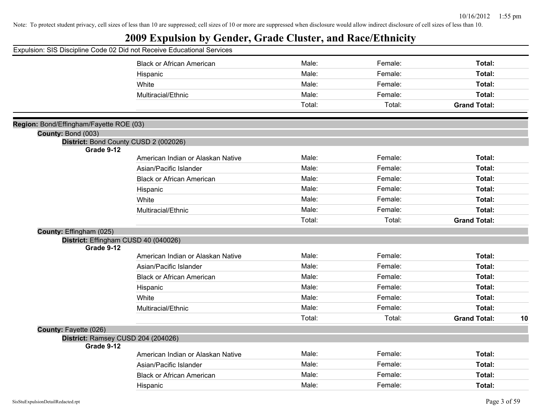|                                         | Expulsion: SIS Discipline Code 02 Did not Receive Educational Services |        |                    |                     |    |
|-----------------------------------------|------------------------------------------------------------------------|--------|--------------------|---------------------|----|
|                                         | <b>Black or African American</b>                                       | Male:  | Female:            | Total:              |    |
|                                         | Hispanic                                                               | Male:  | Female:            | Total:              |    |
|                                         | White                                                                  | Male:  | Female:            | Total:              |    |
|                                         | Multiracial/Ethnic                                                     | Male:  | Female:            | Total:              |    |
|                                         |                                                                        | Total: | Total:             | <b>Grand Total:</b> |    |
| Region: Bond/Effingham/Fayette ROE (03) |                                                                        |        |                    |                     |    |
| County: Bond (003)                      |                                                                        |        |                    |                     |    |
|                                         | District: Bond County CUSD 2 (002026)                                  |        |                    |                     |    |
| Grade 9-12                              | American Indian or Alaskan Native                                      | Male:  | Female:            | Total:              |    |
|                                         | Asian/Pacific Islander                                                 | Male:  | Female:            | Total:              |    |
|                                         | <b>Black or African American</b>                                       | Male:  | Female:            | Total:              |    |
|                                         | Hispanic                                                               | Male:  | Female:            | Total:              |    |
|                                         | White                                                                  | Male:  | Female:            | Total:              |    |
|                                         | Multiracial/Ethnic                                                     | Male:  | Female:            | Total:              |    |
|                                         |                                                                        | Total: | Total:             | <b>Grand Total:</b> |    |
| County: Effingham (025)                 |                                                                        |        |                    |                     |    |
|                                         | District: Effingham CUSD 40 (040026)                                   |        |                    |                     |    |
| Grade 9-12                              |                                                                        | Male:  | Female:            | Total:              |    |
|                                         | American Indian or Alaskan Native                                      | Male:  | Female:            | Total:              |    |
|                                         | Asian/Pacific Islander                                                 | Male:  | Female:            |                     |    |
|                                         | <b>Black or African American</b>                                       | Male:  |                    | Total:              |    |
|                                         | Hispanic                                                               | Male:  | Female:<br>Female: | Total:<br>Total:    |    |
|                                         | White                                                                  | Male:  | Female:            |                     |    |
|                                         | Multiracial/Ethnic                                                     | Total: | Total:             | Total:              |    |
|                                         |                                                                        |        |                    | <b>Grand Total:</b> | 10 |
| County: Fayette (026)                   | District: Ramsey CUSD 204 (204026)                                     |        |                    |                     |    |
| Grade 9-12                              |                                                                        |        |                    |                     |    |
|                                         | American Indian or Alaskan Native                                      | Male:  | Female:            | Total:              |    |
|                                         | Asian/Pacific Islander                                                 | Male:  | Female:            | Total:              |    |
|                                         | <b>Black or African American</b>                                       | Male:  | Female:            | Total:              |    |
|                                         | Hispanic                                                               | Male:  | Female:            | Total:              |    |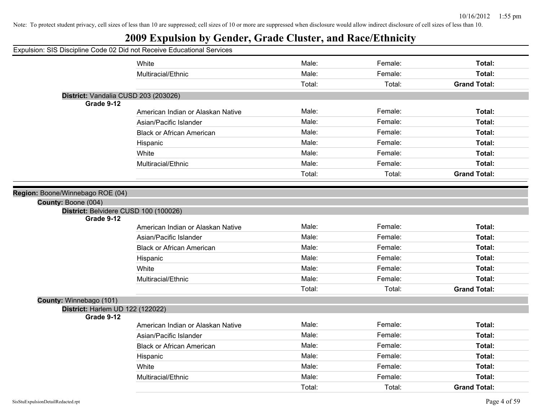|                                  | Expulsion: SIS Discipline Code 02 Did not Receive Educational Services |        |         |                     |
|----------------------------------|------------------------------------------------------------------------|--------|---------|---------------------|
|                                  | White                                                                  | Male:  | Female: | Total:              |
|                                  | Multiracial/Ethnic                                                     | Male:  | Female: | Total:              |
|                                  |                                                                        | Total: | Total:  | <b>Grand Total:</b> |
|                                  | District: Vandalia CUSD 203 (203026)                                   |        |         |                     |
| Grade 9-12                       |                                                                        |        |         |                     |
|                                  | American Indian or Alaskan Native                                      | Male:  | Female: | Total:              |
|                                  | Asian/Pacific Islander                                                 | Male:  | Female: | Total:              |
|                                  | <b>Black or African American</b>                                       | Male:  | Female: | Total:              |
|                                  | Hispanic                                                               | Male:  | Female: | Total:              |
|                                  | White                                                                  | Male:  | Female: | Total:              |
|                                  | Multiracial/Ethnic                                                     | Male:  | Female: | Total:              |
|                                  |                                                                        | Total: | Total:  | <b>Grand Total:</b> |
|                                  |                                                                        |        |         |                     |
| Region: Boone/Winnebago ROE (04) |                                                                        |        |         |                     |
| County: Boone (004)              | District: Belvidere CUSD 100 (100026)                                  |        |         |                     |
| Grade 9-12                       |                                                                        |        |         |                     |
|                                  | American Indian or Alaskan Native                                      | Male:  | Female: | Total:              |
|                                  | Asian/Pacific Islander                                                 | Male:  | Female: | Total:              |
|                                  | <b>Black or African American</b>                                       | Male:  | Female: | Total:              |
|                                  | Hispanic                                                               | Male:  | Female: | Total:              |
|                                  | White                                                                  | Male:  | Female: | Total:              |
|                                  | Multiracial/Ethnic                                                     | Male:  | Female: | Total:              |
|                                  |                                                                        | Total: | Total:  | <b>Grand Total:</b> |
| County: Winnebago (101)          |                                                                        |        |         |                     |
| District: Harlem UD 122 (122022) |                                                                        |        |         |                     |
| Grade 9-12                       | American Indian or Alaskan Native                                      | Male:  | Female: | Total:              |
|                                  |                                                                        | Male:  |         |                     |
|                                  | Asian/Pacific Islander                                                 |        | Female: | Total:              |
|                                  | <b>Black or African American</b>                                       | Male:  | Female: | Total:              |
|                                  | Hispanic                                                               | Male:  | Female: | Total:              |
|                                  | White                                                                  | Male:  | Female: | Total:              |
|                                  | Multiracial/Ethnic                                                     | Male:  | Female: | Total:              |
|                                  |                                                                        | Total: | Total:  | <b>Grand Total:</b> |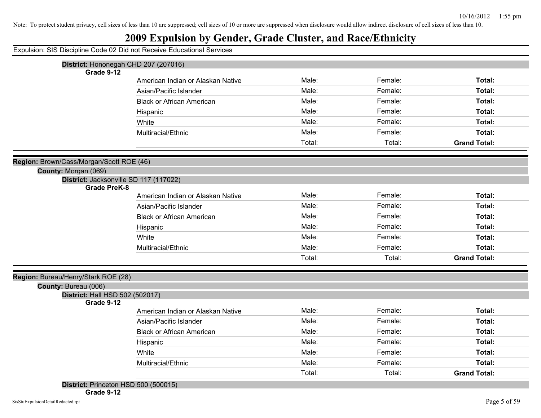| Expulsion: SIS Discipline Code 02 Did not Receive Educational Services |
|------------------------------------------------------------------------|
|------------------------------------------------------------------------|

| District: Hononegah CHD 207 (207016)          |                                   |        |         |                     |
|-----------------------------------------------|-----------------------------------|--------|---------|---------------------|
| Grade 9-12                                    |                                   |        |         |                     |
|                                               | American Indian or Alaskan Native | Male:  | Female: | Total:              |
|                                               | Asian/Pacific Islander            | Male:  | Female: | Total:              |
|                                               | <b>Black or African American</b>  | Male:  | Female: | Total:              |
|                                               | Hispanic                          | Male:  | Female: | Total:              |
|                                               | White                             | Male:  | Female: | Total:              |
|                                               | Multiracial/Ethnic                | Male:  | Female: | Total:              |
|                                               |                                   | Total: | Total:  | <b>Grand Total:</b> |
| Region: Brown/Cass/Morgan/Scott ROE (46)      |                                   |        |         |                     |
| County: Morgan (069)                          |                                   |        |         |                     |
| District: Jacksonville SD 117 (117022)        |                                   |        |         |                     |
| <b>Grade PreK-8</b>                           |                                   |        |         |                     |
|                                               | American Indian or Alaskan Native | Male:  | Female: | Total:              |
|                                               | Asian/Pacific Islander            | Male:  | Female: | Total:              |
|                                               | <b>Black or African American</b>  | Male:  | Female: | Total:              |
|                                               | Hispanic                          | Male:  | Female: | Total:              |
|                                               | White                             | Male:  | Female: | Total:              |
|                                               | Multiracial/Ethnic                | Male:  | Female: | Total:              |
|                                               |                                   | Total: | Total:  | <b>Grand Total:</b> |
| Region: Bureau/Henry/Stark ROE (28)           |                                   |        |         |                     |
| County: Bureau (006)                          |                                   |        |         |                     |
| District: Hall HSD 502 (502017)<br>Grade 9-12 |                                   |        |         |                     |
|                                               | American Indian or Alaskan Native | Male:  | Female: | Total:              |
|                                               | Asian/Pacific Islander            | Male:  | Female: | Total:              |
|                                               | <b>Black or African American</b>  | Male:  | Female: | Total:              |
|                                               | Hispanic                          | Male:  | Female: | Total:              |
|                                               | White                             | Male:  | Female: | Total:              |
|                                               | Multiracial/Ethnic                | Male:  | Female: | Total:              |
|                                               |                                   | Total: | Total:  | <b>Grand Total:</b> |
|                                               |                                   |        |         |                     |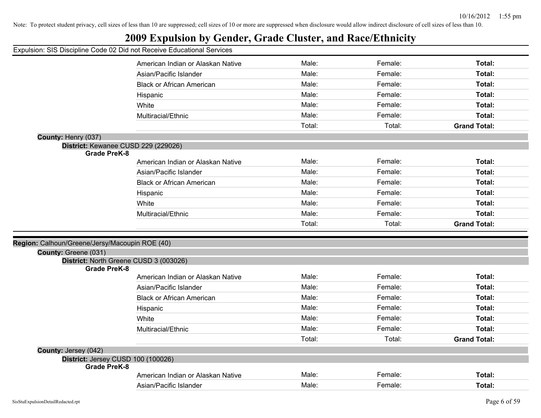|  |  |  |  | Expulsion: SIS Discipline Code 02 Did not Receive Educational Services |  |
|--|--|--|--|------------------------------------------------------------------------|--|
|  |  |  |  |                                                                        |  |

|                      | American Indian or Alaskan Native              | Male:  | Female: | Total:              |
|----------------------|------------------------------------------------|--------|---------|---------------------|
|                      | Asian/Pacific Islander                         | Male:  | Female: | Total:              |
|                      | <b>Black or African American</b>               | Male:  | Female: | Total:              |
|                      | Hispanic                                       | Male:  | Female: | Total:              |
|                      | White                                          | Male:  | Female: | Total:              |
|                      | Multiracial/Ethnic                             | Male:  | Female: | Total:              |
|                      |                                                | Total: | Total:  | <b>Grand Total:</b> |
| County: Henry (037)  |                                                |        |         |                     |
|                      | District: Kewanee CUSD 229 (229026)            |        |         |                     |
|                      | <b>Grade PreK-8</b>                            |        |         |                     |
|                      | American Indian or Alaskan Native              | Male:  | Female: | Total:              |
|                      | Asian/Pacific Islander                         | Male:  | Female: | Total:              |
|                      | <b>Black or African American</b>               | Male:  | Female: | Total:              |
|                      | Hispanic                                       | Male:  | Female: | Total:              |
|                      | White                                          | Male:  | Female: | Total:              |
|                      | Multiracial/Ethnic                             | Male:  | Female: | Total:              |
|                      |                                                | Total: | Total:  | <b>Grand Total:</b> |
|                      |                                                |        |         |                     |
| County: Greene (031) | Region: Calhoun/Greene/Jersy/Macoupin ROE (40) |        |         |                     |
|                      | District: North Greene CUSD 3 (003026)         |        |         |                     |
|                      | <b>Grade PreK-8</b>                            |        |         |                     |
|                      | American Indian or Alaskan Native              | Male:  | Female: | Total:              |
|                      | Asian/Pacific Islander                         | Male:  | Female: | Total:              |
|                      | <b>Black or African American</b>               | Male:  | Female: | Total:              |
|                      | Hispanic                                       | Male:  | Female: | Total:              |
|                      | White                                          | Male:  | Female: | Total:              |
|                      | Multiracial/Ethnic                             | Male:  | Female: | Total:              |
|                      |                                                | Total: | Total:  | <b>Grand Total:</b> |
| County: Jersey (042) |                                                |        |         |                     |
|                      | District: Jersey CUSD 100 (100026)             |        |         |                     |
|                      | <b>Grade PreK-8</b>                            |        |         |                     |
|                      | American Indian or Alaskan Native              | Male:  | Female: | Total:              |
|                      | Asian/Pacific Islander                         | Male:  | Female: | Total:              |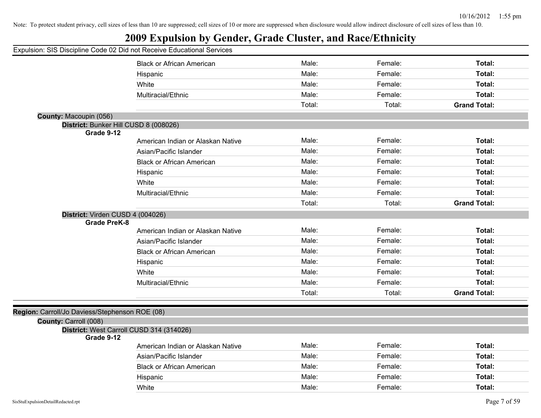|  |  |  |  |  | Expulsion: SIS Discipline Code 02 Did not Receive Educational Services |
|--|--|--|--|--|------------------------------------------------------------------------|
|  |  |  |  |  |                                                                        |

|                                                | <b>Black or African American</b>                       | Male:  | Female: | Total:              |
|------------------------------------------------|--------------------------------------------------------|--------|---------|---------------------|
|                                                | Hispanic                                               | Male:  | Female: | Total:              |
|                                                | White                                                  | Male:  | Female: | Total:              |
|                                                | Multiracial/Ethnic                                     | Male:  | Female: | Total:              |
|                                                |                                                        | Total: | Total:  | <b>Grand Total:</b> |
| County: Macoupin (056)                         |                                                        |        |         |                     |
|                                                | District: Bunker Hill CUSD 8 (008026)                  |        |         |                     |
|                                                | Grade 9-12                                             |        |         |                     |
|                                                | American Indian or Alaskan Native                      | Male:  | Female: | Total:              |
|                                                | Asian/Pacific Islander                                 | Male:  | Female: | Total:              |
|                                                | <b>Black or African American</b>                       | Male:  | Female: | Total:              |
|                                                | Hispanic                                               | Male:  | Female: | Total:              |
|                                                | White                                                  | Male:  | Female: | Total:              |
|                                                | Multiracial/Ethnic                                     | Male:  | Female: | Total:              |
|                                                |                                                        | Total: | Total:  | <b>Grand Total:</b> |
|                                                | District: Virden CUSD 4 (004026)                       |        |         |                     |
|                                                | <b>Grade PreK-8</b>                                    |        |         |                     |
|                                                | American Indian or Alaskan Native                      | Male:  | Female: | Total:              |
|                                                | Asian/Pacific Islander                                 | Male:  | Female: | Total:              |
|                                                | <b>Black or African American</b>                       | Male:  | Female: | Total:              |
|                                                | Hispanic                                               | Male:  | Female: | Total:              |
|                                                | White                                                  | Male:  | Female: | Total:              |
|                                                | Multiracial/Ethnic                                     | Male:  | Female: | Total:              |
|                                                |                                                        | Total: | Total:  | <b>Grand Total:</b> |
|                                                |                                                        |        |         |                     |
| Region: Carroll/Jo Daviess/Stephenson ROE (08) |                                                        |        |         |                     |
| County: Carroll (008)                          |                                                        |        |         |                     |
|                                                | District: West Carroll CUSD 314 (314026)<br>Grade 9-12 |        |         |                     |
|                                                | American Indian or Alaskan Native                      | Male:  | Female: | Total:              |
|                                                | Asian/Pacific Islander                                 | Male:  | Female: | Total:              |
|                                                | <b>Black or African American</b>                       | Male:  | Female: | Total:              |
|                                                | Hispanic                                               | Male:  | Female: | Total:              |
|                                                | White                                                  | Male:  | Female: | Total:              |
|                                                |                                                        |        |         |                     |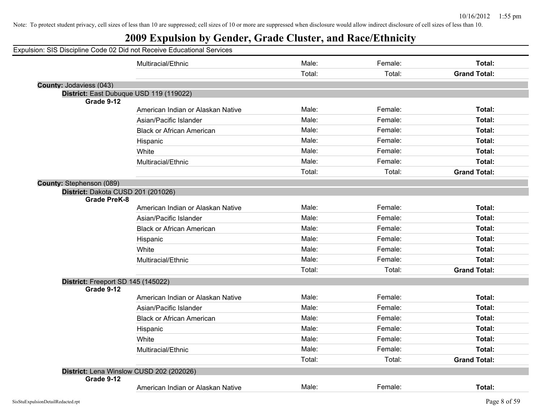| Expulsion: SIS Discipline Code 02 Did not Receive Educational Services |                                   |        |         |                     |
|------------------------------------------------------------------------|-----------------------------------|--------|---------|---------------------|
|                                                                        | Multiracial/Ethnic                | Male:  | Female: | Total:              |
|                                                                        |                                   | Total: | Total:  | <b>Grand Total:</b> |
| County: Jodaviess (043)                                                |                                   |        |         |                     |
| District: East Dubuque USD 119 (119022)                                |                                   |        |         |                     |
| Grade 9-12                                                             | American Indian or Alaskan Native | Male:  | Female: | Total:              |
|                                                                        | Asian/Pacific Islander            | Male:  | Female: | Total:              |
|                                                                        |                                   | Male:  | Female: | Total:              |
|                                                                        | <b>Black or African American</b>  |        |         |                     |
|                                                                        | Hispanic                          | Male:  | Female: | Total:              |
|                                                                        | White                             | Male:  | Female: | Total:              |
|                                                                        | Multiracial/Ethnic                | Male:  | Female: | Total:              |
|                                                                        |                                   | Total: | Total:  | <b>Grand Total:</b> |
| County: Stephenson (089)                                               |                                   |        |         |                     |
| District: Dakota CUSD 201 (201026)<br><b>Grade PreK-8</b>              |                                   |        |         |                     |
|                                                                        | American Indian or Alaskan Native | Male:  | Female: | Total:              |
|                                                                        | Asian/Pacific Islander            | Male:  | Female: | Total:              |
|                                                                        | <b>Black or African American</b>  | Male:  | Female: | Total:              |
|                                                                        | Hispanic                          | Male:  | Female: | Total:              |
|                                                                        | White                             | Male:  | Female: | Total:              |
|                                                                        | Multiracial/Ethnic                | Male:  | Female: | Total:              |
|                                                                        |                                   | Total: | Total:  | <b>Grand Total:</b> |
| District: Freeport SD 145 (145022)                                     |                                   |        |         |                     |
| Grade 9-12                                                             |                                   |        |         |                     |
|                                                                        | American Indian or Alaskan Native | Male:  | Female: | Total:              |
|                                                                        | Asian/Pacific Islander            | Male:  | Female: | Total:              |
|                                                                        | <b>Black or African American</b>  | Male:  | Female: | Total:              |
|                                                                        | Hispanic                          | Male:  | Female: | Total:              |
|                                                                        | White                             | Male:  | Female: | Total:              |
|                                                                        | Multiracial/Ethnic                | Male:  | Female: | Total:              |
|                                                                        |                                   | Total: | Total:  | <b>Grand Total:</b> |
| District: Lena Winslow CUSD 202 (202026)                               |                                   |        |         |                     |
| Grade 9-12                                                             |                                   |        |         |                     |
|                                                                        | American Indian or Alaskan Native | Male:  | Female: | Total:              |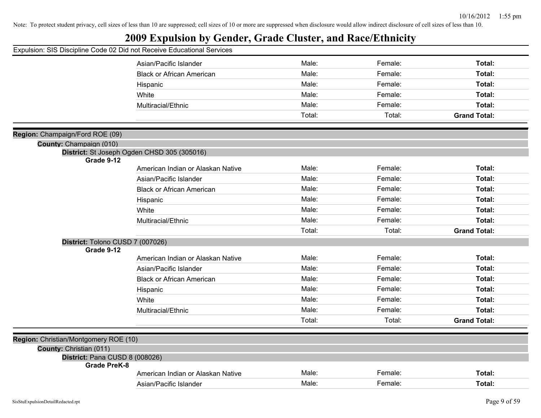|  |  |  |  |  |  |  |  |  | Expulsion: SIS Discipline Code 02 Did not Receive Educational Services |  |  |  |  |
|--|--|--|--|--|--|--|--|--|------------------------------------------------------------------------|--|--|--|--|
|--|--|--|--|--|--|--|--|--|------------------------------------------------------------------------|--|--|--|--|

|                                                            | Asian/Pacific Islander                      | Male:  | Female: | Total:              |
|------------------------------------------------------------|---------------------------------------------|--------|---------|---------------------|
|                                                            | <b>Black or African American</b>            | Male:  | Female: | Total:              |
|                                                            | Hispanic                                    | Male:  | Female: | Total:              |
|                                                            | White                                       | Male:  | Female: | Total:              |
|                                                            | Multiracial/Ethnic                          | Male:  | Female: | Total:              |
|                                                            |                                             | Total: | Total:  | <b>Grand Total:</b> |
|                                                            |                                             |        |         |                     |
| Region: Champaign/Ford ROE (09)<br>County: Champaign (010) |                                             |        |         |                     |
|                                                            | District: St Joseph Ogden CHSD 305 (305016) |        |         |                     |
| Grade 9-12                                                 |                                             |        |         |                     |
|                                                            | American Indian or Alaskan Native           | Male:  | Female: | Total:              |
|                                                            | Asian/Pacific Islander                      | Male:  | Female: | Total:              |
|                                                            | <b>Black or African American</b>            | Male:  | Female: | Total:              |
|                                                            | Hispanic                                    | Male:  | Female: | Total:              |
|                                                            | White                                       | Male:  | Female: | Total:              |
|                                                            | Multiracial/Ethnic                          | Male:  | Female: | Total:              |
|                                                            |                                             | Total: | Total:  | <b>Grand Total:</b> |
| District: Tolono CUSD 7 (007026)                           |                                             |        |         |                     |
| Grade 9-12                                                 |                                             |        | Female: |                     |
|                                                            | American Indian or Alaskan Native           | Male:  |         | Total:              |
|                                                            | Asian/Pacific Islander                      | Male:  | Female: | Total:              |
|                                                            | <b>Black or African American</b>            | Male:  | Female: | Total:              |
|                                                            | Hispanic                                    | Male:  | Female: | Total:              |
|                                                            | White                                       | Male:  | Female: | Total:              |
|                                                            | Multiracial/Ethnic                          | Male:  | Female: | Total:              |
|                                                            |                                             | Total: | Total:  | <b>Grand Total:</b> |
| Region: Christian/Montgomery ROE (10)                      |                                             |        |         |                     |
| County: Christian (011)                                    |                                             |        |         |                     |
| District: Pana CUSD 8 (008026)<br><b>Grade PreK-8</b>      |                                             |        |         |                     |
|                                                            | American Indian or Alaskan Native           | Male:  | Female: | Total:              |
|                                                            | Asian/Pacific Islander                      | Male:  | Female: | Total:              |
|                                                            |                                             |        |         |                     |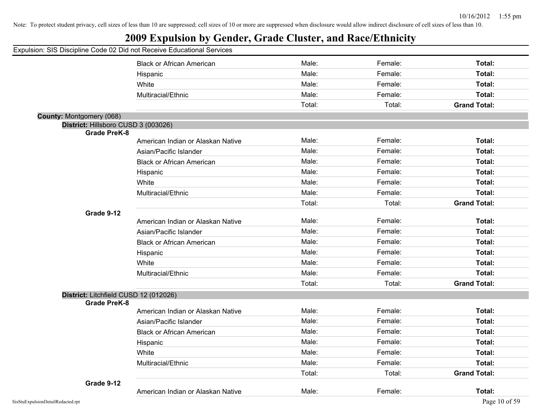## **2009 Expulsion by Gender, Grade Cluster, and Race/Ethnicity**

|                                       | <b>Black or African American</b>  | Male:  | Female: | Total:              |
|---------------------------------------|-----------------------------------|--------|---------|---------------------|
|                                       | Hispanic                          | Male:  | Female: | Total:              |
|                                       | White                             | Male:  | Female: | Total:              |
|                                       | Multiracial/Ethnic                | Male:  | Female: | Total:              |
|                                       |                                   | Total: | Total:  | <b>Grand Total:</b> |
| County: Montgomery (068)              |                                   |        |         |                     |
| District: Hillsboro CUSD 3 (003026)   |                                   |        |         |                     |
| <b>Grade PreK-8</b>                   |                                   |        |         |                     |
|                                       | American Indian or Alaskan Native | Male:  | Female: | Total:              |
|                                       | Asian/Pacific Islander            | Male:  | Female: | Total:              |
|                                       | <b>Black or African American</b>  | Male:  | Female: | Total:              |
|                                       | Hispanic                          | Male:  | Female: | Total:              |
|                                       | White                             | Male:  | Female: | Total:              |
|                                       | Multiracial/Ethnic                | Male:  | Female: | Total:              |
|                                       |                                   | Total: | Total:  | <b>Grand Total:</b> |
| Grade 9-12                            |                                   |        |         |                     |
|                                       | American Indian or Alaskan Native | Male:  | Female: | Total:              |
|                                       | Asian/Pacific Islander            | Male:  | Female: | Total:              |
|                                       | <b>Black or African American</b>  | Male:  | Female: | Total:              |
|                                       | Hispanic                          | Male:  | Female: | Total:              |
|                                       | White                             | Male:  | Female: | Total:              |
|                                       | Multiracial/Ethnic                | Male:  | Female: | Total:              |
|                                       |                                   | Total: | Total:  | <b>Grand Total:</b> |
| District: Litchfield CUSD 12 (012026) |                                   |        |         |                     |
| <b>Grade PreK-8</b>                   |                                   |        |         |                     |
|                                       | American Indian or Alaskan Native | Male:  | Female: | Total:              |
|                                       | Asian/Pacific Islander            | Male:  | Female: | Total:              |
|                                       | <b>Black or African American</b>  | Male:  | Female: | Total:              |
|                                       | Hispanic                          | Male:  | Female: | Total:              |
|                                       | White                             | Male:  | Female: | Total:              |
|                                       | Multiracial/Ethnic                | Male:  | Female: | Total:              |
|                                       |                                   | Total: | Total:  | <b>Grand Total:</b> |
| Grade 9-12                            |                                   |        |         |                     |
|                                       | American Indian or Alaskan Native | Male:  | Female: | Total:              |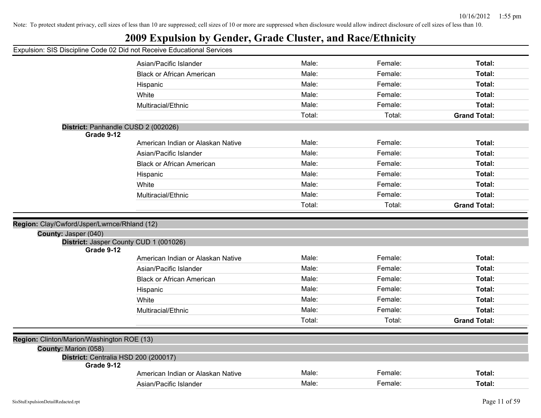## **2009 Expulsion by Gender, Grade Cluster, and Race/Ethnicity**

|                                                                                    | Asian/Pacific Islander            | Male:  | Female: | Total:              |
|------------------------------------------------------------------------------------|-----------------------------------|--------|---------|---------------------|
|                                                                                    | <b>Black or African American</b>  | Male:  | Female: | Total:              |
|                                                                                    | Hispanic                          | Male:  | Female: | Total:              |
|                                                                                    | White                             | Male:  | Female: | Total:              |
|                                                                                    | Multiracial/Ethnic                | Male:  | Female: | Total:              |
|                                                                                    |                                   | Total: | Total:  | <b>Grand Total:</b> |
| District: Panhandle CUSD 2 (002026)                                                |                                   |        |         |                     |
| Grade 9-12                                                                         |                                   |        |         |                     |
|                                                                                    | American Indian or Alaskan Native | Male:  | Female: | Total:              |
|                                                                                    | Asian/Pacific Islander            | Male:  | Female: | Total:              |
|                                                                                    | <b>Black or African American</b>  | Male:  | Female: | Total:              |
|                                                                                    | Hispanic                          | Male:  | Female: | Total:              |
|                                                                                    | White                             | Male:  | Female: | Total:              |
|                                                                                    | Multiracial/Ethnic                | Male:  | Female: | Total:              |
|                                                                                    |                                   | Total: | Total:  | <b>Grand Total:</b> |
|                                                                                    |                                   |        |         |                     |
| Region: Clay/Cwford/Jsper/Lwrnce/Rhland (12)                                       |                                   |        |         |                     |
| County: Jasper (040)                                                               |                                   |        |         |                     |
| District: Jasper County CUD 1 (001026)<br>Grade 9-12                               |                                   |        |         |                     |
|                                                                                    | American Indian or Alaskan Native | Male:  | Female: | Total:              |
|                                                                                    | Asian/Pacific Islander            | Male:  | Female: | Total:              |
|                                                                                    | <b>Black or African American</b>  | Male:  | Female: | Total:              |
|                                                                                    |                                   |        |         |                     |
|                                                                                    | Hispanic                          | Male:  | Female: | Total:              |
|                                                                                    | White                             | Male:  | Female: | Total:              |
|                                                                                    | Multiracial/Ethnic                | Male:  | Female: | Total:              |
|                                                                                    |                                   | Total: | Total:  | <b>Grand Total:</b> |
|                                                                                    |                                   |        |         |                     |
|                                                                                    |                                   |        |         |                     |
|                                                                                    |                                   |        |         |                     |
| County: Marion (058)                                                               |                                   |        |         |                     |
| Region: Clinton/Marion/Washington ROE (13)<br>District: Centralia HSD 200 (200017) |                                   |        |         |                     |
| Grade 9-12                                                                         | American Indian or Alaskan Native | Male:  | Female: | Total:              |
|                                                                                    | Asian/Pacific Islander            | Male:  | Female: | Total:              |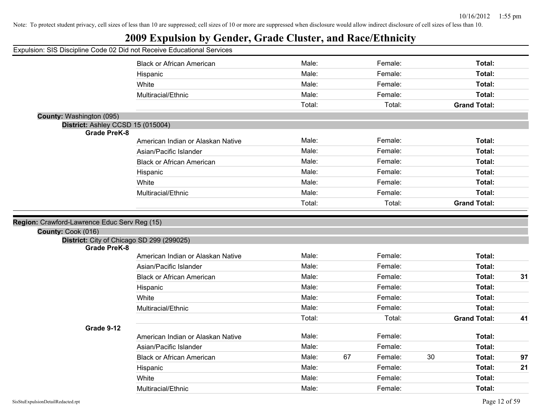## **2009 Expulsion by Gender, Grade Cluster, and Race/Ethnicity**

|                                                                    | <b>Black or African American</b>  | Male:  | Female:       |    | Total:              |    |
|--------------------------------------------------------------------|-----------------------------------|--------|---------------|----|---------------------|----|
|                                                                    | Hispanic                          | Male:  | Female:       |    | Total:              |    |
|                                                                    | White                             | Male:  | Female:       |    | Total:              |    |
|                                                                    | Multiracial/Ethnic                | Male:  | Female:       |    | Total:              |    |
|                                                                    |                                   | Total: | Total:        |    | <b>Grand Total:</b> |    |
| County: Washington (095)                                           |                                   |        |               |    |                     |    |
| District: Ashley CCSD 15 (015004)                                  |                                   |        |               |    |                     |    |
| <b>Grade PreK-8</b>                                                |                                   |        |               |    |                     |    |
|                                                                    | American Indian or Alaskan Native | Male:  | Female:       |    | Total:              |    |
|                                                                    | Asian/Pacific Islander            | Male:  | Female:       |    | Total:              |    |
|                                                                    | <b>Black or African American</b>  | Male:  | Female:       |    | Total:              |    |
|                                                                    | Hispanic                          | Male:  | Female:       |    | Total:              |    |
|                                                                    | White                             | Male:  | Female:       |    | Total:              |    |
|                                                                    | Multiracial/Ethnic                | Male:  | Female:       |    | Total:              |    |
|                                                                    |                                   | Total: | Total:        |    | <b>Grand Total:</b> |    |
| Region: Crawford-Lawrence Educ Serv Reg (15)<br>County: Cook (016) |                                   |        |               |    |                     |    |
| District: City of Chicago SD 299 (299025)                          |                                   |        |               |    |                     |    |
| <b>Grade PreK-8</b>                                                |                                   | Male:  | Female:       |    | Total:              |    |
|                                                                    | American Indian or Alaskan Native | Male:  | Female:       |    | Total:              |    |
|                                                                    | Asian/Pacific Islander            |        |               |    |                     |    |
|                                                                    | <b>Black or African American</b>  | Male:  | Female:       |    | Total:              | 31 |
|                                                                    | Hispanic                          | Male:  | Female:       |    | Total:              |    |
|                                                                    | White                             | Male:  | Female:       |    | Total:              |    |
|                                                                    | Multiracial/Ethnic                | Male:  | Female:       |    | Total:              |    |
|                                                                    |                                   | Total: | Total:        |    | <b>Grand Total:</b> | 41 |
| Grade 9-12                                                         |                                   | Male:  | Female:       |    |                     |    |
|                                                                    | American Indian or Alaskan Native |        |               |    | Total:              |    |
|                                                                    | Asian/Pacific Islander            | Male:  | Female:       |    | Total:              |    |
|                                                                    | <b>Black or African American</b>  | Male:  | 67<br>Female: | 30 | Total:              | 97 |
|                                                                    | Hispanic                          | Male:  | Female:       |    | Total:              | 21 |
|                                                                    | White                             | Male:  | Female:       |    | Total:              |    |
|                                                                    | Multiracial/Ethnic                | Male:  | Female:       |    | Total:              |    |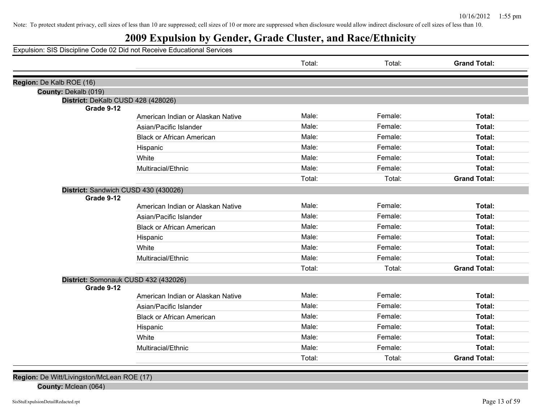## **2009 Expulsion by Gender, Grade Cluster, and Race/Ethnicity**

Expulsion: SIS Discipline Code 02 Did not Receive Educational Services

|                                                    |                                   | Total: | Total:  | <b>Grand Total:</b> |
|----------------------------------------------------|-----------------------------------|--------|---------|---------------------|
| Region: De Kalb ROE (16)                           |                                   |        |         |                     |
| County: Dekalb (019)                               |                                   |        |         |                     |
| District: DeKalb CUSD 428 (428026)                 |                                   |        |         |                     |
| Grade 9-12                                         |                                   |        |         |                     |
|                                                    | American Indian or Alaskan Native | Male:  | Female: | Total:              |
|                                                    | Asian/Pacific Islander            | Male:  | Female: | <b>Total:</b>       |
|                                                    | <b>Black or African American</b>  | Male:  | Female: | Total:              |
|                                                    | Hispanic                          | Male:  | Female: | Total:              |
|                                                    | White                             | Male:  | Female: | Total:              |
|                                                    | Multiracial/Ethnic                | Male:  | Female: | Total:              |
|                                                    |                                   | Total: | Total:  | <b>Grand Total:</b> |
| District: Sandwich CUSD 430 (430026)               |                                   |        |         |                     |
| Grade 9-12                                         |                                   |        |         |                     |
|                                                    | American Indian or Alaskan Native | Male:  | Female: | Total:              |
|                                                    | Asian/Pacific Islander            | Male:  | Female: | Total:              |
|                                                    | <b>Black or African American</b>  | Male:  | Female: | Total:              |
|                                                    | Hispanic                          | Male:  | Female: | Total:              |
|                                                    | White                             | Male:  | Female: | Total:              |
|                                                    | Multiracial/Ethnic                | Male:  | Female: | Total:              |
|                                                    |                                   | Total: | Total:  | <b>Grand Total:</b> |
| District: Somonauk CUSD 432 (432026)<br>Grade 9-12 |                                   |        |         |                     |
|                                                    | American Indian or Alaskan Native | Male:  | Female: | Total:              |
|                                                    | Asian/Pacific Islander            | Male:  | Female: | Total:              |
|                                                    | <b>Black or African American</b>  | Male:  | Female: | Total:              |
|                                                    | Hispanic                          | Male:  | Female: | Total:              |
|                                                    | White                             | Male:  | Female: | Total:              |
|                                                    | Multiracial/Ethnic                | Male:  | Female: | Total:              |
|                                                    |                                   | Total: | Total:  | <b>Grand Total:</b> |

**Region:** De Witt/Livingston/McLean ROE (17)

**County:** Mclean (064)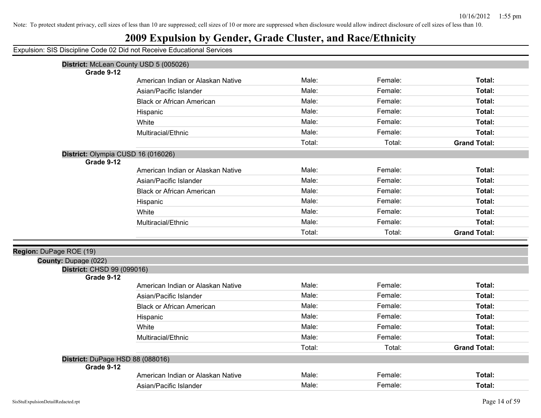| Expulsion: SIS Discipline Code 02 Did not Receive Educational Services |
|------------------------------------------------------------------------|
|------------------------------------------------------------------------|

| District: McLean County USD 5 (005026)         |                                   |        |         |                     |
|------------------------------------------------|-----------------------------------|--------|---------|---------------------|
| Grade 9-12                                     |                                   |        |         |                     |
|                                                | American Indian or Alaskan Native | Male:  | Female: | <b>Total:</b>       |
|                                                | Asian/Pacific Islander            | Male:  | Female: | Total:              |
|                                                | <b>Black or African American</b>  | Male:  | Female: | Total:              |
|                                                | Hispanic                          | Male:  | Female: | Total:              |
|                                                | White                             | Male:  | Female: | Total:              |
|                                                | Multiracial/Ethnic                | Male:  | Female: | Total:              |
|                                                |                                   | Total: | Total:  | <b>Grand Total:</b> |
| District: Olympia CUSD 16 (016026)             |                                   |        |         |                     |
| Grade 9-12                                     |                                   |        |         |                     |
|                                                | American Indian or Alaskan Native | Male:  | Female: | Total:              |
|                                                | Asian/Pacific Islander            | Male:  | Female: | Total:              |
|                                                | <b>Black or African American</b>  | Male:  | Female: | Total:              |
|                                                | Hispanic                          | Male:  | Female: | Total:              |
|                                                | White                             | Male:  | Female: | Total:              |
|                                                | Multiracial/Ethnic                | Male:  | Female: | Total:              |
|                                                |                                   | Total: | Total:  | <b>Grand Total:</b> |
| Region: DuPage ROE (19)                        |                                   |        |         |                     |
| County: Dupage (022)                           |                                   |        |         |                     |
| District: CHSD 99 (099016)                     |                                   |        |         |                     |
| Grade 9-12                                     |                                   |        |         |                     |
|                                                | American Indian or Alaskan Native | Male:  | Female: | <b>Total:</b>       |
|                                                | Asian/Pacific Islander            | Male:  | Female: | Total:              |
|                                                | <b>Black or African American</b>  | Male:  | Female: | Total:              |
|                                                | Hispanic                          | Male:  | Female: | Total:              |
|                                                | White                             | Male:  | Female: | Total:              |
|                                                | Multiracial/Ethnic                | Male:  | Female: | Total:              |
|                                                |                                   | Total: | Total:  | <b>Grand Total:</b> |
| District: DuPage HSD 88 (088016)<br>Grade 9-12 |                                   |        |         |                     |
|                                                | American Indian or Alaskan Native | Male:  | Female: | Total:              |
|                                                | Asian/Pacific Islander            | Male:  | Female: | Total:              |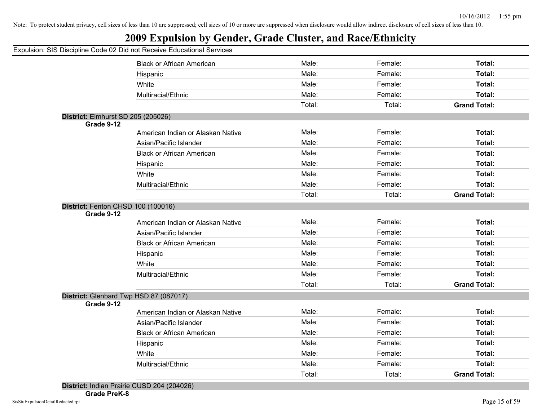## **2009 Expulsion by Gender, Grade Cluster, and Race/Ethnicity**

#### Expulsion: SIS Discipline Code 02 Did not Receive Educational Services

| a.o.o o.o b.oo                                   |                                        |        |         |                     |
|--------------------------------------------------|----------------------------------------|--------|---------|---------------------|
|                                                  | <b>Black or African American</b>       | Male:  | Female: | Total:              |
|                                                  | Hispanic                               | Male:  | Female: | Total:              |
|                                                  | White                                  | Male:  | Female: | Total:              |
|                                                  | Multiracial/Ethnic                     | Male:  | Female: | Total:              |
|                                                  |                                        | Total: | Total:  | <b>Grand Total:</b> |
| District: Elmhurst SD 205 (205026)<br>Grade 9-12 |                                        |        |         |                     |
|                                                  | American Indian or Alaskan Native      | Male:  | Female: | Total:              |
|                                                  | Asian/Pacific Islander                 | Male:  | Female: | Total:              |
|                                                  | <b>Black or African American</b>       | Male:  | Female: | Total:              |
|                                                  | Hispanic                               | Male:  | Female: | Total:              |
|                                                  | White                                  | Male:  | Female: | Total:              |
|                                                  | Multiracial/Ethnic                     | Male:  | Female: | Total:              |
|                                                  |                                        | Total: | Total:  | <b>Grand Total:</b> |
| District: Fenton CHSD 100 (100016)<br>Grade 9-12 |                                        |        |         |                     |
|                                                  | American Indian or Alaskan Native      | Male:  | Female: | Total:              |
|                                                  | Asian/Pacific Islander                 | Male:  | Female: | Total:              |
|                                                  | <b>Black or African American</b>       | Male:  | Female: | Total:              |
|                                                  | Hispanic                               | Male:  | Female: | Total:              |
|                                                  | White                                  | Male:  | Female: | Total:              |
|                                                  | Multiracial/Ethnic                     | Male:  | Female: | Total:              |
|                                                  |                                        | Total: | Total:  | <b>Grand Total:</b> |
|                                                  | District: Glenbard Twp HSD 87 (087017) |        |         |                     |
| Grade 9-12                                       | American Indian or Alaskan Native      | Male:  | Female: | Total:              |
|                                                  | Asian/Pacific Islander                 | Male:  | Female: | Total:              |
|                                                  | <b>Black or African American</b>       | Male:  | Female: | Total:              |
|                                                  | Hispanic                               | Male:  | Female: | Total:              |
|                                                  | White                                  | Male:  | Female: | Total:              |
|                                                  | Multiracial/Ethnic                     | Male:  | Female: | Total:              |
|                                                  |                                        | Total: | Total:  | <b>Grand Total:</b> |
|                                                  |                                        |        |         |                     |

**District:** Indian Prairie CUSD 204 (204026)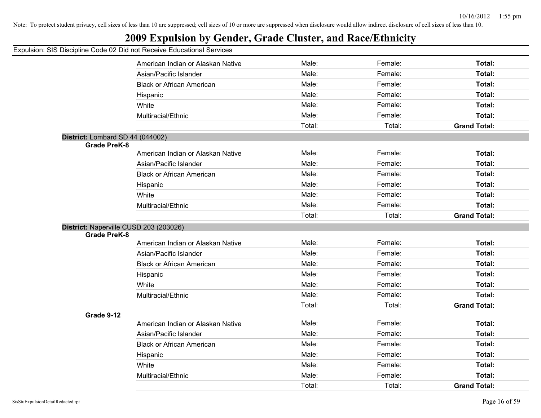## **2009 Expulsion by Gender, Grade Cluster, and Race/Ethnicity**

|                                  | American Indian or Alaskan Native      | Male:  | Female: | Total:              |
|----------------------------------|----------------------------------------|--------|---------|---------------------|
|                                  | Asian/Pacific Islander                 | Male:  | Female: | Total:              |
|                                  | <b>Black or African American</b>       | Male:  | Female: | Total:              |
|                                  | Hispanic                               | Male:  | Female: | Total:              |
|                                  | White                                  | Male:  | Female: | Total:              |
|                                  | Multiracial/Ethnic                     | Male:  | Female: | Total:              |
|                                  |                                        | Total: | Total:  | <b>Grand Total:</b> |
| District: Lombard SD 44 (044002) |                                        |        |         |                     |
| <b>Grade PreK-8</b>              |                                        |        |         |                     |
|                                  | American Indian or Alaskan Native      | Male:  | Female: | Total:              |
|                                  | Asian/Pacific Islander                 | Male:  | Female: | Total:              |
|                                  | <b>Black or African American</b>       | Male:  | Female: | Total:              |
|                                  | Hispanic                               | Male:  | Female: | Total:              |
|                                  | White                                  | Male:  | Female: | Total:              |
|                                  | Multiracial/Ethnic                     | Male:  | Female: | Total:              |
|                                  |                                        | Total: | Total:  | <b>Grand Total:</b> |
|                                  | District: Naperville CUSD 203 (203026) |        |         |                     |
| <b>Grade PreK-8</b>              |                                        |        |         |                     |
|                                  | American Indian or Alaskan Native      | Male:  | Female: | Total:              |
|                                  | Asian/Pacific Islander                 | Male:  | Female: | Total:              |
|                                  | <b>Black or African American</b>       | Male:  | Female: | Total:              |
|                                  | Hispanic                               | Male:  | Female: | Total:              |
|                                  | White                                  | Male:  | Female: | Total:              |
|                                  | Multiracial/Ethnic                     | Male:  | Female: | Total:              |
|                                  |                                        | Total: | Total:  | <b>Grand Total:</b> |
| Grade 9-12                       |                                        |        |         |                     |
|                                  | American Indian or Alaskan Native      | Male:  | Female: | Total:              |
|                                  | Asian/Pacific Islander                 | Male:  | Female: | Total:              |
|                                  | <b>Black or African American</b>       | Male:  | Female: | Total:              |
|                                  | Hispanic                               | Male:  | Female: | Total:              |
|                                  | White                                  | Male:  | Female: | Total:              |
|                                  | Multiracial/Ethnic                     | Male:  | Female: | Total:              |
|                                  |                                        | Total: | Total:  | <b>Grand Total:</b> |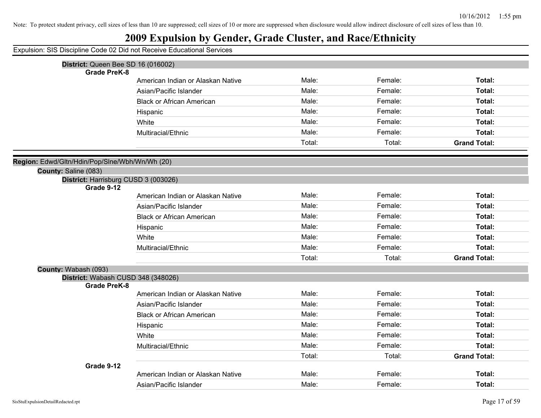## **2009 Expulsion by Gender, Grade Cluster, and Race/Ethnicity**

| District: Queen Bee SD 16 (016002)                        |                                   |        |         |                     |
|-----------------------------------------------------------|-----------------------------------|--------|---------|---------------------|
| <b>Grade PreK-8</b>                                       |                                   |        |         |                     |
|                                                           | American Indian or Alaskan Native | Male:  | Female: | Total:              |
|                                                           | Asian/Pacific Islander            | Male:  | Female: | Total:              |
|                                                           | <b>Black or African American</b>  | Male:  | Female: | Total:              |
|                                                           | Hispanic                          | Male:  | Female: | <b>Total:</b>       |
|                                                           | White                             | Male:  | Female: | Total:              |
|                                                           | Multiracial/Ethnic                | Male:  | Female: | Total:              |
|                                                           |                                   | Total: | Total:  | <b>Grand Total:</b> |
| Region: Edwd/Gltn/Hdin/Pop/Slne/Wbh/Wn/Wh (20)            |                                   |        |         |                     |
| County: Saline (083)                                      |                                   |        |         |                     |
| District: Harrisburg CUSD 3 (003026)                      |                                   |        |         |                     |
| Grade 9-12                                                |                                   |        |         |                     |
|                                                           | American Indian or Alaskan Native | Male:  | Female: | Total:              |
|                                                           | Asian/Pacific Islander            | Male:  | Female: | Total:              |
|                                                           | <b>Black or African American</b>  | Male:  | Female: | Total:              |
|                                                           | Hispanic                          | Male:  | Female: | Total:              |
|                                                           | White                             | Male:  | Female: | Total:              |
|                                                           | Multiracial/Ethnic                | Male:  | Female: | Total:              |
|                                                           |                                   | Total: | Total:  | <b>Grand Total:</b> |
| County: Wabash (093)                                      |                                   |        |         |                     |
| District: Wabash CUSD 348 (348026)<br><b>Grade PreK-8</b> |                                   |        |         |                     |
|                                                           | American Indian or Alaskan Native | Male:  | Female: | Total:              |
|                                                           | Asian/Pacific Islander            | Male:  | Female: | Total:              |
|                                                           | <b>Black or African American</b>  | Male:  | Female: | Total:              |
|                                                           | Hispanic                          | Male:  | Female: | Total:              |
|                                                           | White                             | Male:  | Female: | <b>Total:</b>       |
|                                                           | Multiracial/Ethnic                | Male:  | Female: | Total:              |
|                                                           |                                   | Total: | Total:  | <b>Grand Total:</b> |
| Grade 9-12                                                |                                   |        |         |                     |
|                                                           | American Indian or Alaskan Native | Male:  | Female: | Total:              |
|                                                           | Asian/Pacific Islander            | Male:  | Female: | Total:              |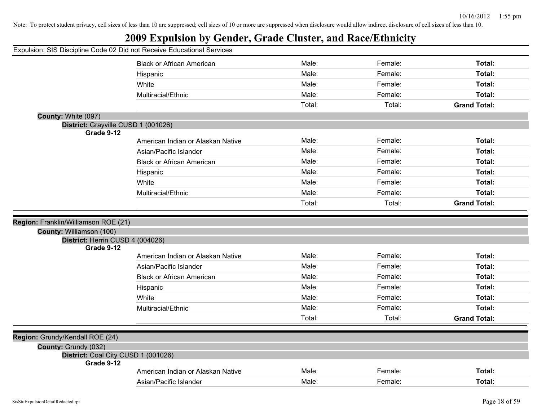## **2009 Expulsion by Gender, Grade Cluster, and Race/Ethnicity**

|                                                   | <b>Black or African American</b>  | Male:  | Female: | Total:              |
|---------------------------------------------------|-----------------------------------|--------|---------|---------------------|
|                                                   | Hispanic                          | Male:  | Female: | Total:              |
|                                                   | White                             | Male:  | Female: | Total:              |
|                                                   | Multiracial/Ethnic                | Male:  | Female: | Total:              |
|                                                   |                                   | Total: | Total:  | <b>Grand Total:</b> |
| County: White (097)                               |                                   |        |         |                     |
| District: Grayville CUSD 1 (001026)               |                                   |        |         |                     |
| Grade 9-12                                        |                                   |        |         |                     |
|                                                   | American Indian or Alaskan Native | Male:  | Female: | Total:              |
|                                                   | Asian/Pacific Islander            | Male:  | Female: | Total:              |
|                                                   | <b>Black or African American</b>  | Male:  | Female: | Total:              |
|                                                   | Hispanic                          | Male:  | Female: | Total:              |
|                                                   | White                             | Male:  | Female: | Total:              |
|                                                   | Multiracial/Ethnic                | Male:  | Female: | Total:              |
|                                                   |                                   | Total: | Total:  | <b>Grand Total:</b> |
|                                                   |                                   |        |         |                     |
| Region: Franklin/Williamson ROE (21)              |                                   |        |         |                     |
| County: Williamson (100)                          |                                   |        |         |                     |
| District: Herrin CUSD 4 (004026)<br>Grade 9-12    |                                   |        |         |                     |
|                                                   | American Indian or Alaskan Native | Male:  | Female: | Total:              |
|                                                   | Asian/Pacific Islander            | Male:  | Female: | Total:              |
|                                                   | <b>Black or African American</b>  | Male:  | Female: | Total:              |
|                                                   | Hispanic                          | Male:  | Female: | Total:              |
|                                                   | White                             | Male:  | Female: | Total:              |
|                                                   | Multiracial/Ethnic                | Male:  | Female: | Total:              |
|                                                   |                                   | Total: | Total:  | <b>Grand Total:</b> |
|                                                   |                                   |        |         |                     |
| Region: Grundy/Kendall ROE (24)                   |                                   |        |         |                     |
| County: Grundy (032)                              |                                   |        |         |                     |
| District: Coal City CUSD 1 (001026)<br>Grade 9-12 |                                   |        |         |                     |
|                                                   |                                   |        |         |                     |
|                                                   | American Indian or Alaskan Native | Male:  | Female: | Total:              |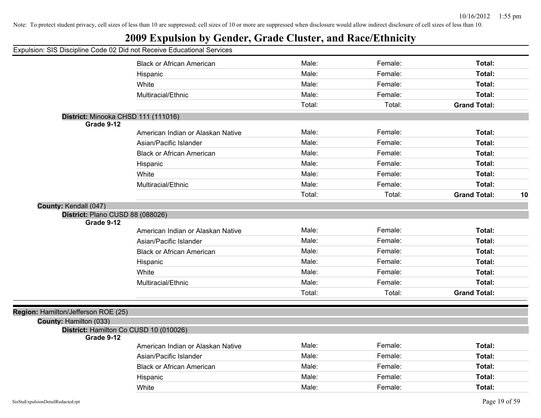## **2009 Expulsion by Gender, Grade Cluster, and Race/Ethnicity**

|                                                | <b>Black or African American</b>  | Male:  | Female: | Total:              |    |
|------------------------------------------------|-----------------------------------|--------|---------|---------------------|----|
|                                                | Hispanic                          | Male:  | Female: | Total:              |    |
|                                                | White                             | Male:  | Female: | Total:              |    |
|                                                | Multiracial/Ethnic                | Male:  | Female: | Total:              |    |
|                                                |                                   | Total: | Total:  | <b>Grand Total:</b> |    |
| District: Minooka CHSD 111 (111016)            |                                   |        |         |                     |    |
| Grade 9-12                                     | American Indian or Alaskan Native | Male:  | Female: | Total:              |    |
|                                                | Asian/Pacific Islander            | Male:  | Female: | Total:              |    |
|                                                |                                   | Male:  | Female: | Total:              |    |
|                                                | <b>Black or African American</b>  |        |         |                     |    |
|                                                | Hispanic                          | Male:  | Female: | Total:              |    |
|                                                | White                             | Male:  | Female: | Total:              |    |
|                                                | Multiracial/Ethnic                | Male:  | Female: | Total:              |    |
|                                                |                                   | Total: | Total:  | <b>Grand Total:</b> | 10 |
| County: Kendall (047)                          |                                   |        |         |                     |    |
| District: Plano CUSD 88 (088026)<br>Grade 9-12 |                                   |        |         |                     |    |
|                                                | American Indian or Alaskan Native | Male:  | Female: | Total:              |    |
|                                                | Asian/Pacific Islander            | Male:  | Female: | Total:              |    |
|                                                | <b>Black or African American</b>  | Male:  | Female: | Total:              |    |
|                                                | Hispanic                          | Male:  | Female: | Total:              |    |
|                                                | White                             | Male:  | Female: | Total:              |    |
|                                                | Multiracial/Ethnic                | Male:  | Female: | Total:              |    |
|                                                |                                   | Total: | Total:  | <b>Grand Total:</b> |    |
|                                                |                                   |        |         |                     |    |
| Region: Hamilton/Jefferson ROE (25)            |                                   |        |         |                     |    |
| County: Hamilton (033)                         |                                   |        |         |                     |    |
| District: Hamilton Co CUSD 10 (010026)         |                                   |        |         |                     |    |
| Grade 9-12                                     | American Indian or Alaskan Native | Male:  | Female: | Total:              |    |
|                                                | Asian/Pacific Islander            | Male:  | Female: | Total:              |    |
|                                                | <b>Black or African American</b>  | Male:  | Female: | Total:              |    |
|                                                |                                   | Male:  | Female: | Total:              |    |
|                                                | Hispanic                          | Male:  | Female: | Total:              |    |
|                                                | White                             |        |         |                     |    |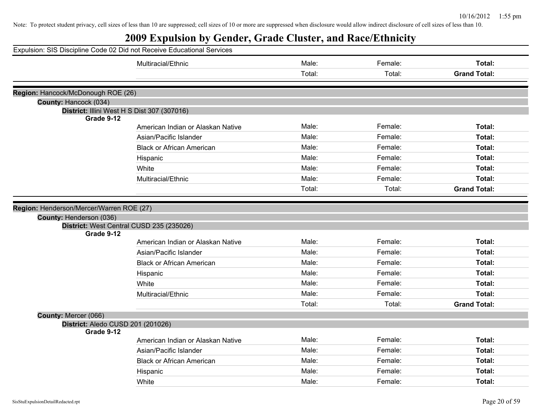|                                          | Expulsion: SIS Discipline Code 02 Did not Receive Educational Services |        |         |                     |
|------------------------------------------|------------------------------------------------------------------------|--------|---------|---------------------|
|                                          | Multiracial/Ethnic                                                     | Male:  | Female: | Total:              |
|                                          |                                                                        | Total: | Total:  | <b>Grand Total:</b> |
|                                          |                                                                        |        |         |                     |
| Region: Hancock/McDonough ROE (26)       |                                                                        |        |         |                     |
| County: Hancock (034)                    |                                                                        |        |         |                     |
|                                          | District: Illini West H S Dist 307 (307016)                            |        |         |                     |
| Grade 9-12                               |                                                                        | Male:  | Female: | Total:              |
|                                          | American Indian or Alaskan Native                                      |        |         |                     |
|                                          | Asian/Pacific Islander                                                 | Male:  | Female: | Total:              |
|                                          | <b>Black or African American</b>                                       | Male:  | Female: | Total:              |
|                                          | Hispanic                                                               | Male:  | Female: | Total:              |
|                                          | White                                                                  | Male:  | Female: | Total:              |
|                                          | Multiracial/Ethnic                                                     | Male:  | Female: | Total:              |
|                                          |                                                                        | Total: | Total:  | <b>Grand Total:</b> |
|                                          |                                                                        |        |         |                     |
| Region: Henderson/Mercer/Warren ROE (27) |                                                                        |        |         |                     |
| County: Henderson (036)                  |                                                                        |        |         |                     |
|                                          | District: West Central CUSD 235 (235026)                               |        |         |                     |
| Grade 9-12                               | American Indian or Alaskan Native                                      | Male:  | Female: | Total:              |
|                                          | Asian/Pacific Islander                                                 | Male:  | Female: | Total:              |
|                                          |                                                                        |        |         |                     |
|                                          | <b>Black or African American</b>                                       | Male:  | Female: | Total:              |
|                                          | Hispanic                                                               | Male:  | Female: | Total:              |
|                                          | White                                                                  | Male:  | Female: | Total:              |
|                                          | Multiracial/Ethnic                                                     | Male:  | Female: | Total:              |
|                                          |                                                                        | Total: | Total:  | <b>Grand Total:</b> |
| County: Mercer (066)                     |                                                                        |        |         |                     |
| District: Aledo CUSD 201 (201026)        |                                                                        |        |         |                     |
| Grade 9-12                               |                                                                        |        |         |                     |
|                                          | American Indian or Alaskan Native                                      | Male:  | Female: | Total:              |
|                                          | Asian/Pacific Islander                                                 | Male:  | Female: | Total:              |
|                                          | <b>Black or African American</b>                                       | Male:  | Female: | Total:              |
|                                          | Hispanic                                                               | Male:  | Female: | Total:              |
|                                          | White                                                                  | Male:  | Female: | Total:              |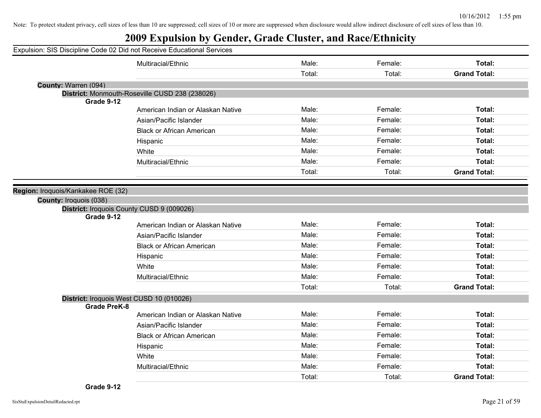|                                                              | Expulsion: SIS Discipline Code 02 Did not Receive Educational Services |        |         |                     |
|--------------------------------------------------------------|------------------------------------------------------------------------|--------|---------|---------------------|
|                                                              | Multiracial/Ethnic                                                     | Male:  | Female: | Total:              |
|                                                              |                                                                        | Total: | Total:  | <b>Grand Total:</b> |
| County: Warren (094)                                         |                                                                        |        |         |                     |
|                                                              | District: Monmouth-Roseville CUSD 238 (238026)                         |        |         |                     |
| Grade 9-12                                                   | American Indian or Alaskan Native                                      | Male:  | Female: | Total:              |
|                                                              | Asian/Pacific Islander                                                 | Male:  | Female: | Total:              |
|                                                              |                                                                        | Male:  | Female: | Total:              |
|                                                              | <b>Black or African American</b>                                       |        |         |                     |
|                                                              | Hispanic                                                               | Male:  | Female: | Total:              |
|                                                              | White                                                                  | Male:  | Female: | Total:              |
|                                                              | Multiracial/Ethnic                                                     | Male:  | Female: | Total:              |
|                                                              |                                                                        | Total: | Total:  | <b>Grand Total:</b> |
| Region: Iroquois/Kankakee ROE (32)<br>County: Iroquois (038) | District: Iroquois County CUSD 9 (009026)                              |        |         |                     |
| Grade 9-12                                                   |                                                                        |        |         |                     |
|                                                              | American Indian or Alaskan Native                                      | Male:  | Female: | Total:              |
|                                                              | Asian/Pacific Islander                                                 | Male:  | Female: | Total:              |
|                                                              | <b>Black or African American</b>                                       | Male:  | Female: | Total:              |
|                                                              | Hispanic                                                               | Male:  | Female: | Total:              |
|                                                              | White                                                                  | Male:  | Female: | Total:              |
|                                                              | Multiracial/Ethnic                                                     | Male:  | Female: | Total:              |
|                                                              |                                                                        | Total: | Total:  | <b>Grand Total:</b> |
| <b>Grade PreK-8</b>                                          | District: Iroquois West CUSD 10 (010026)                               |        |         |                     |
|                                                              | American Indian or Alaskan Native                                      | Male:  | Female: | Total:              |
|                                                              | Asian/Pacific Islander                                                 | Male:  | Female: | Total:              |
|                                                              | <b>Black or African American</b>                                       | Male:  | Female: | Total:              |
|                                                              | Hispanic                                                               | Male:  | Female: | Total:              |
|                                                              | White                                                                  | Male:  | Female: | Total:              |
|                                                              | Multiracial/Ethnic                                                     | Male:  | Female: | Total:              |
|                                                              |                                                                        | Total: | Total:  | <b>Grand Total:</b> |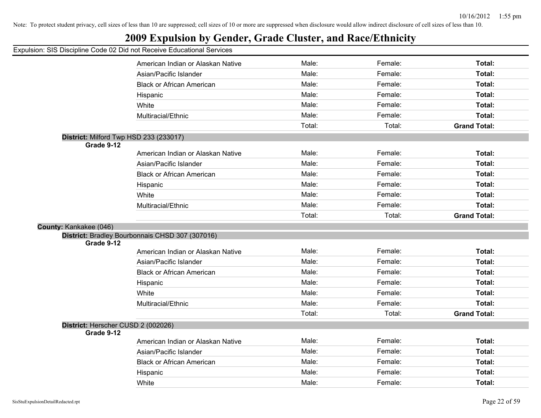## **2009 Expulsion by Gender, Grade Cluster, and Race/Ethnicity**

|                                    | American Indian or Alaskan Native               | Male:  | Female: | Total:              |
|------------------------------------|-------------------------------------------------|--------|---------|---------------------|
|                                    | Asian/Pacific Islander                          | Male:  | Female: | Total:              |
|                                    | <b>Black or African American</b>                | Male:  | Female: | Total:              |
|                                    | Hispanic                                        | Male:  | Female: | Total:              |
|                                    | White                                           | Male:  | Female: | Total:              |
|                                    | Multiracial/Ethnic                              | Male:  | Female: | Total:              |
|                                    |                                                 | Total: | Total:  | <b>Grand Total:</b> |
|                                    | District: Milford Twp HSD 233 (233017)          |        |         |                     |
| Grade 9-12                         |                                                 |        |         |                     |
|                                    | American Indian or Alaskan Native               | Male:  | Female: | Total:              |
|                                    | Asian/Pacific Islander                          | Male:  | Female: | Total:              |
|                                    | <b>Black or African American</b>                | Male:  | Female: | Total:              |
|                                    | Hispanic                                        | Male:  | Female: | Total:              |
|                                    | White                                           | Male:  | Female: | Total:              |
|                                    | Multiracial/Ethnic                              | Male:  | Female: | Total:              |
|                                    |                                                 | Total: | Total:  | <b>Grand Total:</b> |
| County: Kankakee (046)             |                                                 |        |         |                     |
|                                    | District: Bradley Bourbonnais CHSD 307 (307016) |        |         |                     |
| Grade 9-12                         |                                                 |        |         |                     |
|                                    | American Indian or Alaskan Native               | Male:  | Female: | Total:              |
|                                    | Asian/Pacific Islander                          | Male:  | Female: | Total:              |
|                                    | <b>Black or African American</b>                | Male:  | Female: | Total:              |
|                                    | Hispanic                                        | Male:  | Female: | Total:              |
|                                    | White                                           | Male:  | Female: | Total:              |
|                                    | Multiracial/Ethnic                              | Male:  | Female: | Total:              |
|                                    |                                                 | Total: | Total:  | <b>Grand Total:</b> |
| District: Herscher CUSD 2 (002026) |                                                 |        |         |                     |
| Grade 9-12                         |                                                 |        |         |                     |
|                                    | American Indian or Alaskan Native               | Male:  | Female: | Total:              |
|                                    | Asian/Pacific Islander                          | Male:  | Female: | Total:              |
|                                    | <b>Black or African American</b>                | Male:  | Female: | Total:              |
|                                    | Hispanic                                        | Male:  | Female: | Total:              |
|                                    | White                                           | Male:  | Female: | Total:              |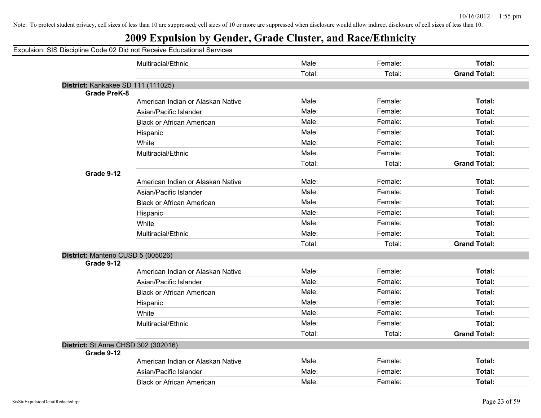| Expulsion: SIS Discipline Code 02 Did not Receive Educational Services |
|------------------------------------------------------------------------|
|------------------------------------------------------------------------|

|                                     | Multiracial/Ethnic                | Male:  | Female: | Total:              |
|-------------------------------------|-----------------------------------|--------|---------|---------------------|
|                                     |                                   | Total: | Total:  | <b>Grand Total:</b> |
| District: Kankakee SD 111 (111025)  |                                   |        |         |                     |
| <b>Grade PreK-8</b>                 |                                   |        |         |                     |
|                                     | American Indian or Alaskan Native | Male:  | Female: | <b>Total:</b>       |
|                                     | Asian/Pacific Islander            | Male:  | Female: | Total:              |
|                                     | <b>Black or African American</b>  | Male:  | Female: | Total:              |
|                                     | Hispanic                          | Male:  | Female: | <b>Total:</b>       |
|                                     | White                             | Male:  | Female: | <b>Total:</b>       |
|                                     | Multiracial/Ethnic                | Male:  | Female: | <b>Total:</b>       |
|                                     |                                   | Total: | Total:  | <b>Grand Total:</b> |
| Grade 9-12                          |                                   |        |         |                     |
|                                     | American Indian or Alaskan Native | Male:  | Female: | <b>Total:</b>       |
|                                     | Asian/Pacific Islander            | Male:  | Female: | <b>Total:</b>       |
|                                     | <b>Black or African American</b>  | Male:  | Female: | <b>Total:</b>       |
|                                     | Hispanic                          | Male:  | Female: | Total:              |
|                                     | White                             | Male:  | Female: | <b>Total:</b>       |
|                                     | Multiracial/Ethnic                | Male:  | Female: | Total:              |
|                                     |                                   | Total: | Total:  | <b>Grand Total:</b> |
| District: Manteno CUSD 5 (005026)   |                                   |        |         |                     |
| Grade 9-12                          |                                   |        |         |                     |
|                                     | American Indian or Alaskan Native | Male:  | Female: | Total:              |
|                                     | Asian/Pacific Islander            | Male:  | Female: | Total:              |
|                                     | <b>Black or African American</b>  | Male:  | Female: | <b>Total:</b>       |
|                                     | Hispanic                          | Male:  | Female: | <b>Total:</b>       |
|                                     | White                             | Male:  | Female: | Total:              |
|                                     | Multiracial/Ethnic                | Male:  | Female: | Total:              |
|                                     |                                   | Total: | Total:  | <b>Grand Total:</b> |
| District: St Anne CHSD 302 (302016) |                                   |        |         |                     |
| Grade 9-12                          |                                   |        |         |                     |
|                                     | American Indian or Alaskan Native | Male:  | Female: | <b>Total:</b>       |
|                                     | Asian/Pacific Islander            | Male:  | Female: | <b>Total:</b>       |
|                                     | <b>Black or African American</b>  | Male:  | Female: | <b>Total:</b>       |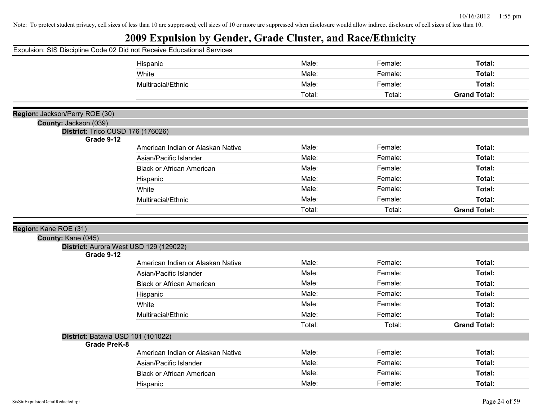|                                                         | Expulsion: SIS Discipline Code 02 Did not Receive Educational Services |        |         |                     |
|---------------------------------------------------------|------------------------------------------------------------------------|--------|---------|---------------------|
|                                                         | Hispanic                                                               | Male:  | Female: | Total:              |
|                                                         | White                                                                  | Male:  | Female: | Total:              |
|                                                         | Multiracial/Ethnic                                                     | Male:  | Female: | Total:              |
|                                                         |                                                                        | Total: | Total:  | <b>Grand Total:</b> |
|                                                         |                                                                        |        |         |                     |
| Region: Jackson/Perry ROE (30)<br>County: Jackson (039) |                                                                        |        |         |                     |
|                                                         | District: Trico CUSD 176 (176026)                                      |        |         |                     |
| Grade 9-12                                              |                                                                        |        |         |                     |
|                                                         | American Indian or Alaskan Native                                      | Male:  | Female: | Total:              |
|                                                         | Asian/Pacific Islander                                                 | Male:  | Female: | Total:              |
|                                                         | <b>Black or African American</b>                                       | Male:  | Female: | Total:              |
|                                                         | Hispanic                                                               | Male:  | Female: | Total:              |
|                                                         | White                                                                  | Male:  | Female: | Total:              |
|                                                         | Multiracial/Ethnic                                                     | Male:  | Female: | Total:              |
|                                                         |                                                                        | Total: | Total:  | <b>Grand Total:</b> |
|                                                         |                                                                        |        |         |                     |
|                                                         |                                                                        |        |         |                     |
| Region: Kane ROE (31)                                   |                                                                        |        |         |                     |
| County: Kane (045)                                      |                                                                        |        |         |                     |
|                                                         | District: Aurora West USD 129 (129022)                                 |        |         |                     |
| Grade 9-12                                              |                                                                        | Male:  | Female: | Total:              |
|                                                         | American Indian or Alaskan Native                                      |        |         |                     |
|                                                         | Asian/Pacific Islander                                                 | Male:  | Female: | Total:              |
|                                                         | <b>Black or African American</b>                                       | Male:  | Female: | Total:              |
|                                                         | Hispanic                                                               | Male:  | Female: | Total:              |
|                                                         | White                                                                  | Male:  | Female: | Total:              |
|                                                         | Multiracial/Ethnic                                                     | Male:  | Female: | Total:              |
|                                                         |                                                                        | Total: | Total:  | <b>Grand Total:</b> |
|                                                         | District: Batavia USD 101 (101022)                                     |        |         |                     |
| <b>Grade PreK-8</b>                                     | American Indian or Alaskan Native                                      | Male:  | Female: | Total:              |
|                                                         | Asian/Pacific Islander                                                 | Male:  | Female: | Total:              |
|                                                         | <b>Black or African American</b>                                       | Male:  | Female: | Total:              |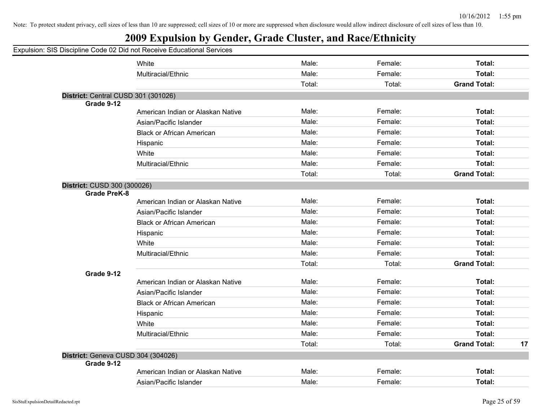#### **2009 Expulsion by Gender, Grade Cluster, and Race/Ethnicity**

#### Expulsion: SIS Discipline Code 02 Did not Receive Educational Services White **Male:** Female: **Total:** Female: **Total:** Female: **Total:** Female: Total: Multiracial/Ethnic **Total:** Male: Female: **Total:** Female: **Total:** Female: **Total:** Total: Total: **Grand Total: District:** Central CUSD 301 (301026) **Grade 9-12** American Indian or Alaskan Native **Male:** Male: Female: Female: Total: Asian/Pacific Islander **National State Contract Contract Contract Contract Contract Contract Contract Contract Contract Contract Contract Contract Contract Contract Contract Contract Contract Contract Contract Contract Con** Black or African American **Male:** Male: Female: **Total:** Female: **Total:** Total: Hispanic Male: Female: **Total:** White **Total:** Male: Female: **Total:** Female: **Total:** Female: Total: Multiracial/Ethnic **Total:** Male: Female: **Female: Total:** Total: **District: Grade PreK-8**

|                                    |                                   | Total: | Total:  | <b>Grand Total:</b> |    |
|------------------------------------|-----------------------------------|--------|---------|---------------------|----|
| District: CUSD 300 (300026)        |                                   |        |         |                     |    |
| <b>Grade PreK-8</b>                |                                   |        |         |                     |    |
|                                    | American Indian or Alaskan Native | Male:  | Female: | Total:              |    |
|                                    | Asian/Pacific Islander            | Male:  | Female: | Total:              |    |
|                                    | <b>Black or African American</b>  | Male:  | Female: | Total:              |    |
|                                    | Hispanic                          | Male:  | Female: | Total:              |    |
|                                    | White                             | Male:  | Female: | Total:              |    |
|                                    | Multiracial/Ethnic                | Male:  | Female: | Total:              |    |
|                                    |                                   | Total: | Total:  | <b>Grand Total:</b> |    |
| Grade 9-12                         |                                   |        |         |                     |    |
|                                    | American Indian or Alaskan Native | Male:  | Female: | Total:              |    |
|                                    | Asian/Pacific Islander            | Male:  | Female: | Total:              |    |
|                                    | <b>Black or African American</b>  | Male:  | Female: | Total:              |    |
|                                    | Hispanic                          | Male:  | Female: | Total:              |    |
|                                    | White                             | Male:  | Female: | Total:              |    |
|                                    | Multiracial/Ethnic                | Male:  | Female: | Total:              |    |
|                                    |                                   | Total: | Total:  | <b>Grand Total:</b> | 17 |
| District: Geneva CUSD 304 (304026) |                                   |        |         |                     |    |
| Grade 9-12                         |                                   |        |         |                     |    |
|                                    | American Indian or Alaskan Native | Male:  | Female: | Total:              |    |
|                                    | Asian/Pacific Islander            | Male:  | Female: | Total:              |    |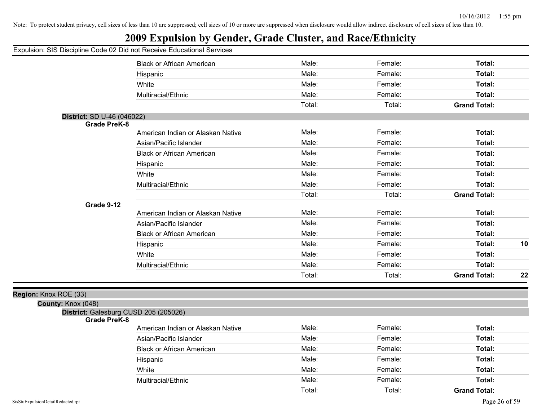## **2009 Expulsion by Gender, Grade Cluster, and Race/Ethnicity**

| paioion: oro Diooipinio obao          |                                   |        |         |                     |    |
|---------------------------------------|-----------------------------------|--------|---------|---------------------|----|
|                                       | <b>Black or African American</b>  | Male:  | Female: | Total:              |    |
|                                       | Hispanic                          | Male:  | Female: | Total:              |    |
|                                       | White                             | Male:  | Female: | Total:              |    |
|                                       | Multiracial/Ethnic                | Male:  | Female: | Total:              |    |
|                                       |                                   | Total: | Total:  | <b>Grand Total:</b> |    |
| District: SD U-46 (046022)            |                                   |        |         |                     |    |
| <b>Grade PreK-8</b>                   |                                   |        |         |                     |    |
|                                       | American Indian or Alaskan Native | Male:  | Female: | Total:              |    |
|                                       | Asian/Pacific Islander            | Male:  | Female: | Total:              |    |
|                                       | <b>Black or African American</b>  | Male:  | Female: | Total:              |    |
|                                       | Hispanic                          | Male:  | Female: | Total:              |    |
|                                       | White                             | Male:  | Female: | Total:              |    |
|                                       | Multiracial/Ethnic                | Male:  | Female: | Total:              |    |
|                                       |                                   | Total: | Total:  | <b>Grand Total:</b> |    |
| Grade 9-12                            |                                   |        |         |                     |    |
|                                       | American Indian or Alaskan Native | Male:  | Female: | Total:              |    |
|                                       | Asian/Pacific Islander            | Male:  | Female: | Total:              |    |
|                                       | <b>Black or African American</b>  | Male:  | Female: | Total:              |    |
|                                       | Hispanic                          | Male:  | Female: | Total:              | 10 |
|                                       | White                             | Male:  | Female: | Total:              |    |
|                                       | Multiracial/Ethnic                | Male:  | Female: | Total:              |    |
|                                       |                                   | Total: | Total:  | <b>Grand Total:</b> | 22 |
| Region: Knox ROE (33)                 |                                   |        |         |                     |    |
| County: Knox (048)                    |                                   |        |         |                     |    |
| District: Galesburg CUSD 205 (205026) |                                   |        |         |                     |    |
| <b>Grade PreK-8</b>                   | American Indian or Alaskan Native | Male:  | Female: | Total:              |    |
|                                       | Asian/Pacific Islander            | Male:  | Female: | Total:              |    |
|                                       | <b>Black or African American</b>  | Male:  | Female: | Total:              |    |
|                                       | Hispanic                          | Male:  | Female: | Total:              |    |
|                                       | White                             | Male:  | Female: | Total:              |    |
|                                       | Multiracial/Ethnic                | Male:  | Female: | Total:              |    |
|                                       |                                   | Total: | Total:  | <b>Grand Total:</b> |    |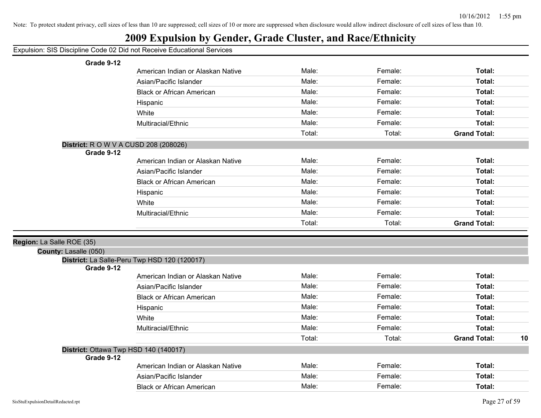| Expulsion: SIS Discipline Code 02 Did not Receive Educational Services |
|------------------------------------------------------------------------|
|------------------------------------------------------------------------|

| Grade 9-12                |                                              |        |         |                     |    |
|---------------------------|----------------------------------------------|--------|---------|---------------------|----|
|                           | American Indian or Alaskan Native            | Male:  | Female: | Total:              |    |
|                           | Asian/Pacific Islander                       | Male:  | Female: | Total:              |    |
|                           | <b>Black or African American</b>             | Male:  | Female: | Total:              |    |
|                           | Hispanic                                     | Male:  | Female: | Total:              |    |
|                           | White                                        | Male:  | Female: | Total:              |    |
|                           | Multiracial/Ethnic                           | Male:  | Female: | Total:              |    |
|                           |                                              | Total: | Total:  | <b>Grand Total:</b> |    |
|                           | <b>District:</b> R O W V A CUSD 208 (208026) |        |         |                     |    |
| Grade 9-12                |                                              |        |         |                     |    |
|                           | American Indian or Alaskan Native            | Male:  | Female: | Total:              |    |
|                           | Asian/Pacific Islander                       | Male:  | Female: | Total:              |    |
|                           | <b>Black or African American</b>             | Male:  | Female: | Total:              |    |
|                           | Hispanic                                     | Male:  | Female: | Total:              |    |
|                           | White                                        | Male:  | Female: | Total:              |    |
|                           | Multiracial/Ethnic                           | Male:  | Female: | Total:              |    |
|                           |                                              | Total: | Total:  | <b>Grand Total:</b> |    |
|                           |                                              |        |         |                     |    |
| Region: La Salle ROE (35) |                                              |        |         |                     |    |
| County: Lasalle (050)     |                                              |        |         |                     |    |
| Grade 9-12                | District: La Salle-Peru Twp HSD 120 (120017) |        |         |                     |    |
|                           | American Indian or Alaskan Native            | Male:  | Female: | Total:              |    |
|                           | Asian/Pacific Islander                       | Male:  | Female: | Total:              |    |
|                           | <b>Black or African American</b>             | Male:  | Female: | Total:              |    |
|                           |                                              |        |         |                     |    |
|                           |                                              | Male:  | Female: | Total:              |    |
|                           | Hispanic                                     | Male:  | Female: |                     |    |
|                           | White                                        | Male:  | Female: | Total:              |    |
|                           | Multiracial/Ethnic                           |        |         | Total:              |    |
|                           |                                              | Total: | Total:  | <b>Grand Total:</b> | 10 |
| Grade 9-12                | District: Ottawa Twp HSD 140 (140017)        |        |         |                     |    |
|                           | American Indian or Alaskan Native            | Male:  | Female: | Total:              |    |
|                           | Asian/Pacific Islander                       | Male:  | Female: | Total:              |    |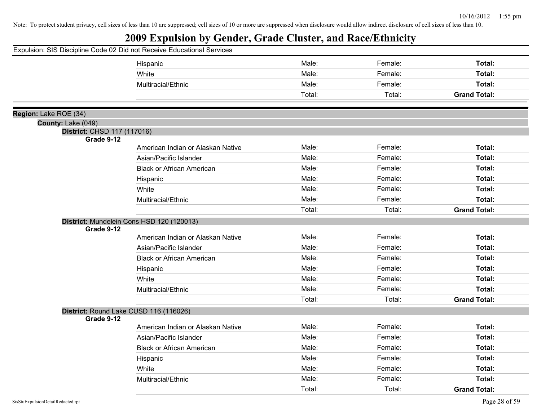|                             | Expulsion: SIS Discipline Code 02 Did not Receive Educational Services |        |         |                     |
|-----------------------------|------------------------------------------------------------------------|--------|---------|---------------------|
|                             | Hispanic                                                               | Male:  | Female: | Total:              |
|                             | White                                                                  | Male:  | Female: | Total:              |
|                             | Multiracial/Ethnic                                                     | Male:  | Female: | Total:              |
|                             |                                                                        | Total: | Total:  | <b>Grand Total:</b> |
| Region: Lake ROE (34)       |                                                                        |        |         |                     |
| County: Lake (049)          |                                                                        |        |         |                     |
| District: CHSD 117 (117016) |                                                                        |        |         |                     |
| Grade 9-12                  |                                                                        |        |         |                     |
|                             | American Indian or Alaskan Native                                      | Male:  | Female: | Total:              |
|                             | Asian/Pacific Islander                                                 | Male:  | Female: | Total:              |
|                             | <b>Black or African American</b>                                       | Male:  | Female: | Total:              |
|                             | Hispanic                                                               | Male:  | Female: | Total:              |
|                             | White                                                                  | Male:  | Female: | Total:              |
|                             | Multiracial/Ethnic                                                     | Male:  | Female: | Total:              |
|                             |                                                                        | Total: | Total:  | <b>Grand Total:</b> |
|                             | District: Mundelein Cons HSD 120 (120013)                              |        |         |                     |
| Grade 9-12                  |                                                                        |        |         |                     |
|                             | American Indian or Alaskan Native                                      | Male:  | Female: | Total:              |
|                             | Asian/Pacific Islander                                                 | Male:  | Female: | Total:              |
|                             | <b>Black or African American</b>                                       | Male:  | Female: | Total:              |
|                             | Hispanic                                                               | Male:  | Female: | Total:              |
|                             | White                                                                  | Male:  | Female: | Total:              |
|                             | Multiracial/Ethnic                                                     | Male:  | Female: | Total:              |
|                             |                                                                        | Total: | Total:  | <b>Grand Total:</b> |
| Grade 9-12                  | District: Round Lake CUSD 116 (116026)                                 |        |         |                     |
|                             | American Indian or Alaskan Native                                      | Male:  | Female: | Total:              |
|                             | Asian/Pacific Islander                                                 | Male:  | Female: | Total:              |
|                             | <b>Black or African American</b>                                       | Male:  | Female: | Total:              |
|                             | Hispanic                                                               | Male:  | Female: | Total:              |
|                             | White                                                                  | Male:  | Female: | Total:              |
|                             | Multiracial/Ethnic                                                     | Male:  | Female: | Total:              |
|                             |                                                                        | Total: | Total:  | <b>Grand Total:</b> |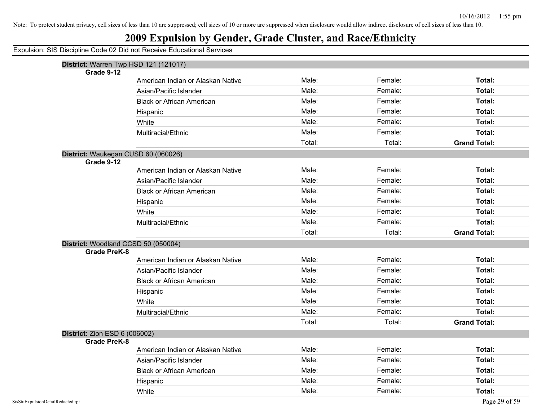## **2009 Expulsion by Gender, Grade Cluster, and Race/Ethnicity**

|                                      | District: Warren Twp HSD 121 (121017) |        |         |                     |
|--------------------------------------|---------------------------------------|--------|---------|---------------------|
| Grade 9-12                           |                                       |        |         |                     |
|                                      | American Indian or Alaskan Native     | Male:  | Female: | Total:              |
|                                      | Asian/Pacific Islander                | Male:  | Female: | Total:              |
|                                      | <b>Black or African American</b>      | Male:  | Female: | Total:              |
|                                      | Hispanic                              | Male:  | Female: | Total:              |
|                                      | White                                 | Male:  | Female: | Total:              |
|                                      | Multiracial/Ethnic                    | Male:  | Female: | Total:              |
|                                      |                                       | Total: | Total:  | <b>Grand Total:</b> |
|                                      | District: Waukegan CUSD 60 (060026)   |        |         |                     |
| Grade 9-12                           |                                       |        |         |                     |
|                                      | American Indian or Alaskan Native     | Male:  | Female: | Total:              |
|                                      | Asian/Pacific Islander                | Male:  | Female: | <b>Total:</b>       |
|                                      | <b>Black or African American</b>      | Male:  | Female: | Total:              |
|                                      | Hispanic                              | Male:  | Female: | Total:              |
|                                      | White                                 | Male:  | Female: | Total:              |
|                                      | Multiracial/Ethnic                    | Male:  | Female: | Total:              |
|                                      |                                       | Total: | Total:  | <b>Grand Total:</b> |
|                                      | District: Woodland CCSD 50 (050004)   |        |         |                     |
| <b>Grade PreK-8</b>                  |                                       |        |         |                     |
|                                      | American Indian or Alaskan Native     | Male:  | Female: | Total:              |
|                                      | Asian/Pacific Islander                | Male:  | Female: | Total:              |
|                                      | <b>Black or African American</b>      | Male:  | Female: | Total:              |
|                                      | Hispanic                              | Male:  | Female: | Total:              |
|                                      | White                                 | Male:  | Female: | Total:              |
|                                      | Multiracial/Ethnic                    | Male:  | Female: | Total:              |
|                                      |                                       | Total: | Total:  | <b>Grand Total:</b> |
| <b>District: Zion ESD 6 (006002)</b> |                                       |        |         |                     |
| <b>Grade PreK-8</b>                  |                                       |        |         |                     |
|                                      | American Indian or Alaskan Native     | Male:  | Female: | Total:              |
|                                      | Asian/Pacific Islander                | Male:  | Female: | Total:              |
|                                      | <b>Black or African American</b>      | Male:  | Female: | Total:              |
|                                      | Hispanic                              | Male:  | Female: | <b>Total:</b>       |
|                                      | White                                 | Male:  | Female: | Total:              |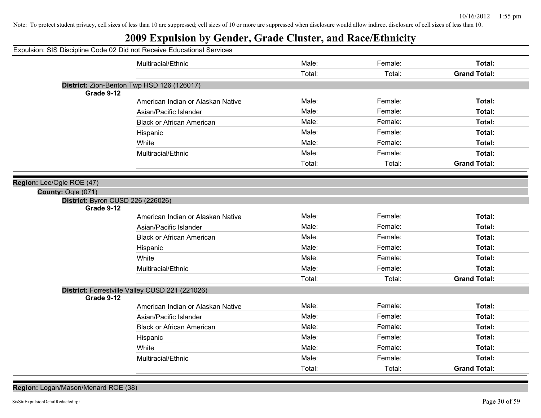## **2009 Expulsion by Gender, Grade Cluster, and Race/Ethnicity**

|                                   | Expulsion: SIS Discipline Code 02 Did not Receive Educational Services |        |         |                     |
|-----------------------------------|------------------------------------------------------------------------|--------|---------|---------------------|
|                                   | Multiracial/Ethnic                                                     | Male:  | Female: | Total:              |
|                                   |                                                                        | Total: | Total:  | <b>Grand Total:</b> |
|                                   | District: Zion-Benton Twp HSD 126 (126017)                             |        |         |                     |
| Grade 9-12                        |                                                                        |        |         |                     |
|                                   | American Indian or Alaskan Native                                      | Male:  | Female: | Total:              |
|                                   | Asian/Pacific Islander                                                 | Male:  | Female: | Total:              |
|                                   | <b>Black or African American</b>                                       | Male:  | Female: | Total:              |
|                                   | Hispanic                                                               | Male:  | Female: | Total:              |
|                                   | White                                                                  | Male:  | Female: | Total:              |
|                                   | Multiracial/Ethnic                                                     | Male:  | Female: | Total:              |
|                                   |                                                                        | Total: | Total:  | <b>Grand Total:</b> |
| Region: Lee/Ogle ROE (47)         |                                                                        |        |         |                     |
| County: Ogle (071)                |                                                                        |        |         |                     |
| District: Byron CUSD 226 (226026) |                                                                        |        |         |                     |
| Grade 9-12                        |                                                                        |        |         |                     |
|                                   | American Indian or Alaskan Native                                      | Male:  | Female: | Total:              |
|                                   | Asian/Pacific Islander                                                 | Male:  | Female: | Total:              |
|                                   | <b>Black or African American</b>                                       | Male:  | Female: | Total:              |
|                                   | Hispanic                                                               | Male:  | Female: | Total:              |
|                                   | White                                                                  | Male:  | Female: | Total:              |
|                                   | Multiracial/Ethnic                                                     | Male:  | Female: | Total:              |
|                                   |                                                                        | Total: | Total:  | <b>Grand Total:</b> |
|                                   | District: Forrestville Valley CUSD 221 (221026)                        |        |         |                     |
| Grade 9-12                        |                                                                        |        |         |                     |
|                                   | American Indian or Alaskan Native                                      | Male:  | Female: | Total:              |
|                                   | Asian/Pacific Islander                                                 | Male:  | Female: | Total:              |
|                                   | <b>Black or African American</b>                                       | Male:  | Female: | Total:              |
|                                   | Hispanic                                                               | Male:  | Female: | Total:              |
|                                   | White                                                                  | Male:  | Female: | Total:              |
|                                   | Multiracial/Ethnic                                                     | Male:  | Female: | Total:              |
|                                   |                                                                        | Total: | Total:  | <b>Grand Total:</b> |

**Region:** Logan/Mason/Menard ROE (38)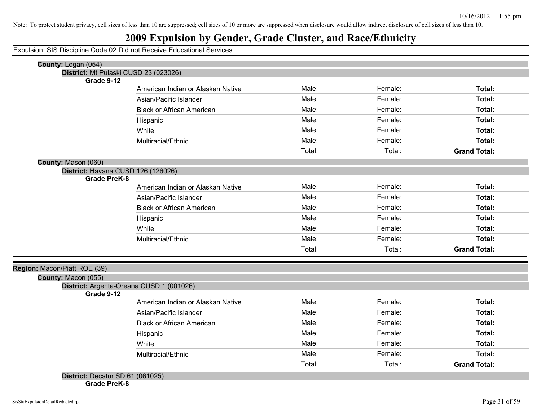## **2009 Expulsion by Gender, Grade Cluster, and Race/Ethnicity**

Expulsion: SIS Discipline Code 02 Did not Receive Educational Services

| County: Logan (054)<br>District: Mt Pulaski CUSD 23 (023026) |                                          |        |         |                     |
|--------------------------------------------------------------|------------------------------------------|--------|---------|---------------------|
| Grade 9-12                                                   |                                          |        |         |                     |
|                                                              | American Indian or Alaskan Native        | Male:  | Female: | Total:              |
|                                                              | Asian/Pacific Islander                   | Male:  | Female: | Total:              |
|                                                              | <b>Black or African American</b>         | Male:  | Female: | Total:              |
|                                                              | Hispanic                                 | Male:  | Female: | Total:              |
|                                                              | White                                    | Male:  | Female: | Total:              |
|                                                              | Multiracial/Ethnic                       | Male:  | Female: | Total:              |
|                                                              |                                          | Total: | Total:  | <b>Grand Total:</b> |
| County: Mason (060)                                          |                                          |        |         |                     |
| District: Havana CUSD 126 (126026)                           |                                          |        |         |                     |
| <b>Grade PreK-8</b>                                          |                                          |        |         |                     |
|                                                              | American Indian or Alaskan Native        | Male:  | Female: | Total:              |
|                                                              | Asian/Pacific Islander                   | Male:  | Female: | Total:              |
|                                                              | <b>Black or African American</b>         | Male:  | Female: | Total:              |
|                                                              | Hispanic                                 | Male:  | Female: | Total:              |
|                                                              | White                                    | Male:  | Female: | Total:              |
|                                                              | Multiracial/Ethnic                       | Male:  | Female: | Total:              |
|                                                              |                                          | Total: | Total:  | <b>Grand Total:</b> |
| Region: Macon/Piatt ROE (39)                                 |                                          |        |         |                     |
| County: Macon (055)                                          |                                          |        |         |                     |
|                                                              | District: Argenta-Oreana CUSD 1 (001026) |        |         |                     |
| Grade 9-12                                                   |                                          |        |         |                     |
|                                                              | American Indian or Alaskan Native        | Male:  | Female: | Total:              |
|                                                              | Asian/Pacific Islander                   | Male:  | Female: | Total:              |
|                                                              | <b>Black or African American</b>         | Male:  | Female: | Total:              |
|                                                              | Hispanic                                 | Male:  | Female: | Total:              |
|                                                              | White                                    | Male:  | Female: | Total:              |
|                                                              |                                          |        | Female: | Total:              |
|                                                              | Multiracial/Ethnic                       | Male:  |         |                     |

**Grade PreK-8**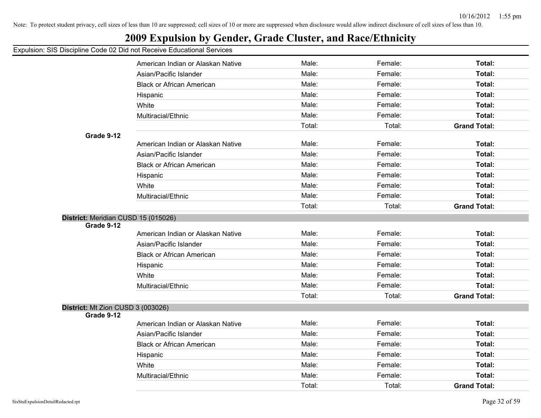## **2009 Expulsion by Gender, Grade Cluster, and Race/Ethnicity**

|                                     | American Indian or Alaskan Native | Male:  | Female: | Total:              |
|-------------------------------------|-----------------------------------|--------|---------|---------------------|
|                                     | Asian/Pacific Islander            | Male:  | Female: | Total:              |
|                                     | <b>Black or African American</b>  | Male:  | Female: | Total:              |
|                                     | Hispanic                          | Male:  | Female: | Total:              |
|                                     | White                             | Male:  | Female: | Total:              |
|                                     | Multiracial/Ethnic                | Male:  | Female: | <b>Total:</b>       |
|                                     |                                   | Total: | Total:  | <b>Grand Total:</b> |
| Grade 9-12                          |                                   |        |         |                     |
|                                     | American Indian or Alaskan Native | Male:  | Female: | Total:              |
|                                     | Asian/Pacific Islander            | Male:  | Female: | Total:              |
|                                     | <b>Black or African American</b>  | Male:  | Female: | Total:              |
|                                     | Hispanic                          | Male:  | Female: | Total:              |
|                                     | White                             | Male:  | Female: | Total:              |
|                                     | Multiracial/Ethnic                | Male:  | Female: | Total:              |
|                                     |                                   | Total: | Total:  | <b>Grand Total:</b> |
| District: Meridian CUSD 15 (015026) |                                   |        |         |                     |
| Grade 9-12                          |                                   |        |         |                     |
|                                     | American Indian or Alaskan Native | Male:  | Female: | Total:              |
|                                     | Asian/Pacific Islander            | Male:  | Female: | Total:              |
|                                     | <b>Black or African American</b>  | Male:  | Female: | Total:              |
|                                     | Hispanic                          | Male:  | Female: | Total:              |
|                                     | White                             | Male:  | Female: | Total:              |
|                                     | Multiracial/Ethnic                | Male:  | Female: | Total:              |
|                                     |                                   | Total: | Total:  | <b>Grand Total:</b> |
| District: Mt Zion CUSD 3 (003026)   |                                   |        |         |                     |
| Grade 9-12                          |                                   |        |         |                     |
|                                     | American Indian or Alaskan Native | Male:  | Female: | Total:              |
|                                     | Asian/Pacific Islander            | Male:  | Female: | Total:              |
|                                     | <b>Black or African American</b>  | Male:  | Female: | Total:              |
|                                     | Hispanic                          | Male:  | Female: | Total:              |
|                                     | White                             | Male:  | Female: | Total:              |
|                                     | Multiracial/Ethnic                | Male:  | Female: | Total:              |
|                                     |                                   | Total: | Total:  | <b>Grand Total:</b> |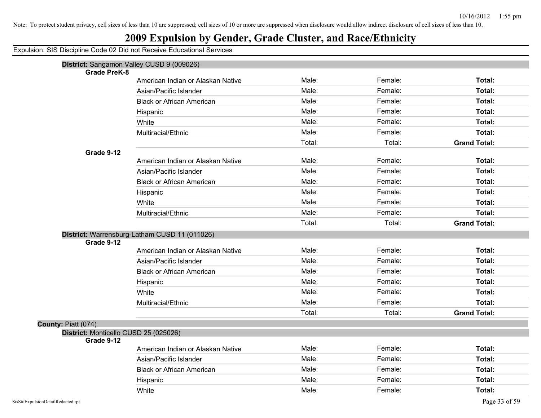## **2009 Expulsion by Gender, Grade Cluster, and Race/Ethnicity**

| <b>Grade PreK-8</b>                   | District: Sangamon Valley CUSD 9 (009026)     |        |         |                     |
|---------------------------------------|-----------------------------------------------|--------|---------|---------------------|
|                                       | American Indian or Alaskan Native             | Male:  | Female: | Total:              |
|                                       | Asian/Pacific Islander                        | Male:  | Female: | Total:              |
|                                       | <b>Black or African American</b>              | Male:  | Female: | Total:              |
|                                       | Hispanic                                      | Male:  | Female: | Total:              |
|                                       | White                                         | Male:  | Female: | Total:              |
|                                       | Multiracial/Ethnic                            | Male:  | Female: | Total:              |
|                                       |                                               | Total: | Total:  | <b>Grand Total:</b> |
| Grade 9-12                            |                                               |        |         |                     |
|                                       | American Indian or Alaskan Native             | Male:  | Female: | Total:              |
|                                       | Asian/Pacific Islander                        | Male:  | Female: | Total:              |
|                                       | <b>Black or African American</b>              | Male:  | Female: | Total:              |
|                                       | Hispanic                                      | Male:  | Female: | Total:              |
|                                       | White                                         | Male:  | Female: | Total:              |
|                                       | Multiracial/Ethnic                            | Male:  | Female: | Total:              |
|                                       |                                               | Total: | Total:  | <b>Grand Total:</b> |
|                                       | District: Warrensburg-Latham CUSD 11 (011026) |        |         |                     |
| Grade 9-12                            |                                               |        |         |                     |
|                                       | American Indian or Alaskan Native             | Male:  | Female: | Total:              |
|                                       | Asian/Pacific Islander                        | Male:  | Female: | Total:              |
|                                       | <b>Black or African American</b>              | Male:  | Female: | Total:              |
|                                       | Hispanic                                      | Male:  | Female: | Total:              |
|                                       | White                                         | Male:  | Female: | Total:              |
|                                       | Multiracial/Ethnic                            | Male:  | Female: | Total:              |
|                                       |                                               | Total: | Total:  | <b>Grand Total:</b> |
| County: Piatt (074)                   |                                               |        |         |                     |
| District: Monticello CUSD 25 (025026) |                                               |        |         |                     |
| Grade 9-12                            | American Indian or Alaskan Native             | Male:  | Female: | Total:              |
|                                       | Asian/Pacific Islander                        | Male:  | Female: | Total:              |
|                                       |                                               | Male:  | Female: | Total:              |
|                                       | <b>Black or African American</b>              |        |         |                     |
|                                       | Hispanic                                      | Male:  | Female: | Total:              |
|                                       | White                                         | Male:  | Female: | Total:              |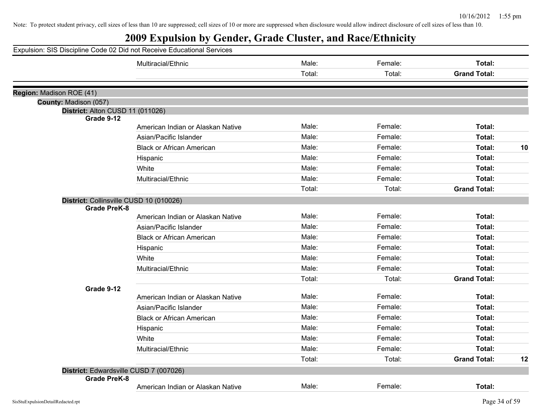| Male:<br>Female:<br>Total:<br>Multiracial/Ethnic<br>Total:<br>Total:<br><b>Grand Total:</b><br>Region: Madison ROE (41)<br>County: Madison (057)<br>District: Alton CUSD 11 (011026)<br>Grade 9-12<br>Male:<br>Total:<br>Female:<br>American Indian or Alaskan Native<br>Male:<br>Female:<br>Total:<br>Asian/Pacific Islander<br>Male:<br>Female:<br>Total:<br>10<br><b>Black or African American</b><br>Male:<br>Female:<br>Total:<br>Hispanic<br>Male:<br>Female:<br>Total:<br>White<br>Male:<br>Multiracial/Ethnic<br>Female:<br>Total:<br><b>Grand Total:</b><br>Total:<br>Total:<br>District: Collinsville CUSD 10 (010026)<br><b>Grade PreK-8</b><br>Male:<br>Female:<br>Total:<br>American Indian or Alaskan Native<br>Male:<br>Female:<br>Total:<br>Asian/Pacific Islander<br>Male:<br>Female:<br>Total:<br><b>Black or African American</b><br>Male:<br>Female:<br>Total:<br>Hispanic<br>Male:<br>Female:<br>Total:<br>White<br>Male:<br>Female:<br>Total:<br>Multiracial/Ethnic<br>Total:<br>Total:<br><b>Grand Total:</b><br>Grade 9-12<br>Male:<br>Female:<br>Total:<br>American Indian or Alaskan Native<br>Male:<br>Female:<br>Total:<br>Asian/Pacific Islander<br>Male:<br>Female:<br>Total:<br><b>Black or African American</b><br>Male:<br>Female:<br>Total:<br>Hispanic<br>Male:<br>Female:<br>White<br>Total:<br>Male:<br>Female:<br>Total:<br>Multiracial/Ethnic | Expulsion: SIS Discipline Code 02 Did not Receive Educational Services |        |  |
|--------------------------------------------------------------------------------------------------------------------------------------------------------------------------------------------------------------------------------------------------------------------------------------------------------------------------------------------------------------------------------------------------------------------------------------------------------------------------------------------------------------------------------------------------------------------------------------------------------------------------------------------------------------------------------------------------------------------------------------------------------------------------------------------------------------------------------------------------------------------------------------------------------------------------------------------------------------------------------------------------------------------------------------------------------------------------------------------------------------------------------------------------------------------------------------------------------------------------------------------------------------------------------------------------------------------------------------------------------------------------------------|------------------------------------------------------------------------|--------|--|
|                                                                                                                                                                                                                                                                                                                                                                                                                                                                                                                                                                                                                                                                                                                                                                                                                                                                                                                                                                                                                                                                                                                                                                                                                                                                                                                                                                                      |                                                                        |        |  |
|                                                                                                                                                                                                                                                                                                                                                                                                                                                                                                                                                                                                                                                                                                                                                                                                                                                                                                                                                                                                                                                                                                                                                                                                                                                                                                                                                                                      |                                                                        |        |  |
|                                                                                                                                                                                                                                                                                                                                                                                                                                                                                                                                                                                                                                                                                                                                                                                                                                                                                                                                                                                                                                                                                                                                                                                                                                                                                                                                                                                      |                                                                        |        |  |
|                                                                                                                                                                                                                                                                                                                                                                                                                                                                                                                                                                                                                                                                                                                                                                                                                                                                                                                                                                                                                                                                                                                                                                                                                                                                                                                                                                                      |                                                                        |        |  |
|                                                                                                                                                                                                                                                                                                                                                                                                                                                                                                                                                                                                                                                                                                                                                                                                                                                                                                                                                                                                                                                                                                                                                                                                                                                                                                                                                                                      |                                                                        |        |  |
|                                                                                                                                                                                                                                                                                                                                                                                                                                                                                                                                                                                                                                                                                                                                                                                                                                                                                                                                                                                                                                                                                                                                                                                                                                                                                                                                                                                      |                                                                        |        |  |
|                                                                                                                                                                                                                                                                                                                                                                                                                                                                                                                                                                                                                                                                                                                                                                                                                                                                                                                                                                                                                                                                                                                                                                                                                                                                                                                                                                                      |                                                                        |        |  |
|                                                                                                                                                                                                                                                                                                                                                                                                                                                                                                                                                                                                                                                                                                                                                                                                                                                                                                                                                                                                                                                                                                                                                                                                                                                                                                                                                                                      |                                                                        |        |  |
|                                                                                                                                                                                                                                                                                                                                                                                                                                                                                                                                                                                                                                                                                                                                                                                                                                                                                                                                                                                                                                                                                                                                                                                                                                                                                                                                                                                      |                                                                        |        |  |
|                                                                                                                                                                                                                                                                                                                                                                                                                                                                                                                                                                                                                                                                                                                                                                                                                                                                                                                                                                                                                                                                                                                                                                                                                                                                                                                                                                                      |                                                                        |        |  |
|                                                                                                                                                                                                                                                                                                                                                                                                                                                                                                                                                                                                                                                                                                                                                                                                                                                                                                                                                                                                                                                                                                                                                                                                                                                                                                                                                                                      |                                                                        |        |  |
|                                                                                                                                                                                                                                                                                                                                                                                                                                                                                                                                                                                                                                                                                                                                                                                                                                                                                                                                                                                                                                                                                                                                                                                                                                                                                                                                                                                      |                                                                        |        |  |
|                                                                                                                                                                                                                                                                                                                                                                                                                                                                                                                                                                                                                                                                                                                                                                                                                                                                                                                                                                                                                                                                                                                                                                                                                                                                                                                                                                                      |                                                                        |        |  |
|                                                                                                                                                                                                                                                                                                                                                                                                                                                                                                                                                                                                                                                                                                                                                                                                                                                                                                                                                                                                                                                                                                                                                                                                                                                                                                                                                                                      |                                                                        |        |  |
|                                                                                                                                                                                                                                                                                                                                                                                                                                                                                                                                                                                                                                                                                                                                                                                                                                                                                                                                                                                                                                                                                                                                                                                                                                                                                                                                                                                      |                                                                        |        |  |
|                                                                                                                                                                                                                                                                                                                                                                                                                                                                                                                                                                                                                                                                                                                                                                                                                                                                                                                                                                                                                                                                                                                                                                                                                                                                                                                                                                                      |                                                                        |        |  |
|                                                                                                                                                                                                                                                                                                                                                                                                                                                                                                                                                                                                                                                                                                                                                                                                                                                                                                                                                                                                                                                                                                                                                                                                                                                                                                                                                                                      |                                                                        |        |  |
|                                                                                                                                                                                                                                                                                                                                                                                                                                                                                                                                                                                                                                                                                                                                                                                                                                                                                                                                                                                                                                                                                                                                                                                                                                                                                                                                                                                      |                                                                        |        |  |
|                                                                                                                                                                                                                                                                                                                                                                                                                                                                                                                                                                                                                                                                                                                                                                                                                                                                                                                                                                                                                                                                                                                                                                                                                                                                                                                                                                                      |                                                                        |        |  |
|                                                                                                                                                                                                                                                                                                                                                                                                                                                                                                                                                                                                                                                                                                                                                                                                                                                                                                                                                                                                                                                                                                                                                                                                                                                                                                                                                                                      |                                                                        |        |  |
|                                                                                                                                                                                                                                                                                                                                                                                                                                                                                                                                                                                                                                                                                                                                                                                                                                                                                                                                                                                                                                                                                                                                                                                                                                                                                                                                                                                      |                                                                        |        |  |
|                                                                                                                                                                                                                                                                                                                                                                                                                                                                                                                                                                                                                                                                                                                                                                                                                                                                                                                                                                                                                                                                                                                                                                                                                                                                                                                                                                                      |                                                                        |        |  |
|                                                                                                                                                                                                                                                                                                                                                                                                                                                                                                                                                                                                                                                                                                                                                                                                                                                                                                                                                                                                                                                                                                                                                                                                                                                                                                                                                                                      |                                                                        |        |  |
|                                                                                                                                                                                                                                                                                                                                                                                                                                                                                                                                                                                                                                                                                                                                                                                                                                                                                                                                                                                                                                                                                                                                                                                                                                                                                                                                                                                      |                                                                        |        |  |
|                                                                                                                                                                                                                                                                                                                                                                                                                                                                                                                                                                                                                                                                                                                                                                                                                                                                                                                                                                                                                                                                                                                                                                                                                                                                                                                                                                                      |                                                                        |        |  |
|                                                                                                                                                                                                                                                                                                                                                                                                                                                                                                                                                                                                                                                                                                                                                                                                                                                                                                                                                                                                                                                                                                                                                                                                                                                                                                                                                                                      |                                                                        |        |  |
|                                                                                                                                                                                                                                                                                                                                                                                                                                                                                                                                                                                                                                                                                                                                                                                                                                                                                                                                                                                                                                                                                                                                                                                                                                                                                                                                                                                      |                                                                        |        |  |
|                                                                                                                                                                                                                                                                                                                                                                                                                                                                                                                                                                                                                                                                                                                                                                                                                                                                                                                                                                                                                                                                                                                                                                                                                                                                                                                                                                                      |                                                                        |        |  |
|                                                                                                                                                                                                                                                                                                                                                                                                                                                                                                                                                                                                                                                                                                                                                                                                                                                                                                                                                                                                                                                                                                                                                                                                                                                                                                                                                                                      |                                                                        | Total: |  |
| Total:<br><b>Grand Total:</b><br>12                                                                                                                                                                                                                                                                                                                                                                                                                                                                                                                                                                                                                                                                                                                                                                                                                                                                                                                                                                                                                                                                                                                                                                                                                                                                                                                                                  |                                                                        |        |  |
| District: Edwardsville CUSD 7 (007026)<br><b>Grade PreK-8</b>                                                                                                                                                                                                                                                                                                                                                                                                                                                                                                                                                                                                                                                                                                                                                                                                                                                                                                                                                                                                                                                                                                                                                                                                                                                                                                                        |                                                                        |        |  |
| Male:<br>Female:<br>Total:<br>American Indian or Alaskan Native                                                                                                                                                                                                                                                                                                                                                                                                                                                                                                                                                                                                                                                                                                                                                                                                                                                                                                                                                                                                                                                                                                                                                                                                                                                                                                                      |                                                                        |        |  |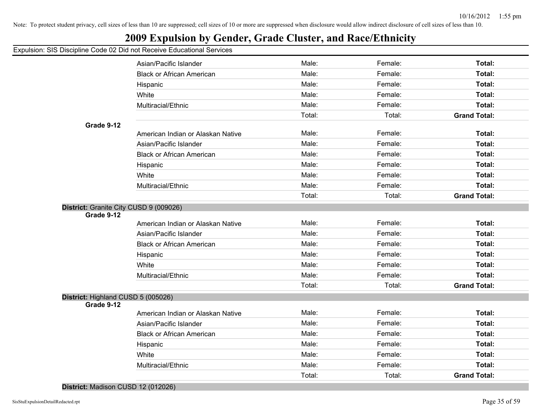## **2009 Expulsion by Gender, Grade Cluster, and Race/Ethnicity**

#### Expulsion: SIS Discipline Code 02 Did not Receive Educational Services

|                                        | Asian/Pacific Islander            | Male:  | Female: | Total:              |
|----------------------------------------|-----------------------------------|--------|---------|---------------------|
|                                        | <b>Black or African American</b>  | Male:  | Female: | Total:              |
|                                        | Hispanic                          | Male:  | Female: | Total:              |
|                                        | White                             | Male:  | Female: | Total:              |
|                                        | Multiracial/Ethnic                | Male:  | Female: | Total:              |
|                                        |                                   | Total: | Total:  | <b>Grand Total:</b> |
| Grade 9-12                             |                                   |        |         |                     |
|                                        | American Indian or Alaskan Native | Male:  | Female: | Total:              |
|                                        | Asian/Pacific Islander            | Male:  | Female: | Total:              |
|                                        | <b>Black or African American</b>  | Male:  | Female: | Total:              |
|                                        | Hispanic                          | Male:  | Female: | Total:              |
|                                        | White                             | Male:  | Female: | Total:              |
|                                        | Multiracial/Ethnic                | Male:  | Female: | Total:              |
|                                        |                                   | Total: | Total:  | <b>Grand Total:</b> |
| District: Granite City CUSD 9 (009026) |                                   |        |         |                     |
| Grade 9-12                             |                                   |        |         |                     |
|                                        | American Indian or Alaskan Native | Male:  | Female: | Total:              |
|                                        | Asian/Pacific Islander            | Male:  | Female: | Total:              |
|                                        | <b>Black or African American</b>  | Male:  | Female: | Total:              |
|                                        | Hispanic                          | Male:  | Female: | Total:              |
|                                        | White                             | Male:  | Female: | Total:              |
|                                        | Multiracial/Ethnic                | Male:  | Female: | Total:              |
|                                        |                                   | Total: | Total:  | <b>Grand Total:</b> |
| District: Highland CUSD 5 (005026)     |                                   |        |         |                     |
| Grade 9-12                             |                                   |        |         |                     |
|                                        | American Indian or Alaskan Native | Male:  | Female: | Total:              |
|                                        | Asian/Pacific Islander            | Male:  | Female: | Total:              |
|                                        | <b>Black or African American</b>  | Male:  | Female: | Total:              |
|                                        | Hispanic                          | Male:  | Female: | Total:              |
|                                        | White                             | Male:  | Female: | Total:              |
|                                        | Multiracial/Ethnic                | Male:  | Female: | Total:              |
|                                        |                                   | Total: | Total:  | <b>Grand Total:</b> |

#### **District:** Madison CUSD 12 (012026)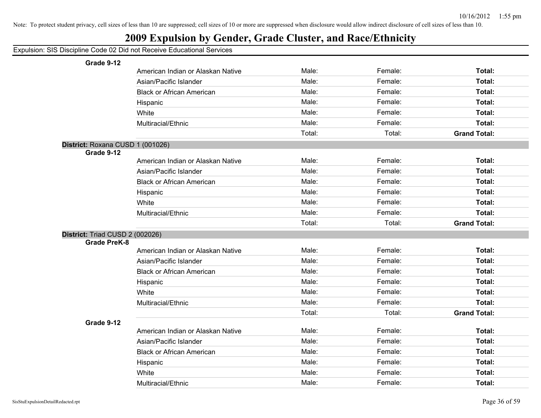|  |  |  | Expulsion: SIS Discipline Code 02 Did not Receive Educational Services |  |
|--|--|--|------------------------------------------------------------------------|--|
|--|--|--|------------------------------------------------------------------------|--|

| Grade 9-12                       |                                   |        |         |                     |
|----------------------------------|-----------------------------------|--------|---------|---------------------|
|                                  | American Indian or Alaskan Native | Male:  | Female: | Total:              |
|                                  | Asian/Pacific Islander            | Male:  | Female: | Total:              |
|                                  | <b>Black or African American</b>  | Male:  | Female: | <b>Total:</b>       |
|                                  | Hispanic                          | Male:  | Female: | Total:              |
|                                  | White                             | Male:  | Female: | Total:              |
|                                  | Multiracial/Ethnic                | Male:  | Female: | Total:              |
|                                  |                                   | Total: | Total:  | <b>Grand Total:</b> |
| District: Roxana CUSD 1 (001026) |                                   |        |         |                     |
| Grade 9-12                       |                                   |        |         |                     |
|                                  | American Indian or Alaskan Native | Male:  | Female: | <b>Total:</b>       |
|                                  | Asian/Pacific Islander            | Male:  | Female: | <b>Total:</b>       |
|                                  | <b>Black or African American</b>  | Male:  | Female: | Total:              |
|                                  | Hispanic                          | Male:  | Female: | Total:              |
|                                  | White                             | Male:  | Female: | Total:              |
|                                  | Multiracial/Ethnic                | Male:  | Female: | Total:              |
|                                  |                                   | Total: | Total:  | <b>Grand Total:</b> |
| District: Triad CUSD 2 (002026)  |                                   |        |         |                     |
| <b>Grade PreK-8</b>              |                                   |        |         |                     |
|                                  | American Indian or Alaskan Native | Male:  | Female: | <b>Total:</b>       |
|                                  | Asian/Pacific Islander            | Male:  | Female: | Total:              |
|                                  | <b>Black or African American</b>  | Male:  | Female: | Total:              |
|                                  | Hispanic                          | Male:  | Female: | Total:              |
|                                  | White                             | Male:  | Female: | Total:              |
|                                  | Multiracial/Ethnic                | Male:  | Female: | Total:              |
|                                  |                                   | Total: | Total:  | <b>Grand Total:</b> |
| Grade 9-12                       |                                   |        |         |                     |
|                                  | American Indian or Alaskan Native | Male:  | Female: | Total:              |
|                                  | Asian/Pacific Islander            | Male:  | Female: | Total:              |
|                                  | <b>Black or African American</b>  | Male:  | Female: | Total:              |
|                                  | Hispanic                          | Male:  | Female: | Total:              |
|                                  | White                             | Male:  | Female: | Total:              |
|                                  | Multiracial/Ethnic                | Male:  | Female: | Total:              |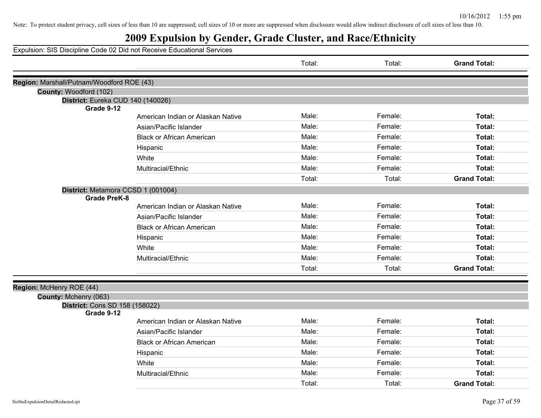## **2009 Expulsion by Gender, Grade Cluster, and Race/Ethnicity**

|                                           |                                                          | Total: | Total:  | <b>Grand Total:</b> |
|-------------------------------------------|----------------------------------------------------------|--------|---------|---------------------|
| Region: Marshall/Putnam/Woodford ROE (43) |                                                          |        |         |                     |
| County: Woodford (102)                    |                                                          |        |         |                     |
|                                           | District: Eureka CUD 140 (140026)                        |        |         |                     |
| Grade 9-12                                | American Indian or Alaskan Native                        | Male:  | Female: | Total:              |
|                                           | Asian/Pacific Islander                                   | Male:  | Female: | Total:              |
|                                           |                                                          | Male:  | Female: | Total:              |
|                                           | <b>Black or African American</b>                         |        |         |                     |
|                                           | Hispanic                                                 | Male:  | Female: | Total:              |
|                                           | White                                                    | Male:  | Female: | Total:              |
|                                           | Multiracial/Ethnic                                       | Male:  | Female: | Total:              |
|                                           |                                                          | Total: | Total:  | <b>Grand Total:</b> |
|                                           | District: Metamora CCSD 1 (001004)                       |        |         |                     |
|                                           | <b>Grade PreK-8</b><br>American Indian or Alaskan Native | Male:  | Female: | Total:              |
|                                           |                                                          | Male:  | Female: | Total:              |
|                                           | Asian/Pacific Islander                                   |        |         |                     |
|                                           | <b>Black or African American</b>                         | Male:  | Female: | Total:              |
|                                           | Hispanic                                                 | Male:  | Female: | Total:              |
|                                           | White                                                    | Male:  | Female: | Total:              |
|                                           | Multiracial/Ethnic                                       | Male:  | Female: | Total:              |
|                                           |                                                          | Total: | Total:  | <b>Grand Total:</b> |
| Region: McHenry ROE (44)                  |                                                          |        |         |                     |
| County: Mchenry (063)                     |                                                          |        |         |                     |
|                                           | <b>District: Cons SD 158 (158022)</b>                    |        |         |                     |
| Grade 9-12                                | American Indian or Alaskan Native                        | Male:  | Female: | Total:              |
|                                           |                                                          | Male:  | Female: | Total:              |
|                                           | Asian/Pacific Islander                                   |        |         |                     |
|                                           | <b>Black or African American</b>                         | Male:  | Female: | Total:              |
|                                           | Hispanic                                                 | Male:  | Female: | Total:              |
|                                           | White                                                    | Male:  | Female: | Total:              |
|                                           | Multiracial/Ethnic                                       | Male:  | Female: | Total:              |
|                                           |                                                          | Total: | Total:  | <b>Grand Total:</b> |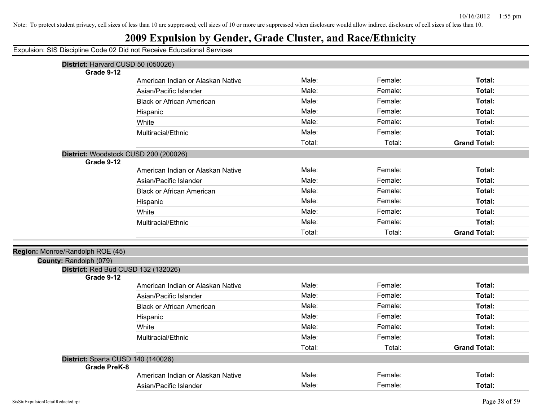| Expulsion: SIS Discipline Code 02 Did not Receive Educational Services |
|------------------------------------------------------------------------|
|------------------------------------------------------------------------|

| District: Harvard CUSD 50 (050026)    |                                   |        |         |                     |
|---------------------------------------|-----------------------------------|--------|---------|---------------------|
| Grade 9-12                            |                                   |        |         |                     |
|                                       | American Indian or Alaskan Native | Male:  | Female: | Total:              |
|                                       | Asian/Pacific Islander            | Male:  | Female: | Total:              |
|                                       | <b>Black or African American</b>  | Male:  | Female: | Total:              |
|                                       | Hispanic                          | Male:  | Female: | Total:              |
|                                       | White                             | Male:  | Female: | Total:              |
|                                       | Multiracial/Ethnic                | Male:  | Female: | Total:              |
|                                       |                                   | Total: | Total:  | <b>Grand Total:</b> |
| District: Woodstock CUSD 200 (200026) |                                   |        |         |                     |
| Grade 9-12                            |                                   |        |         |                     |
|                                       | American Indian or Alaskan Native | Male:  | Female: | Total:              |
|                                       | Asian/Pacific Islander            | Male:  | Female: | Total:              |
|                                       | <b>Black or African American</b>  | Male:  | Female: | Total:              |
|                                       | Hispanic                          | Male:  | Female: | Total:              |
|                                       | White                             | Male:  | Female: | Total:              |
|                                       | Multiracial/Ethnic                | Male:  | Female: | Total:              |
|                                       |                                   | Total: | Total:  | <b>Grand Total:</b> |
| Region: Monroe/Randolph ROE (45)      |                                   |        |         |                     |
| County: Randolph (079)                |                                   |        |         |                     |
| District: Red Bud CUSD 132 (132026)   |                                   |        |         |                     |
| Grade 9-12                            |                                   |        |         |                     |
|                                       | American Indian or Alaskan Native | Male:  | Female: | Total:              |
|                                       | Asian/Pacific Islander            | Male:  | Female: | Total:              |
|                                       | <b>Black or African American</b>  | Male:  | Female: | Total:              |
|                                       | Hispanic                          | Male:  | Female: | Total:              |
|                                       | White                             | Male:  | Female: | Total:              |
|                                       | Multiracial/Ethnic                | Male:  | Female: | Total:              |
|                                       |                                   | Total: | Total:  | <b>Grand Total:</b> |
| District: Sparta CUSD 140 (140026)    |                                   |        |         |                     |
| <b>Grade PreK-8</b>                   |                                   |        |         |                     |
|                                       | American Indian or Alaskan Native | Male:  | Female: | <b>Total:</b>       |
|                                       | Asian/Pacific Islander            | Male:  | Female: | Total:              |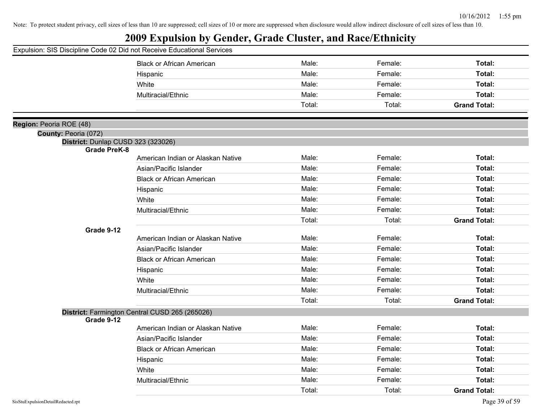|                                                           | <b>Black or African American</b>               | Male:  | Female: | Total:              |
|-----------------------------------------------------------|------------------------------------------------|--------|---------|---------------------|
|                                                           | Hispanic                                       | Male:  | Female: | Total:              |
|                                                           | White                                          | Male:  | Female: | Total:              |
|                                                           | Multiracial/Ethnic                             | Male:  | Female: | Total:              |
|                                                           |                                                | Total: | Total:  | <b>Grand Total:</b> |
|                                                           |                                                |        |         |                     |
| Region: Peoria ROE (48)                                   |                                                |        |         |                     |
| County: Peoria (072)                                      |                                                |        |         |                     |
| District: Dunlap CUSD 323 (323026)<br><b>Grade PreK-8</b> |                                                |        |         |                     |
|                                                           | American Indian or Alaskan Native              | Male:  | Female: | Total:              |
|                                                           | Asian/Pacific Islander                         | Male:  | Female: | Total:              |
|                                                           | <b>Black or African American</b>               | Male:  | Female: | Total:              |
|                                                           | Hispanic                                       | Male:  | Female: | Total:              |
|                                                           | White                                          | Male:  | Female: | Total:              |
|                                                           | Multiracial/Ethnic                             | Male:  | Female: | Total:              |
|                                                           |                                                | Total: | Total:  | <b>Grand Total:</b> |
| Grade 9-12                                                |                                                |        |         |                     |
|                                                           | American Indian or Alaskan Native              | Male:  | Female: | Total:              |
|                                                           | Asian/Pacific Islander                         | Male:  | Female: | Total:              |
|                                                           | <b>Black or African American</b>               | Male:  | Female: | Total:              |
|                                                           | Hispanic                                       | Male:  | Female: | Total:              |
|                                                           | White                                          | Male:  | Female: | Total:              |
|                                                           | Multiracial/Ethnic                             | Male:  | Female: | Total:              |
|                                                           |                                                | Total: | Total:  | <b>Grand Total:</b> |
|                                                           | District: Farmington Central CUSD 265 (265026) |        |         |                     |
| Grade 9-12                                                |                                                |        |         |                     |
|                                                           | American Indian or Alaskan Native              | Male:  | Female: | Total:              |
|                                                           | Asian/Pacific Islander                         | Male:  | Female: | Total:              |
|                                                           | <b>Black or African American</b>               | Male:  | Female: | Total:              |
|                                                           | Hispanic                                       | Male:  | Female: | Total:              |
|                                                           | White                                          | Male:  | Female: | Total:              |
|                                                           | Multiracial/Ethnic                             | Male:  | Female: | Total:              |
|                                                           |                                                | Total: | Total:  | <b>Grand Total:</b> |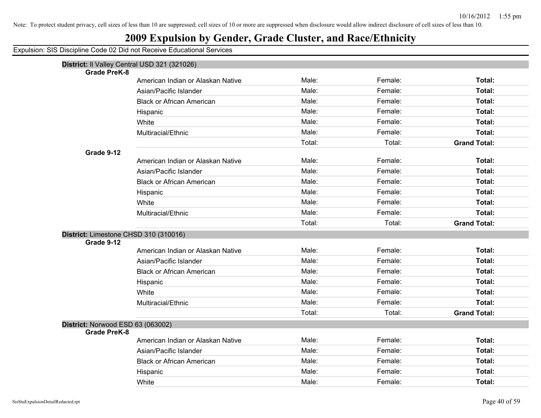## **2009 Expulsion by Gender, Grade Cluster, and Race/Ethnicity**

|                                       | District: Il Valley Central USD 321 (321026) |        |         |                     |
|---------------------------------------|----------------------------------------------|--------|---------|---------------------|
| <b>Grade PreK-8</b>                   |                                              | Male:  | Female: | Total:              |
|                                       | American Indian or Alaskan Native            | Male:  | Female: | Total:              |
|                                       | Asian/Pacific Islander                       |        |         |                     |
|                                       | <b>Black or African American</b>             | Male:  | Female: | Total:              |
|                                       | Hispanic                                     | Male:  | Female: | Total:              |
|                                       | White                                        | Male:  | Female: | Total:              |
|                                       | Multiracial/Ethnic                           | Male:  | Female: | Total:              |
|                                       |                                              | Total: | Total:  | <b>Grand Total:</b> |
| Grade 9-12                            |                                              |        |         |                     |
|                                       | American Indian or Alaskan Native            | Male:  | Female: | Total:              |
|                                       | Asian/Pacific Islander                       | Male:  | Female: | <b>Total:</b>       |
|                                       | <b>Black or African American</b>             | Male:  | Female: | Total:              |
|                                       | Hispanic                                     | Male:  | Female: | Total:              |
|                                       | White                                        | Male:  | Female: | Total:              |
|                                       | Multiracial/Ethnic                           | Male:  | Female: | Total:              |
|                                       |                                              | Total: | Total:  | <b>Grand Total:</b> |
| District: Limestone CHSD 310 (310016) |                                              |        |         |                     |
| Grade 9-12                            |                                              |        |         |                     |
|                                       | American Indian or Alaskan Native            | Male:  | Female: | <b>Total:</b>       |
|                                       | Asian/Pacific Islander                       | Male:  | Female: | Total:              |
|                                       | <b>Black or African American</b>             | Male:  | Female: | Total:              |
|                                       | Hispanic                                     | Male:  | Female: | Total:              |
|                                       | White                                        | Male:  | Female: | Total:              |
|                                       | Multiracial/Ethnic                           | Male:  | Female: | Total:              |
|                                       |                                              | Total: | Total:  | <b>Grand Total:</b> |
| District: Norwood ESD 63 (063002)     |                                              |        |         |                     |
| <b>Grade PreK-8</b>                   |                                              |        |         |                     |
|                                       | American Indian or Alaskan Native            | Male:  | Female: | Total:              |
|                                       | Asian/Pacific Islander                       | Male:  | Female: | Total:              |
|                                       | <b>Black or African American</b>             | Male:  | Female: | Total:              |
|                                       | Hispanic                                     | Male:  | Female: | Total:              |
|                                       | White                                        | Male:  | Female: | Total:              |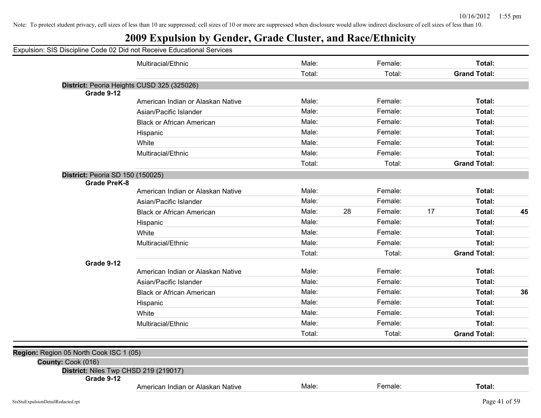## **2009 Expulsion by Gender, Grade Cluster, and Race/Ethnicity**

|                                                             | Multiracial/Ethnic                | Male:  |    | Female: |    | Total:              |    |
|-------------------------------------------------------------|-----------------------------------|--------|----|---------|----|---------------------|----|
|                                                             |                                   | Total: |    | Total:  |    | <b>Grand Total:</b> |    |
| District: Peoria Heights CUSD 325 (325026)<br>Grade 9-12    |                                   |        |    |         |    |                     |    |
|                                                             | American Indian or Alaskan Native | Male:  |    | Female: |    | Total:              |    |
|                                                             | Asian/Pacific Islander            | Male:  |    | Female: |    | Total:              |    |
|                                                             | <b>Black or African American</b>  | Male:  |    | Female: |    | Total:              |    |
|                                                             | Hispanic                          | Male:  |    | Female: |    | Total:              |    |
|                                                             | White                             | Male:  |    | Female: |    | Total:              |    |
|                                                             | Multiracial/Ethnic                | Male:  |    | Female: |    | Total:              |    |
|                                                             |                                   | Total: |    | Total:  |    | <b>Grand Total:</b> |    |
| <b>District: Peoria SD 150 (150025)</b>                     |                                   |        |    |         |    |                     |    |
| <b>Grade PreK-8</b>                                         |                                   |        |    |         |    |                     |    |
|                                                             | American Indian or Alaskan Native | Male:  |    | Female: |    | Total:              |    |
|                                                             | Asian/Pacific Islander            | Male:  |    | Female: |    | Total:              |    |
|                                                             | <b>Black or African American</b>  | Male:  | 28 | Female: | 17 | Total:              | 45 |
|                                                             | Hispanic                          | Male:  |    | Female: |    | Total:              |    |
|                                                             | White                             | Male:  |    | Female: |    | Total:              |    |
|                                                             | Multiracial/Ethnic                | Male:  |    | Female: |    | Total:              |    |
|                                                             |                                   | Total: |    | Total:  |    | <b>Grand Total:</b> |    |
| Grade 9-12                                                  | American Indian or Alaskan Native | Male:  |    | Female: |    | Total:              |    |
|                                                             | Asian/Pacific Islander            | Male:  |    | Female: |    | Total:              |    |
|                                                             | <b>Black or African American</b>  | Male:  |    | Female: |    | Total:              | 36 |
|                                                             | Hispanic                          | Male:  |    | Female: |    | Total:              |    |
|                                                             | White                             | Male:  |    | Female: |    | Total:              |    |
|                                                             | Multiracial/Ethnic                | Male:  |    | Female: |    | Total:              |    |
|                                                             |                                   | Total: |    | Total:  |    | <b>Grand Total:</b> |    |
| Region: Region 05 North Cook ISC 1 (05)                     |                                   |        |    |         |    |                     |    |
| County: Cook (016)<br>District: Niles Twp CHSD 219 (219017) |                                   |        |    |         |    |                     |    |
| Grade 9-12                                                  | American Indian or Alaskan Native | Male:  |    | Female: |    | Total:              |    |
|                                                             |                                   |        |    |         |    |                     |    |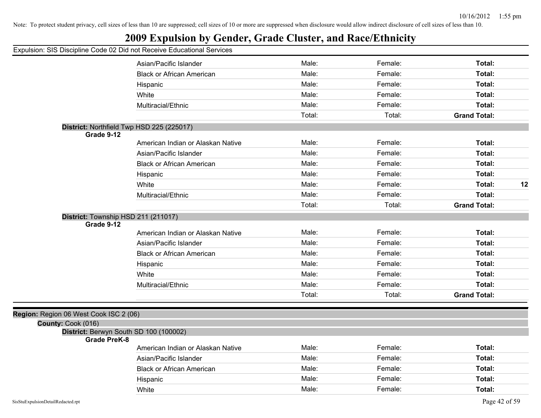## **2009 Expulsion by Gender, Grade Cluster, and Race/Ethnicity**

|                                                               | Asian/Pacific Islander            | Male:  | Female: | Total:              |    |
|---------------------------------------------------------------|-----------------------------------|--------|---------|---------------------|----|
|                                                               | <b>Black or African American</b>  | Male:  | Female: | Total:              |    |
|                                                               | Hispanic                          | Male:  | Female: | Total:              |    |
|                                                               | White                             | Male:  | Female: | Total:              |    |
|                                                               | Multiracial/Ethnic                | Male:  | Female: | Total:              |    |
|                                                               |                                   | Total: | Total:  | <b>Grand Total:</b> |    |
| District: Northfield Twp HSD 225 (225017)                     |                                   |        |         |                     |    |
| Grade 9-12                                                    |                                   |        |         |                     |    |
|                                                               | American Indian or Alaskan Native | Male:  | Female: | Total:              |    |
|                                                               | Asian/Pacific Islander            | Male:  | Female: | Total:              |    |
|                                                               | <b>Black or African American</b>  | Male:  | Female: | Total:              |    |
|                                                               | Hispanic                          | Male:  | Female: | Total:              |    |
|                                                               | White                             | Male:  | Female: | Total:              | 12 |
|                                                               | Multiracial/Ethnic                | Male:  | Female: | Total:              |    |
|                                                               |                                   | Total: | Total:  | <b>Grand Total:</b> |    |
| District: Township HSD 211 (211017)                           |                                   |        |         |                     |    |
| Grade 9-12                                                    |                                   |        |         |                     |    |
|                                                               | American Indian or Alaskan Native | Male:  | Female: | Total:              |    |
|                                                               | Asian/Pacific Islander            | Male:  | Female: | Total:              |    |
|                                                               | <b>Black or African American</b>  | Male:  | Female: | Total:              |    |
|                                                               | Hispanic                          | Male:  | Female: | Total:              |    |
|                                                               | White                             | Male:  | Female: | Total:              |    |
|                                                               | Multiracial/Ethnic                | Male:  | Female: | Total:              |    |
|                                                               |                                   | Total: | Total:  | <b>Grand Total:</b> |    |
|                                                               |                                   |        |         |                     |    |
| Region: Region 06 West Cook ISC 2 (06)                        |                                   |        |         |                     |    |
| County: Cook (016)                                            |                                   |        |         |                     |    |
| District: Berwyn South SD 100 (100002)<br><b>Grade PreK-8</b> |                                   |        |         |                     |    |
|                                                               | American Indian or Alaskan Native | Male:  | Female: | Total:              |    |
|                                                               | Asian/Pacific Islander            | Male:  | Female: | Total:              |    |
|                                                               | <b>Black or African American</b>  | Male:  | Female: | Total:              |    |
|                                                               | Hispanic                          | Male:  | Female: | Total:              |    |
|                                                               | White                             | Male:  | Female: | Total:              |    |
|                                                               |                                   |        |         |                     |    |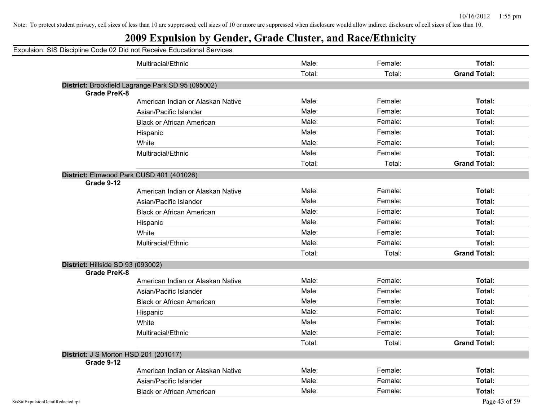## **2009 Expulsion by Gender, Grade Cluster, and Race/Ethnicity**

|                                   | Multiracial/Ethnic                                | Male:  | Female: | Total:              |
|-----------------------------------|---------------------------------------------------|--------|---------|---------------------|
|                                   |                                                   | Total: | Total:  | <b>Grand Total:</b> |
|                                   | District: Brookfield Lagrange Park SD 95 (095002) |        |         |                     |
| <b>Grade PreK-8</b>               |                                                   |        |         |                     |
|                                   | American Indian or Alaskan Native                 | Male:  | Female: | Total:              |
|                                   | Asian/Pacific Islander                            | Male:  | Female: | <b>Total:</b>       |
|                                   | <b>Black or African American</b>                  | Male:  | Female: | <b>Total:</b>       |
|                                   | Hispanic                                          | Male:  | Female: | <b>Total:</b>       |
|                                   | White                                             | Male:  | Female: | Total:              |
|                                   | Multiracial/Ethnic                                | Male:  | Female: | Total:              |
|                                   |                                                   | Total: | Total:  | <b>Grand Total:</b> |
|                                   | District: Elmwood Park CUSD 401 (401026)          |        |         |                     |
| Grade 9-12                        |                                                   |        |         |                     |
|                                   | American Indian or Alaskan Native                 | Male:  | Female: | Total:              |
|                                   | Asian/Pacific Islander                            | Male:  | Female: | Total:              |
|                                   | <b>Black or African American</b>                  | Male:  | Female: | Total:              |
|                                   | Hispanic                                          | Male:  | Female: | <b>Total:</b>       |
|                                   | White                                             | Male:  | Female: | <b>Total:</b>       |
|                                   | Multiracial/Ethnic                                | Male:  | Female: | Total:              |
|                                   |                                                   | Total: | Total:  | <b>Grand Total:</b> |
| District: Hillside SD 93 (093002) |                                                   |        |         |                     |
| <b>Grade PreK-8</b>               |                                                   |        |         |                     |
|                                   | American Indian or Alaskan Native                 | Male:  | Female: | <b>Total:</b>       |
|                                   | Asian/Pacific Islander                            | Male:  | Female: | Total:              |
|                                   | <b>Black or African American</b>                  | Male:  | Female: | Total:              |
|                                   | Hispanic                                          | Male:  | Female: | Total:              |
|                                   | White                                             | Male:  | Female: | Total:              |
|                                   | Multiracial/Ethnic                                | Male:  | Female: | <b>Total:</b>       |
|                                   |                                                   | Total: | Total:  | <b>Grand Total:</b> |
|                                   | District: J S Morton HSD 201 (201017)             |        |         |                     |
| Grade 9-12                        |                                                   |        |         |                     |
|                                   | American Indian or Alaskan Native                 | Male:  | Female: | <b>Total:</b>       |
|                                   | Asian/Pacific Islander                            | Male:  | Female: | <b>Total:</b>       |
|                                   | <b>Black or African American</b>                  | Male:  | Female: | Total:              |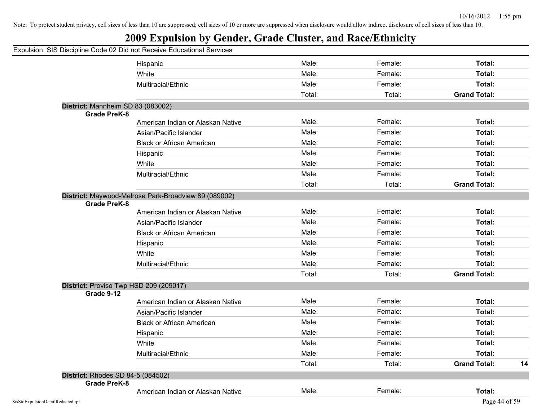|                     | Expulsion: SIS Discipline Code 02 Did not Receive Educational Services |        |         |                     |    |
|---------------------|------------------------------------------------------------------------|--------|---------|---------------------|----|
|                     | Hispanic                                                               | Male:  | Female: | Total:              |    |
|                     | White                                                                  | Male:  | Female: | Total:              |    |
|                     | Multiracial/Ethnic                                                     | Male:  | Female: | Total:              |    |
|                     |                                                                        | Total: | Total:  | <b>Grand Total:</b> |    |
|                     | District: Mannheim SD 83 (083002)                                      |        |         |                     |    |
| <b>Grade PreK-8</b> |                                                                        |        |         |                     |    |
|                     | American Indian or Alaskan Native                                      | Male:  | Female: | Total:              |    |
|                     | Asian/Pacific Islander                                                 | Male:  | Female: | Total:              |    |
|                     | <b>Black or African American</b>                                       | Male:  | Female: | Total:              |    |
|                     | Hispanic                                                               | Male:  | Female: | Total:              |    |
|                     | White                                                                  | Male:  | Female: | Total:              |    |
|                     | Multiracial/Ethnic                                                     | Male:  | Female: | Total:              |    |
|                     |                                                                        | Total: | Total:  | <b>Grand Total:</b> |    |
| <b>Grade PreK-8</b> | District: Maywood-Melrose Park-Broadview 89 (089002)                   |        |         |                     |    |
|                     | American Indian or Alaskan Native                                      | Male:  | Female: | Total:              |    |
|                     | Asian/Pacific Islander                                                 | Male:  | Female: | Total:              |    |
|                     | <b>Black or African American</b>                                       | Male:  | Female: | Total:              |    |
|                     | Hispanic                                                               | Male:  | Female: | Total:              |    |
|                     | White                                                                  | Male:  | Female: | Total:              |    |
|                     | Multiracial/Ethnic                                                     | Male:  | Female: | Total:              |    |
|                     |                                                                        | Total: | Total:  | <b>Grand Total:</b> |    |
| Grade 9-12          | District: Proviso Twp HSD 209 (209017)                                 |        |         |                     |    |
|                     | American Indian or Alaskan Native                                      | Male:  | Female: | Total:              |    |
|                     | Asian/Pacific Islander                                                 | Male:  | Female: | Total:              |    |
|                     | <b>Black or African American</b>                                       | Male:  | Female: | Total:              |    |
|                     | Hispanic                                                               | Male:  | Female: | Total:              |    |
|                     | White                                                                  | Male:  | Female: | Total:              |    |
|                     | Multiracial/Ethnic                                                     | Male:  | Female: | Total:              |    |
|                     |                                                                        | Total: | Total:  | <b>Grand Total:</b> | 14 |
|                     | District: Rhodes SD 84-5 (084502)                                      |        |         |                     |    |
| <b>Grade PreK-8</b> |                                                                        |        |         |                     |    |
|                     | American Indian or Alaskan Native                                      | Male:  | Female: | Total:              |    |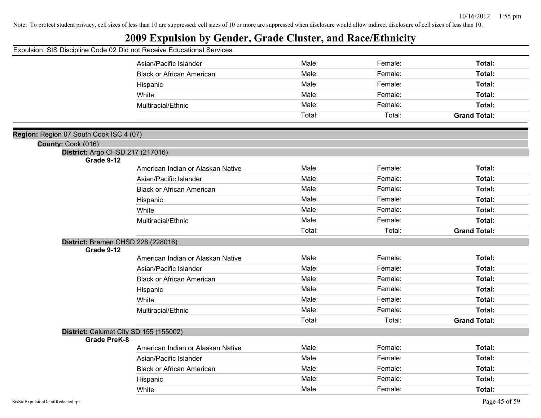## **2009 Expulsion by Gender, Grade Cluster, and Race/Ethnicity**

|                                                        | Asian/Pacific Islander                 | Male:  | Female: | Total:              |
|--------------------------------------------------------|----------------------------------------|--------|---------|---------------------|
|                                                        | <b>Black or African American</b>       | Male:  | Female: | Total:              |
|                                                        | Hispanic                               | Male:  | Female: | Total:              |
|                                                        | White                                  | Male:  | Female: | Total:              |
|                                                        | Multiracial/Ethnic                     | Male:  | Female: | Total:              |
|                                                        |                                        | Total: | Total:  | <b>Grand Total:</b> |
|                                                        |                                        |        |         |                     |
| Region: Region 07 South Cook ISC 4 (07)                |                                        |        |         |                     |
| County: Cook (016)<br>District: Argo CHSD 217 (217016) |                                        |        |         |                     |
| <b>Grade 9-12</b>                                      |                                        |        |         |                     |
|                                                        | American Indian or Alaskan Native      | Male:  | Female: | Total:              |
|                                                        | Asian/Pacific Islander                 | Male:  | Female: | Total:              |
|                                                        | <b>Black or African American</b>       | Male:  | Female: | Total:              |
|                                                        | Hispanic                               | Male:  | Female: | Total:              |
|                                                        | White                                  | Male:  | Female: | Total:              |
|                                                        | Multiracial/Ethnic                     | Male:  | Female: | Total:              |
|                                                        |                                        | Total: | Total:  | <b>Grand Total:</b> |
| District: Bremen CHSD 228 (228016)                     |                                        |        |         |                     |
| Grade 9-12                                             | American Indian or Alaskan Native      | Male:  | Female: | Total:              |
|                                                        | Asian/Pacific Islander                 | Male:  | Female: | Total:              |
|                                                        | <b>Black or African American</b>       | Male:  | Female: | Total:              |
|                                                        |                                        |        |         |                     |
|                                                        | Hispanic                               | Male:  | Female: | Total:              |
|                                                        | White                                  | Male:  | Female: | Total:              |
|                                                        | Multiracial/Ethnic                     | Male:  | Female: | Total:              |
|                                                        |                                        | Total: | Total:  | <b>Grand Total:</b> |
| <b>Grade PreK-8</b>                                    | District: Calumet City SD 155 (155002) |        |         |                     |
|                                                        | American Indian or Alaskan Native      | Male:  | Female: | Total:              |
|                                                        | Asian/Pacific Islander                 | Male:  | Female: | Total:              |
|                                                        | <b>Black or African American</b>       | Male:  | Female: | Total:              |
|                                                        | Hispanic                               | Male:  | Female: | Total:              |
|                                                        | White                                  | Male:  | Female: | Total:              |
|                                                        |                                        |        |         |                     |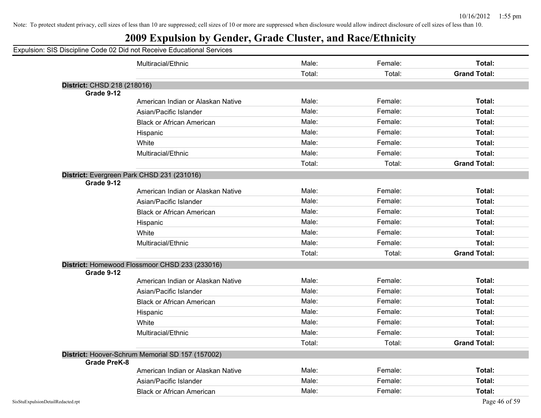| Expulsion: SIS Discipline Code 02 Did not Receive Educational Services |  |
|------------------------------------------------------------------------|--|
|------------------------------------------------------------------------|--|

|                             | Multiracial/Ethnic                               | Male:  | Female: | Total:              |
|-----------------------------|--------------------------------------------------|--------|---------|---------------------|
|                             |                                                  | Total: | Total:  | <b>Grand Total:</b> |
| District: CHSD 218 (218016) |                                                  |        |         |                     |
| Grade 9-12                  |                                                  |        |         |                     |
|                             | American Indian or Alaskan Native                | Male:  | Female: | Total:              |
|                             | Asian/Pacific Islander                           | Male:  | Female: | <b>Total:</b>       |
|                             | <b>Black or African American</b>                 | Male:  | Female: | <b>Total:</b>       |
|                             | Hispanic                                         | Male:  | Female: | Total:              |
|                             | White                                            | Male:  | Female: | Total:              |
|                             | Multiracial/Ethnic                               | Male:  | Female: | Total:              |
|                             |                                                  | Total: | Total:  | <b>Grand Total:</b> |
|                             | District: Evergreen Park CHSD 231 (231016)       |        |         |                     |
| Grade 9-12                  |                                                  |        |         |                     |
|                             | American Indian or Alaskan Native                | Male:  | Female: | <b>Total:</b>       |
|                             | Asian/Pacific Islander                           | Male:  | Female: | Total:              |
|                             | <b>Black or African American</b>                 | Male:  | Female: | Total:              |
|                             | Hispanic                                         | Male:  | Female: | <b>Total:</b>       |
|                             | White                                            | Male:  | Female: | Total:              |
|                             | Multiracial/Ethnic                               | Male:  | Female: | Total:              |
|                             |                                                  | Total: | Total:  | <b>Grand Total:</b> |
|                             | District: Homewood Flossmoor CHSD 233 (233016)   |        |         |                     |
| Grade 9-12                  |                                                  |        |         |                     |
|                             | American Indian or Alaskan Native                | Male:  | Female: | <b>Total:</b>       |
|                             | Asian/Pacific Islander                           | Male:  | Female: | Total:              |
|                             | <b>Black or African American</b>                 | Male:  | Female: | <b>Total:</b>       |
|                             | Hispanic                                         | Male:  | Female: | <b>Total:</b>       |
|                             | White                                            | Male:  | Female: | Total:              |
|                             | Multiracial/Ethnic                               | Male:  | Female: | Total:              |
|                             |                                                  | Total: | Total:  | <b>Grand Total:</b> |
|                             | District: Hoover-Schrum Memorial SD 157 (157002) |        |         |                     |
| <b>Grade PreK-8</b>         |                                                  |        |         |                     |
|                             | American Indian or Alaskan Native                | Male:  | Female: | <b>Total:</b>       |
|                             | Asian/Pacific Islander                           | Male:  | Female: | <b>Total:</b>       |
|                             | <b>Black or African American</b>                 | Male:  | Female: | Total:              |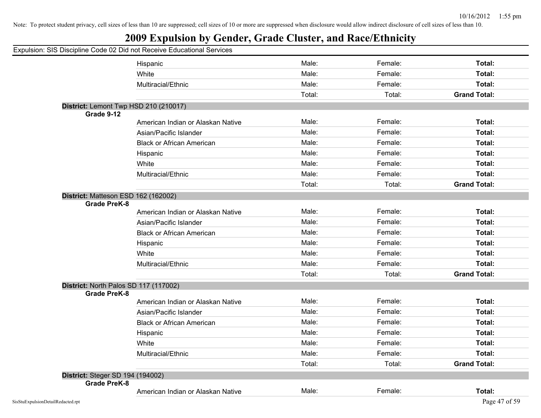|                                                              | Expulsion: SIS Discipline Code 02 Did not Receive Educational Services |        |         |                     |
|--------------------------------------------------------------|------------------------------------------------------------------------|--------|---------|---------------------|
|                                                              | Hispanic                                                               | Male:  | Female: | Total:              |
|                                                              | White                                                                  | Male:  | Female: | Total:              |
|                                                              | Multiracial/Ethnic                                                     | Male:  | Female: | Total:              |
|                                                              |                                                                        | Total: | Total:  | <b>Grand Total:</b> |
| District: Lemont Twp HSD 210 (210017)                        |                                                                        |        |         |                     |
| Grade 9-12                                                   |                                                                        |        |         |                     |
|                                                              | American Indian or Alaskan Native                                      | Male:  | Female: | Total:              |
|                                                              | Asian/Pacific Islander                                                 | Male:  | Female: | Total:              |
|                                                              | <b>Black or African American</b>                                       | Male:  | Female: | Total:              |
|                                                              | Hispanic                                                               | Male:  | Female: | Total:              |
|                                                              | White                                                                  | Male:  | Female: | Total:              |
|                                                              | Multiracial/Ethnic                                                     | Male:  | Female: | Total:              |
|                                                              |                                                                        | Total: | Total:  | <b>Grand Total:</b> |
| District: Matteson ESD 162 (162002)                          |                                                                        |        |         |                     |
| <b>Grade PreK-8</b>                                          |                                                                        |        |         |                     |
|                                                              | American Indian or Alaskan Native                                      | Male:  | Female: | Total:              |
|                                                              | Asian/Pacific Islander                                                 | Male:  | Female: | Total:              |
|                                                              | <b>Black or African American</b>                                       | Male:  | Female: | Total:              |
|                                                              | Hispanic                                                               | Male:  | Female: | Total:              |
|                                                              | White                                                                  | Male:  | Female: | Total:              |
|                                                              | Multiracial/Ethnic                                                     | Male:  | Female: | Total:              |
|                                                              |                                                                        | Total: | Total:  | <b>Grand Total:</b> |
| District: North Palos SD 117 (117002)<br><b>Grade PreK-8</b> |                                                                        |        |         |                     |
|                                                              | American Indian or Alaskan Native                                      | Male:  | Female: | Total:              |
|                                                              | Asian/Pacific Islander                                                 | Male:  | Female: | Total:              |
|                                                              | <b>Black or African American</b>                                       | Male:  | Female: | Total:              |
|                                                              | Hispanic                                                               | Male:  | Female: | Total:              |
|                                                              | White                                                                  | Male:  | Female: | Total:              |
|                                                              | Multiracial/Ethnic                                                     | Male:  | Female: | Total:              |
|                                                              |                                                                        | Total: | Total:  | <b>Grand Total:</b> |
| District: Steger SD 194 (194002)                             |                                                                        |        |         |                     |
| <b>Grade PreK-8</b>                                          |                                                                        |        |         |                     |
|                                                              | American Indian or Alaskan Native                                      | Male:  | Female: | Total:              |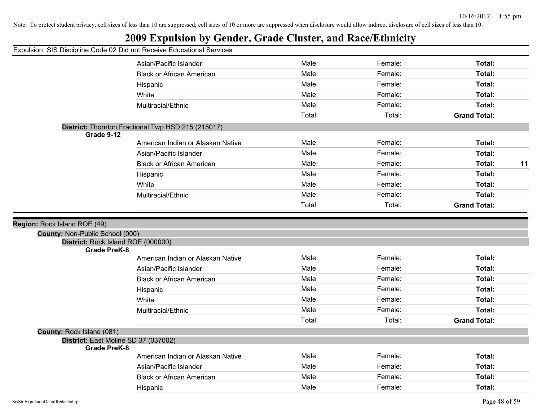## **2009 Expulsion by Gender, Grade Cluster, and Race/Ethnicity**

|                                 | Asian/Pacific Islander                             | Male:          | Female: | Total:              |    |
|---------------------------------|----------------------------------------------------|----------------|---------|---------------------|----|
|                                 | <b>Black or African American</b>                   | Male:          | Female: | Total:              |    |
|                                 | Hispanic                                           | Male:          | Female: | Total:              |    |
|                                 | White                                              | Male:          | Female: | Total:              |    |
|                                 | Multiracial/Ethnic                                 | Male:          | Female: | Total:              |    |
|                                 |                                                    | Total:         | Total:  | <b>Grand Total:</b> |    |
| Grade 9-12                      | District: Thornton Fractional Twp HSD 215 (215017) |                |         |                     |    |
|                                 | American Indian or Alaskan Native                  | Male:          | Female: | Total:              |    |
|                                 | Asian/Pacific Islander                             | Male:          | Female: | Total:              |    |
|                                 | <b>Black or African American</b>                   | Male:          | Female: | Total:              | 11 |
|                                 | Hispanic                                           | Male:          | Female: | Total:              |    |
|                                 | White                                              | Male:          | Female: | Total:              |    |
|                                 | Multiracial/Ethnic                                 | Male:          | Female: | Total:              |    |
|                                 |                                                    | Total:         | Total:  | <b>Grand Total:</b> |    |
|                                 |                                                    |                |         |                     |    |
| Region: Rock Island ROE (49)    |                                                    |                |         |                     |    |
| County: Non-Public School (000) |                                                    |                |         |                     |    |
| <b>Grade PreK-8</b>             | District: Rock Island ROE (000000)                 |                |         |                     |    |
|                                 | American Indian or Alaskan Native                  | Male:          | Female: | Total:              |    |
|                                 | Asian/Pacific Islander                             | Male:          | Female: | Total:              |    |
|                                 | <b>Black or African American</b>                   | Male:          | Female: | Total:              |    |
|                                 | Hispanic                                           | Male:          | Female: | Total:              |    |
|                                 | White                                              | Male:          | Female: | Total:              |    |
|                                 | Multiracial/Ethnic                                 | Male:          | Female: | Total:              |    |
|                                 |                                                    | Total:         | Total:  | <b>Grand Total:</b> |    |
| County: Rock Island (081)       |                                                    |                |         |                     |    |
|                                 | District: East Moline SD 37 (037002)               |                |         |                     |    |
| <b>Grade PreK-8</b>             |                                                    | Male:          | Female: | Total:              |    |
|                                 | American Indian or Alaskan Native                  |                |         |                     |    |
|                                 | Asian/Pacific Islander                             | Male:<br>Male: | Female: | Total:              |    |
|                                 | <b>Black or African American</b>                   |                | Female: | Total:              |    |
|                                 | Hispanic                                           | Male:          | Female: | Total:              |    |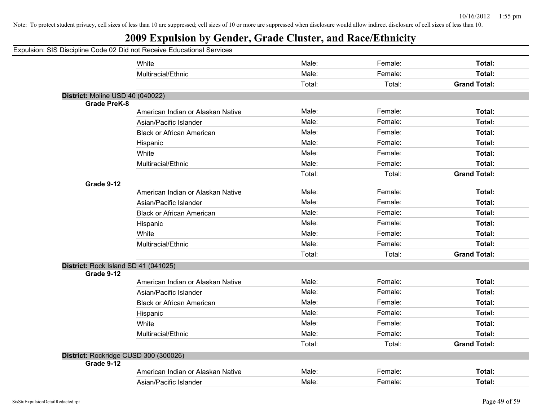## **2009 Expulsion by Gender, Grade Cluster, and Race/Ethnicity**

|                                      | White                                 | Male:  | Female: | Total:              |
|--------------------------------------|---------------------------------------|--------|---------|---------------------|
|                                      | Multiracial/Ethnic                    | Male:  | Female: | Total:              |
|                                      |                                       | Total: | Total:  | <b>Grand Total:</b> |
| District: Moline USD 40 (040022)     |                                       |        |         |                     |
| <b>Grade PreK-8</b>                  |                                       |        |         |                     |
|                                      | American Indian or Alaskan Native     | Male:  | Female: | Total:              |
|                                      | Asian/Pacific Islander                | Male:  | Female: | <b>Total:</b>       |
|                                      | <b>Black or African American</b>      | Male:  | Female: | Total:              |
|                                      | Hispanic                              | Male:  | Female: | Total:              |
|                                      | White                                 | Male:  | Female: | Total:              |
|                                      | Multiracial/Ethnic                    | Male:  | Female: | Total:              |
|                                      |                                       | Total: | Total:  | <b>Grand Total:</b> |
| Grade 9-12                           |                                       |        |         |                     |
|                                      | American Indian or Alaskan Native     | Male:  | Female: | <b>Total:</b>       |
|                                      | Asian/Pacific Islander                | Male:  | Female: | Total:              |
|                                      | <b>Black or African American</b>      | Male:  | Female: | <b>Total:</b>       |
|                                      | Hispanic                              | Male:  | Female: | Total:              |
|                                      | White                                 | Male:  | Female: | Total:              |
|                                      | Multiracial/Ethnic                    | Male:  | Female: | Total:              |
|                                      |                                       | Total: | Total:  | <b>Grand Total:</b> |
| District: Rock Island SD 41 (041025) |                                       |        |         |                     |
| Grade 9-12                           |                                       |        |         |                     |
|                                      | American Indian or Alaskan Native     | Male:  | Female: | <b>Total:</b>       |
|                                      | Asian/Pacific Islander                | Male:  | Female: | Total:              |
|                                      | <b>Black or African American</b>      | Male:  | Female: | Total:              |
|                                      | Hispanic                              | Male:  | Female: | Total:              |
|                                      | White                                 | Male:  | Female: | Total:              |
|                                      | Multiracial/Ethnic                    | Male:  | Female: | <b>Total:</b>       |
|                                      |                                       | Total: | Total:  | <b>Grand Total:</b> |
|                                      | District: Rockridge CUSD 300 (300026) |        |         |                     |
| Grade 9-12                           |                                       |        |         |                     |
|                                      | American Indian or Alaskan Native     | Male:  | Female: | <b>Total:</b>       |
|                                      | Asian/Pacific Islander                | Male:  | Female: | Total:              |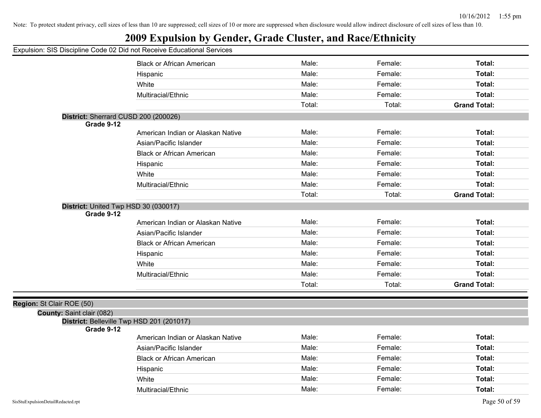## **2009 Expulsion by Gender, Grade Cluster, and Race/Ethnicity**

| Apaloloni. Olo Dioolphilio Oodo 02 Did Hot Roochto Eddodilohal Oci |                                           |        |         |                     |
|--------------------------------------------------------------------|-------------------------------------------|--------|---------|---------------------|
|                                                                    | <b>Black or African American</b>          | Male:  | Female: | Total:              |
|                                                                    | Hispanic                                  | Male:  | Female: | Total:              |
|                                                                    | White                                     | Male:  | Female: | Total:              |
|                                                                    | Multiracial/Ethnic                        | Male:  | Female: | Total:              |
|                                                                    |                                           | Total: | Total:  | <b>Grand Total:</b> |
| District: Sherrard CUSD 200 (200026)                               |                                           |        |         |                     |
| Grade 9-12                                                         |                                           |        |         |                     |
|                                                                    | American Indian or Alaskan Native         | Male:  | Female: | Total:              |
|                                                                    | Asian/Pacific Islander                    | Male:  | Female: | Total:              |
|                                                                    | <b>Black or African American</b>          | Male:  | Female: | Total:              |
|                                                                    | Hispanic                                  | Male:  | Female: | Total:              |
|                                                                    | White                                     | Male:  | Female: | Total:              |
|                                                                    | Multiracial/Ethnic                        | Male:  | Female: | Total:              |
|                                                                    |                                           | Total: | Total:  | <b>Grand Total:</b> |
| District: United Twp HSD 30 (030017)                               |                                           |        |         |                     |
| Grade 9-12                                                         |                                           |        |         |                     |
|                                                                    | American Indian or Alaskan Native         | Male:  | Female: | Total:              |
|                                                                    | Asian/Pacific Islander                    | Male:  | Female: | Total:              |
|                                                                    | <b>Black or African American</b>          | Male:  | Female: | Total:              |
|                                                                    | Hispanic                                  | Male:  | Female: | Total:              |
|                                                                    | White                                     | Male:  | Female: | Total:              |
|                                                                    | Multiracial/Ethnic                        | Male:  | Female: | Total:              |
|                                                                    |                                           | Total: | Total:  | <b>Grand Total:</b> |
|                                                                    |                                           |        |         |                     |
| Region: St Clair ROE (50)                                          |                                           |        |         |                     |
| County: Saint clair (082)                                          | District: Belleville Twp HSD 201 (201017) |        |         |                     |
| Grade 9-12                                                         |                                           |        |         |                     |
|                                                                    | American Indian or Alaskan Native         | Male:  | Female: | Total:              |
|                                                                    | Asian/Pacific Islander                    | Male:  | Female: | Total:              |
|                                                                    | <b>Black or African American</b>          | Male:  | Female: | Total:              |
|                                                                    | Hispanic                                  | Male:  | Female: | Total:              |
|                                                                    | White                                     | Male:  | Female: | Total:              |
|                                                                    | Multiracial/Ethnic                        | Male:  | Female: | Total:              |
|                                                                    |                                           |        |         |                     |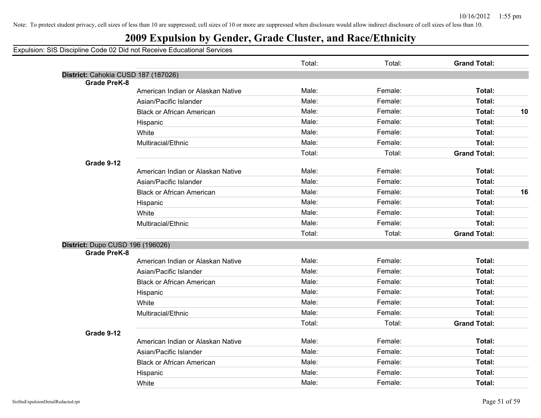## **2009 Expulsion by Gender, Grade Cluster, and Race/Ethnicity**

|                                     |                                   | Total: | Total:  | <b>Grand Total:</b> |    |
|-------------------------------------|-----------------------------------|--------|---------|---------------------|----|
| District: Cahokia CUSD 187 (187026) |                                   |        |         |                     |    |
| <b>Grade PreK-8</b>                 |                                   |        |         |                     |    |
|                                     | American Indian or Alaskan Native | Male:  | Female: | Total:              |    |
|                                     | Asian/Pacific Islander            | Male:  | Female: | Total:              |    |
|                                     | <b>Black or African American</b>  | Male:  | Female: | Total:              | 10 |
|                                     | Hispanic                          | Male:  | Female: | Total:              |    |
|                                     | White                             | Male:  | Female: | Total:              |    |
|                                     | Multiracial/Ethnic                | Male:  | Female: | Total:              |    |
|                                     |                                   | Total: | Total:  | <b>Grand Total:</b> |    |
| Grade 9-12                          |                                   |        |         |                     |    |
|                                     | American Indian or Alaskan Native | Male:  | Female: | Total:              |    |
|                                     | Asian/Pacific Islander            | Male:  | Female: | Total:              |    |
|                                     | <b>Black or African American</b>  | Male:  | Female: | <b>Total:</b>       | 16 |
|                                     | Hispanic                          | Male:  | Female: | Total:              |    |
|                                     | White                             | Male:  | Female: | Total:              |    |
|                                     | Multiracial/Ethnic                | Male:  | Female: | Total:              |    |
|                                     |                                   | Total: | Total:  | <b>Grand Total:</b> |    |
| District: Dupo CUSD 196 (196026)    |                                   |        |         |                     |    |
| <b>Grade PreK-8</b>                 |                                   |        |         |                     |    |
|                                     | American Indian or Alaskan Native | Male:  | Female: | Total:              |    |
|                                     | Asian/Pacific Islander            | Male:  | Female: | Total:              |    |
|                                     | <b>Black or African American</b>  | Male:  | Female: | Total:              |    |
|                                     | Hispanic                          | Male:  | Female: | Total:              |    |
|                                     | White                             | Male:  | Female: | Total:              |    |
|                                     | Multiracial/Ethnic                | Male:  | Female: | <b>Total:</b>       |    |
|                                     |                                   | Total: | Total:  | <b>Grand Total:</b> |    |
| Grade 9-12                          |                                   |        |         |                     |    |
|                                     | American Indian or Alaskan Native | Male:  | Female: | Total:              |    |
|                                     | Asian/Pacific Islander            | Male:  | Female: | <b>Total:</b>       |    |
|                                     | <b>Black or African American</b>  | Male:  | Female: | Total:              |    |
|                                     | Hispanic                          | Male:  | Female: | Total:              |    |
|                                     | White                             | Male:  | Female: | Total:              |    |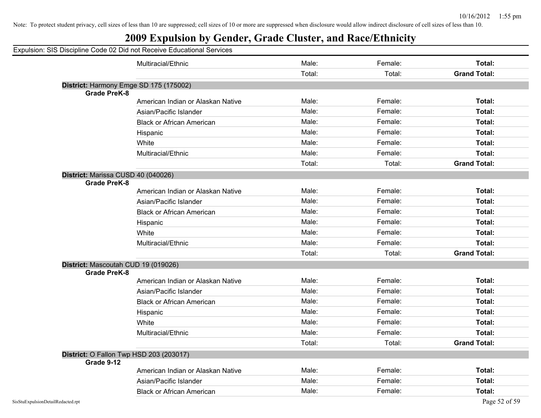## **2009 Expulsion by Gender, Grade Cluster, and Race/Ethnicity**

|                     | Multiracial/Ethnic                      | Male:  | Female: | <b>Total:</b>       |
|---------------------|-----------------------------------------|--------|---------|---------------------|
|                     |                                         | Total: | Total:  | <b>Grand Total:</b> |
|                     | District: Harmony Emge SD 175 (175002)  |        |         |                     |
| <b>Grade PreK-8</b> |                                         |        |         |                     |
|                     | American Indian or Alaskan Native       | Male:  | Female: | Total:              |
|                     | Asian/Pacific Islander                  | Male:  | Female: | <b>Total:</b>       |
|                     | <b>Black or African American</b>        | Male:  | Female: | Total:              |
|                     | Hispanic                                | Male:  | Female: | Total:              |
|                     | White                                   | Male:  | Female: | Total:              |
|                     | Multiracial/Ethnic                      | Male:  | Female: | Total:              |
|                     |                                         | Total: | Total:  | <b>Grand Total:</b> |
|                     | District: Marissa CUSD 40 (040026)      |        |         |                     |
| <b>Grade PreK-8</b> |                                         |        |         |                     |
|                     | American Indian or Alaskan Native       | Male:  | Female: | Total:              |
|                     | Asian/Pacific Islander                  | Male:  | Female: | Total:              |
|                     | <b>Black or African American</b>        | Male:  | Female: | Total:              |
|                     | Hispanic                                | Male:  | Female: | Total:              |
|                     | White                                   | Male:  | Female: | Total:              |
|                     | Multiracial/Ethnic                      | Male:  | Female: | Total:              |
|                     |                                         | Total: | Total:  | <b>Grand Total:</b> |
|                     | District: Mascoutah CUD 19 (019026)     |        |         |                     |
| <b>Grade PreK-8</b> |                                         | Male:  |         |                     |
|                     | American Indian or Alaskan Native       |        | Female: | <b>Total:</b>       |
|                     | Asian/Pacific Islander                  | Male:  | Female: | Total:              |
|                     | <b>Black or African American</b>        | Male:  | Female: | Total:              |
|                     | Hispanic                                | Male:  | Female: | Total:              |
|                     | White                                   | Male:  | Female: | Total:              |
|                     | Multiracial/Ethnic                      | Male:  | Female: | Total:              |
|                     |                                         | Total: | Total:  | <b>Grand Total:</b> |
|                     | District: O Fallon Twp HSD 203 (203017) |        |         |                     |
| Grade 9-12          |                                         |        |         |                     |
|                     | American Indian or Alaskan Native       | Male:  | Female: | <b>Total:</b>       |
|                     | Asian/Pacific Islander                  | Male:  | Female: | <b>Total:</b>       |
|                     | <b>Black or African American</b>        | Male:  | Female: | Total:              |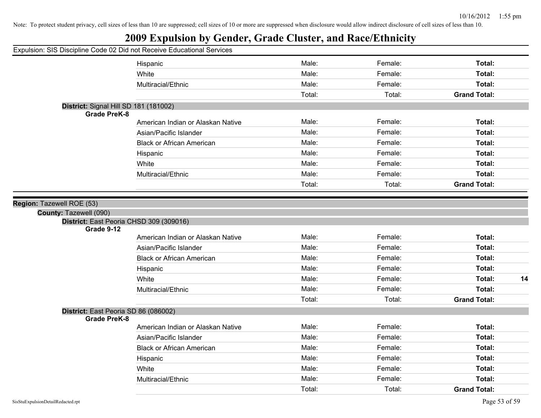|  |  |  |  | Expulsion: SIS Discipline Code 02 Did not Receive Educational Services |  |
|--|--|--|--|------------------------------------------------------------------------|--|
|  |  |  |  |                                                                        |  |
|  |  |  |  |                                                                        |  |

|                                                                                                | Hispanic                          | Male:  | Female: | Total:              |
|------------------------------------------------------------------------------------------------|-----------------------------------|--------|---------|---------------------|
|                                                                                                | White                             | Male:  | Female: | Total:              |
|                                                                                                | Multiracial/Ethnic                | Male:  | Female: | Total:              |
|                                                                                                |                                   | Total: | Total:  | <b>Grand Total:</b> |
| District: Signal Hill SD 181 (181002)<br><b>Grade PreK-8</b>                                   |                                   |        |         |                     |
|                                                                                                | American Indian or Alaskan Native | Male:  | Female: | Total:              |
|                                                                                                | Asian/Pacific Islander            | Male:  | Female: | Total:              |
|                                                                                                | <b>Black or African American</b>  | Male:  | Female: | Total:              |
|                                                                                                | Hispanic                          | Male:  | Female: | Total:              |
|                                                                                                | White                             | Male:  | Female: | Total:              |
|                                                                                                | Multiracial/Ethnic                | Male:  | Female: | Total:              |
|                                                                                                |                                   | Total: | Total:  | <b>Grand Total:</b> |
| Region: Tazewell ROE (53)<br>County: Tazewell (090)<br>District: East Peoria CHSD 309 (309016) |                                   |        |         |                     |
| Grade 9-12                                                                                     | American Indian or Alaskan Native | Male:  | Female: | Total:              |
|                                                                                                | Asian/Pacific Islander            | Male:  | Female: | Total:              |
|                                                                                                | <b>Black or African American</b>  | Male:  | Female: | Total:              |
|                                                                                                |                                   | Male:  | Female: | Total:              |
|                                                                                                | Hispanic<br>White                 | Male:  | Female: | Total:<br>14        |
|                                                                                                | Multiracial/Ethnic                | Male:  | Female: | Total:              |
|                                                                                                |                                   | Total: | Total:  | <b>Grand Total:</b> |
| District: East Peoria SD 86 (086002)<br><b>Grade PreK-8</b>                                    |                                   |        |         |                     |
|                                                                                                | American Indian or Alaskan Native | Male:  | Female: | Total:              |
|                                                                                                | Asian/Pacific Islander            | Male:  | Female: | Total:              |
|                                                                                                | <b>Black or African American</b>  | Male:  | Female: | Total:              |
|                                                                                                | Hispanic                          | Male:  | Female: | Total:              |
|                                                                                                | White                             | Male:  | Female: | Total:              |
|                                                                                                | Multiracial/Ethnic                | Male:  | Female: | Total:              |
|                                                                                                |                                   | Total: | Total:  | <b>Grand Total:</b> |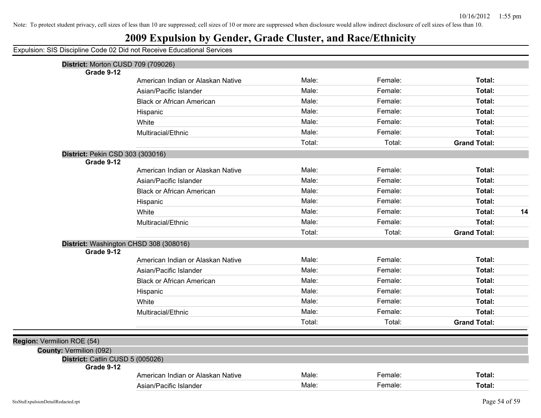## **2009 Expulsion by Gender, Grade Cluster, and Race/Ethnicity**

| District: Morton CUSD 709 (709026)             |                                   |        |         |                     |    |
|------------------------------------------------|-----------------------------------|--------|---------|---------------------|----|
| Grade 9-12                                     |                                   | Male:  | Female: |                     |    |
|                                                | American Indian or Alaskan Native |        |         | Total:              |    |
|                                                | Asian/Pacific Islander            | Male:  | Female: | Total:              |    |
|                                                | <b>Black or African American</b>  | Male:  | Female: | Total:              |    |
|                                                | Hispanic                          | Male:  | Female: | Total:              |    |
|                                                | White                             | Male:  | Female: | Total:              |    |
|                                                | Multiracial/Ethnic                | Male:  | Female: | Total:              |    |
|                                                |                                   | Total: | Total:  | <b>Grand Total:</b> |    |
| District: Pekin CSD 303 (303016)               |                                   |        |         |                     |    |
| Grade 9-12                                     |                                   |        |         |                     |    |
|                                                | American Indian or Alaskan Native | Male:  | Female: | Total:              |    |
|                                                | Asian/Pacific Islander            | Male:  | Female: | Total:              |    |
|                                                | <b>Black or African American</b>  | Male:  | Female: | Total:              |    |
|                                                | Hispanic                          | Male:  | Female: | Total:              |    |
|                                                | White                             | Male:  | Female: | Total:              | 14 |
|                                                | Multiracial/Ethnic                | Male:  | Female: | Total:              |    |
|                                                |                                   | Total: | Total:  | <b>Grand Total:</b> |    |
| District: Washington CHSD 308 (308016)         |                                   |        |         |                     |    |
| Grade 9-12                                     |                                   |        |         |                     |    |
|                                                | American Indian or Alaskan Native | Male:  | Female: | Total:              |    |
|                                                | Asian/Pacific Islander            | Male:  | Female: | Total:              |    |
|                                                | <b>Black or African American</b>  | Male:  | Female: | Total:              |    |
|                                                | Hispanic                          | Male:  | Female: | Total:              |    |
|                                                | White                             | Male:  | Female: | Total:              |    |
|                                                | Multiracial/Ethnic                | Male:  | Female: | Total:              |    |
|                                                |                                   | Total: | Total:  | <b>Grand Total:</b> |    |
|                                                |                                   |        |         |                     |    |
| Region: Vermilion ROE (54)                     |                                   |        |         |                     |    |
| County: Vermilion (092)                        |                                   |        |         |                     |    |
| District: Catlin CUSD 5 (005026)<br>Grade 9-12 |                                   |        |         |                     |    |
|                                                | American Indian or Alaskan Native | Male:  | Female: | Total:              |    |
|                                                | Asian/Pacific Islander            | Male:  | Female: | Total:              |    |
|                                                |                                   |        |         |                     |    |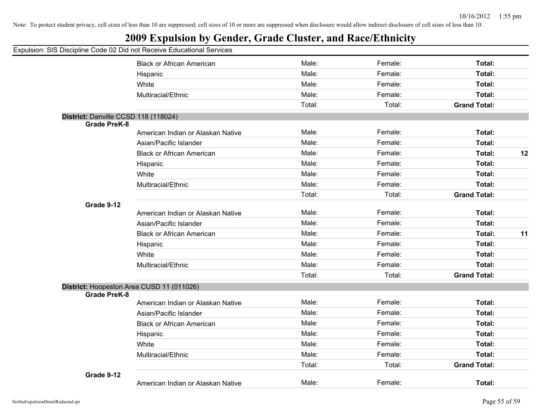## **2009 Expulsion by Gender, Grade Cluster, and Race/Ethnicity**

|                                      | <b>Black or African American</b>          | Male:  | Female: | Total:              |    |
|--------------------------------------|-------------------------------------------|--------|---------|---------------------|----|
|                                      | Hispanic                                  | Male:  | Female: | Total:              |    |
|                                      | White                                     | Male:  | Female: | Total:              |    |
|                                      | Multiracial/Ethnic                        | Male:  | Female: | Total:              |    |
|                                      |                                           | Total: | Total:  | <b>Grand Total:</b> |    |
| District: Danville CCSD 118 (118024) |                                           |        |         |                     |    |
| <b>Grade PreK-8</b>                  |                                           |        |         |                     |    |
|                                      | American Indian or Alaskan Native         | Male:  | Female: | Total:              |    |
|                                      | Asian/Pacific Islander                    | Male:  | Female: | Total:              |    |
|                                      | <b>Black or African American</b>          | Male:  | Female: | Total:              | 12 |
|                                      | Hispanic                                  | Male:  | Female: | Total:              |    |
|                                      | White                                     | Male:  | Female: | Total:              |    |
|                                      | Multiracial/Ethnic                        | Male:  | Female: | Total:              |    |
|                                      |                                           | Total: | Total:  | <b>Grand Total:</b> |    |
| Grade 9-12                           |                                           |        |         |                     |    |
|                                      | American Indian or Alaskan Native         | Male:  | Female: | Total:              |    |
|                                      | Asian/Pacific Islander                    | Male:  | Female: | Total:              |    |
|                                      | <b>Black or African American</b>          | Male:  | Female: | Total:              | 11 |
|                                      | Hispanic                                  | Male:  | Female: | Total:              |    |
|                                      | White                                     | Male:  | Female: | Total:              |    |
|                                      | Multiracial/Ethnic                        | Male:  | Female: | Total:              |    |
|                                      |                                           | Total: | Total:  | <b>Grand Total:</b> |    |
|                                      | District: Hoopeston Area CUSD 11 (011026) |        |         |                     |    |
| <b>Grade PreK-8</b>                  |                                           |        |         |                     |    |
|                                      | American Indian or Alaskan Native         | Male:  | Female: | Total:              |    |
|                                      | Asian/Pacific Islander                    | Male:  | Female: | Total:              |    |
|                                      | <b>Black or African American</b>          | Male:  | Female: | Total:              |    |
|                                      | Hispanic                                  | Male:  | Female: | Total:              |    |
|                                      | White                                     | Male:  | Female: | Total:              |    |
|                                      | Multiracial/Ethnic                        | Male:  | Female: | Total:              |    |
|                                      |                                           | Total: | Total:  | <b>Grand Total:</b> |    |
| Grade 9-12                           |                                           |        |         |                     |    |
|                                      | American Indian or Alaskan Native         | Male:  | Female: | <b>Total:</b>       |    |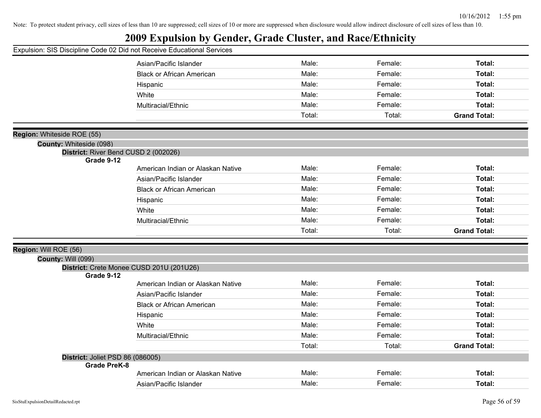|  |  |  |  |  |  |  |  |  |  | Expulsion: SIS Discipline Code 02 Did not Receive Educational Services |  |
|--|--|--|--|--|--|--|--|--|--|------------------------------------------------------------------------|--|
|--|--|--|--|--|--|--|--|--|--|------------------------------------------------------------------------|--|

|                                                         | Asian/Pacific Islander                   | Male:  | Female: | Total:              |
|---------------------------------------------------------|------------------------------------------|--------|---------|---------------------|
|                                                         | <b>Black or African American</b>         | Male:  | Female: | Total:              |
|                                                         | Hispanic                                 | Male:  | Female: | Total:              |
|                                                         | White                                    | Male:  | Female: | Total:              |
|                                                         | Multiracial/Ethnic                       | Male:  | Female: | Total:              |
|                                                         |                                          | Total: | Total:  | <b>Grand Total:</b> |
|                                                         |                                          |        |         |                     |
| Region: Whiteside ROE (55)                              |                                          |        |         |                     |
| <b>County: Whiteside (098)</b>                          |                                          |        |         |                     |
| Grade 9-12                                              | District: River Bend CUSD 2 (002026)     |        |         |                     |
|                                                         | American Indian or Alaskan Native        | Male:  | Female: | Total:              |
|                                                         | Asian/Pacific Islander                   | Male:  | Female: | Total:              |
|                                                         | <b>Black or African American</b>         | Male:  | Female: | Total:              |
|                                                         | Hispanic                                 | Male:  | Female: | Total:              |
|                                                         | White                                    | Male:  | Female: | Total:              |
|                                                         | Multiracial/Ethnic                       | Male:  | Female: | Total:              |
|                                                         |                                          | Total: | Total:  | <b>Grand Total:</b> |
|                                                         |                                          |        |         |                     |
| Region: Will ROE (56)                                   |                                          |        |         |                     |
| <b>County: Will (099)</b>                               |                                          |        |         |                     |
|                                                         | District: Crete Monee CUSD 201U (201U26) |        |         |                     |
| Grade 9-12                                              | American Indian or Alaskan Native        | Male:  | Female: | Total:              |
|                                                         | Asian/Pacific Islander                   | Male:  | Female: | Total:              |
|                                                         |                                          | Male:  | Female: | Total:              |
|                                                         | <b>Black or African American</b>         | Male:  | Female: |                     |
|                                                         | Hispanic                                 | Male:  | Female: | Total:              |
|                                                         | White                                    |        |         | Total:              |
|                                                         | Multiracial/Ethnic                       | Male:  | Female: | <b>Total:</b>       |
|                                                         |                                          | Total: | Total:  | <b>Grand Total:</b> |
| District: Joliet PSD 86 (086005)<br><b>Grade PreK-8</b> |                                          |        |         |                     |
|                                                         | American Indian or Alaskan Native        | Male:  | Female: | Total:              |
|                                                         | Asian/Pacific Islander                   | Male:  | Female: | Total:              |
|                                                         |                                          |        |         |                     |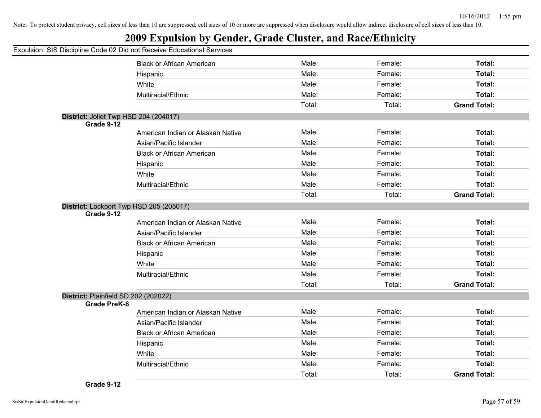## **2009 Expulsion by Gender, Grade Cluster, and Race/Ethnicity**

|                     | <b>Black or African American</b>        | Male:  | Female: | Total:              |
|---------------------|-----------------------------------------|--------|---------|---------------------|
|                     | Hispanic                                | Male:  | Female: | Total:              |
|                     | White                                   | Male:  | Female: | Total:              |
|                     | Multiracial/Ethnic                      | Male:  | Female: | Total:              |
|                     |                                         | Total: | Total:  | <b>Grand Total:</b> |
|                     | District: Joliet Twp HSD 204 (204017)   |        |         |                     |
| Grade 9-12          |                                         |        |         |                     |
|                     | American Indian or Alaskan Native       | Male:  | Female: | Total:              |
|                     | Asian/Pacific Islander                  | Male:  | Female: | Total:              |
|                     | <b>Black or African American</b>        | Male:  | Female: | Total:              |
|                     | Hispanic                                | Male:  | Female: | Total:              |
|                     | White                                   | Male:  | Female: | Total:              |
|                     | Multiracial/Ethnic                      | Male:  | Female: | Total:              |
|                     |                                         | Total: | Total:  | <b>Grand Total:</b> |
|                     | District: Lockport Twp HSD 205 (205017) |        |         |                     |
| Grade 9-12          |                                         |        |         |                     |
|                     | American Indian or Alaskan Native       | Male:  | Female: | Total:              |
|                     | Asian/Pacific Islander                  | Male:  | Female: | Total:              |
|                     | <b>Black or African American</b>        | Male:  | Female: | Total:              |
|                     | Hispanic                                | Male:  | Female: | Total:              |
|                     | White                                   | Male:  | Female: | Total:              |
|                     | Multiracial/Ethnic                      | Male:  | Female: | Total:              |
|                     |                                         | Total: | Total:  | <b>Grand Total:</b> |
|                     | District: Plainfield SD 202 (202022)    |        |         |                     |
| <b>Grade PreK-8</b> |                                         |        |         |                     |
|                     | American Indian or Alaskan Native       | Male:  | Female: | Total:              |
|                     | Asian/Pacific Islander                  | Male:  | Female: | Total:              |
|                     | <b>Black or African American</b>        | Male:  | Female: | Total:              |
|                     | Hispanic                                | Male:  | Female: | Total:              |
|                     | White                                   | Male:  | Female: | Total:              |
|                     | Multiracial/Ethnic                      | Male:  | Female: | Total:              |
|                     |                                         | Total: | Total:  | <b>Grand Total:</b> |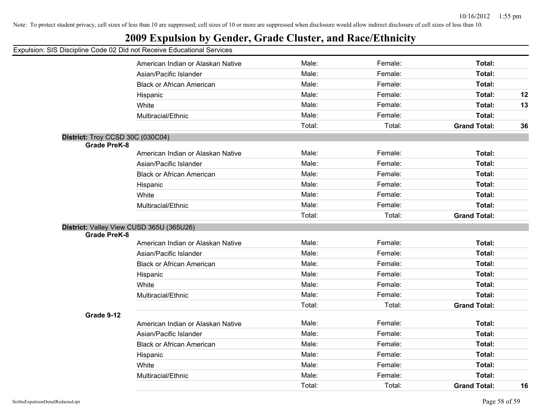## **2009 Expulsion by Gender, Grade Cluster, and Race/Ethnicity**

|                                  | American Indian or Alaskan Native        | Male:  | Female: | Total:              |    |
|----------------------------------|------------------------------------------|--------|---------|---------------------|----|
|                                  | Asian/Pacific Islander                   | Male:  | Female: | Total:              |    |
|                                  | <b>Black or African American</b>         | Male:  | Female: | Total:              |    |
|                                  | Hispanic                                 | Male:  | Female: | Total:              | 12 |
|                                  | White                                    | Male:  | Female: | Total:              | 13 |
|                                  | Multiracial/Ethnic                       | Male:  | Female: | Total:              |    |
|                                  |                                          | Total: | Total:  | <b>Grand Total:</b> | 36 |
| District: Troy CCSD 30C (030C04) |                                          |        |         |                     |    |
| <b>Grade PreK-8</b>              |                                          |        |         |                     |    |
|                                  | American Indian or Alaskan Native        | Male:  | Female: | Total:              |    |
|                                  | Asian/Pacific Islander                   | Male:  | Female: | Total:              |    |
|                                  | <b>Black or African American</b>         | Male:  | Female: | Total:              |    |
|                                  | Hispanic                                 | Male:  | Female: | Total:              |    |
|                                  | White                                    | Male:  | Female: | Total:              |    |
|                                  | Multiracial/Ethnic                       | Male:  | Female: | Total:              |    |
|                                  |                                          | Total: | Total:  | <b>Grand Total:</b> |    |
|                                  | District: Valley View CUSD 365U (365U26) |        |         |                     |    |
| <b>Grade PreK-8</b>              |                                          |        |         |                     |    |
|                                  | American Indian or Alaskan Native        | Male:  | Female: | Total:              |    |
|                                  | Asian/Pacific Islander                   | Male:  | Female: | Total:              |    |
|                                  | <b>Black or African American</b>         | Male:  | Female: | Total:              |    |
|                                  | Hispanic                                 | Male:  | Female: | Total:              |    |
|                                  | White                                    | Male:  | Female: | Total:              |    |
|                                  | Multiracial/Ethnic                       | Male:  | Female: | Total:              |    |
|                                  |                                          | Total: | Total:  | <b>Grand Total:</b> |    |
| Grade 9-12                       |                                          |        |         |                     |    |
|                                  | American Indian or Alaskan Native        | Male:  | Female: | Total:              |    |
|                                  | Asian/Pacific Islander                   | Male:  | Female: | Total:              |    |
|                                  | <b>Black or African American</b>         | Male:  | Female: | Total:              |    |
|                                  | Hispanic                                 | Male:  | Female: | Total:              |    |
|                                  | White                                    | Male:  | Female: | Total:              |    |
|                                  | Multiracial/Ethnic                       | Male:  | Female: | Total:              |    |
|                                  |                                          | Total: | Total:  | <b>Grand Total:</b> | 16 |